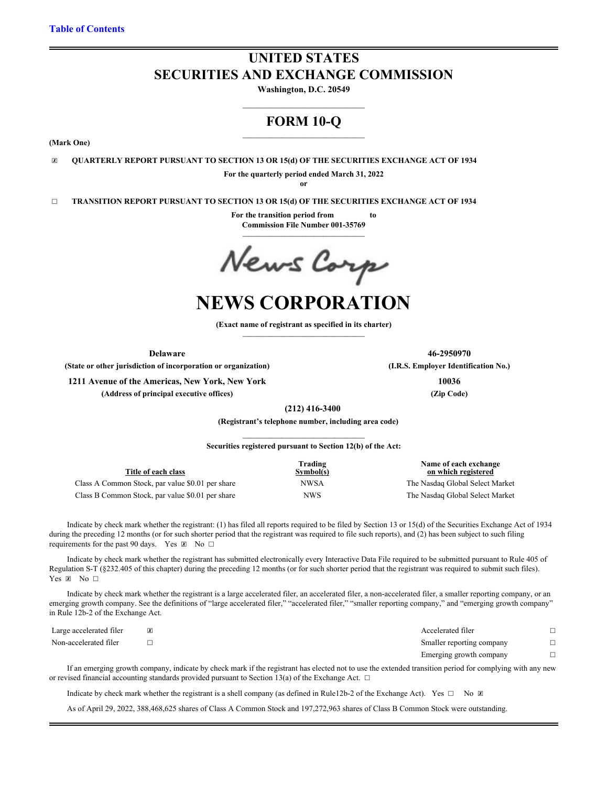## **UNITED STATES SECURITIES AND EXCHANGE COMMISSION**

**Washington, D.C. 20549**  $\mathcal{L} = \{ \mathcal{L} \}$ 

## **FORM 10-Q**  $\mathcal{L} = \{ \mathcal{L} \}$

**(Mark One)**

☒ **QUARTERLY REPORT PURSUANT TO SECTION 13 OR 15(d) OF THE SECURITIES EXCHANGE ACT OF 1934**

**For the quarterly period ended March 31, 2022**

**or**

☐ **TRANSITION REPORT PURSUANT TO SECTION 13 OR 15(d) OF THE SECURITIES EXCHANGE ACT OF 1934**

For the transition period from **Commission File Number 001-35769**

News Corp

# **NEWS CORPORATION**

**(Exact name of registrant as specified in its charter)**

**Delaware 46-2950970**

**(State or other jurisdiction of incorporation or organization) (I.R.S. Employer Identification No.)**

**1211 Avenue of the Americas, New York, New York 10036 (Address of principal executive offices) (Zip Code)**

**(212) 416-3400**

**(Registrant's telephone number, including area code)**

#### $\mathcal{L} = \{ \mathcal{L} \}$ **Securities registered pursuant to Section 12(b) of the Act:**

| Title of each class                              | Trading<br>Symbol(s) | Name of each exchange<br>on which registered |
|--------------------------------------------------|----------------------|----------------------------------------------|
| Class A Common Stock, par value \$0.01 per share | NWSA                 | The Nasdag Global Select Market              |
| Class B Common Stock, par value \$0.01 per share | NWS                  | The Nasdag Global Select Market              |

Indicate by check mark whether the registrant: (1) has filed all reports required to be filed by Section 13 or 15(d) of the Securities Exchange Act of 1934 during the preceding 12 months (or for such shorter period that the registrant was required to file such reports), and (2) has been subject to such filing requirements for the past 90 days. Yes  $\boxtimes$  No  $\Box$ 

Indicate by check mark whether the registrant has submitted electronically every Interactive Data File required to be submitted pursuant to Rule 405 of Regulation S-T (§232.405 of this chapter) during the preceding 12 months (or for such shorter period that the registrant was required to submit such files). Yes **x** No □

Indicate by check mark whether the registrant is a large accelerated filer, an accelerated filer, a non-accelerated filer, a smaller reporting company, or an emerging growth company. See the definitions of "large accelerated filer," "scelerated filer," "smaller reporting company," and "emerging growth company" in Rule 12b-2 of the Exchange Act.

| Large accelerated filer | Accelerated filer         |  |
|-------------------------|---------------------------|--|
| Non-accelerated filer   | Smaller reporting company |  |
|                         | Emerging growth company   |  |

If an emerging growth company, indicate by check mark if the registrant has elected not to use the extended transition period for complying with any new or revised financial accounting standards provided pursuant to Section 13(a) of the Exchange Act.  $\Box$ 

Indicate by check mark whether the registrant is a shell company (as defined in Rule12b-2 of the Exchange Act). Yes  $\Box$  No  $\Box$ 

As of April 29, 2022, 388,468,625 shares of Class A Common Stock and 197,272,963 shares of Class B Common Stock were outstanding.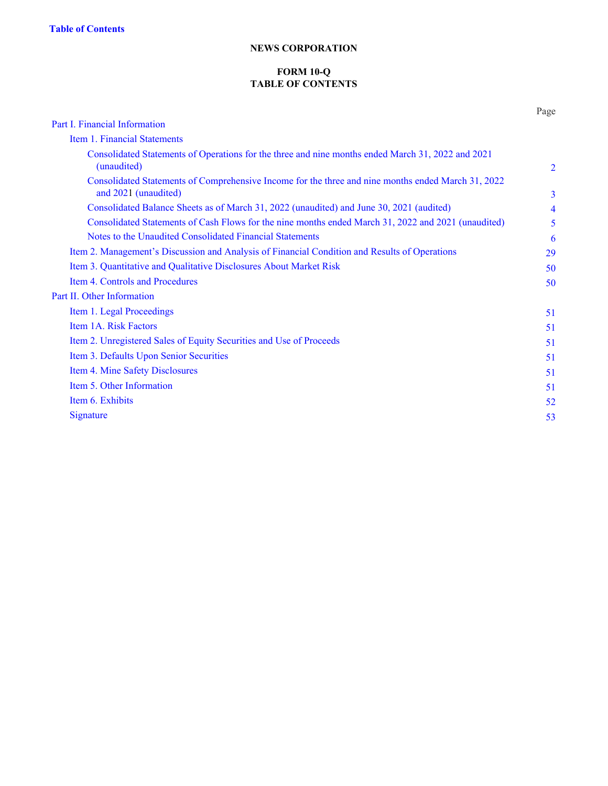## **FORM 10-Q TABLE OF CONTENTS**

<span id="page-1-0"></span>

|                                                                                                                            | Page           |
|----------------------------------------------------------------------------------------------------------------------------|----------------|
| Part I. Financial Information                                                                                              |                |
| <b>Item 1. Financial Statements</b>                                                                                        |                |
| Consolidated Statements of Operations for the three and nine months ended March 31, 2022 and 2021<br>(unaudited)           | $\overline{2}$ |
| Consolidated Statements of Comprehensive Income for the three and nine months ended March 31, 2022<br>and 2021 (unaudited) | 3              |
| Consolidated Balance Sheets as of March 31, 2022 (unaudited) and June 30, 2021 (audited)                                   | 4              |
| Consolidated Statements of Cash Flows for the nine months ended March 31, 2022 and 2021 (unaudited)                        | 5              |
| Notes to the Unaudited Consolidated Financial Statements                                                                   | 6              |
| Item 2. Management's Discussion and Analysis of Financial Condition and Results of Operations                              | 29             |
| Item 3. Quantitative and Qualitative Disclosures About Market Risk                                                         | 50             |
| Item 4. Controls and Procedures                                                                                            | 50             |
| Part II. Other Information                                                                                                 |                |
| Item 1. Legal Proceedings                                                                                                  | -51            |
| Item 1A. Risk Factors                                                                                                      | 51             |
| Item 2. Unregistered Sales of Equity Securities and Use of Proceeds                                                        | 51             |
| Item 3. Defaults Upon Senior Securities                                                                                    | 51             |
| Item 4. Mine Safety Disclosures                                                                                            | 51             |
| Item 5. Other Information                                                                                                  | -51            |
| Item 6. Exhibits                                                                                                           | 52             |
| Signature                                                                                                                  | 53             |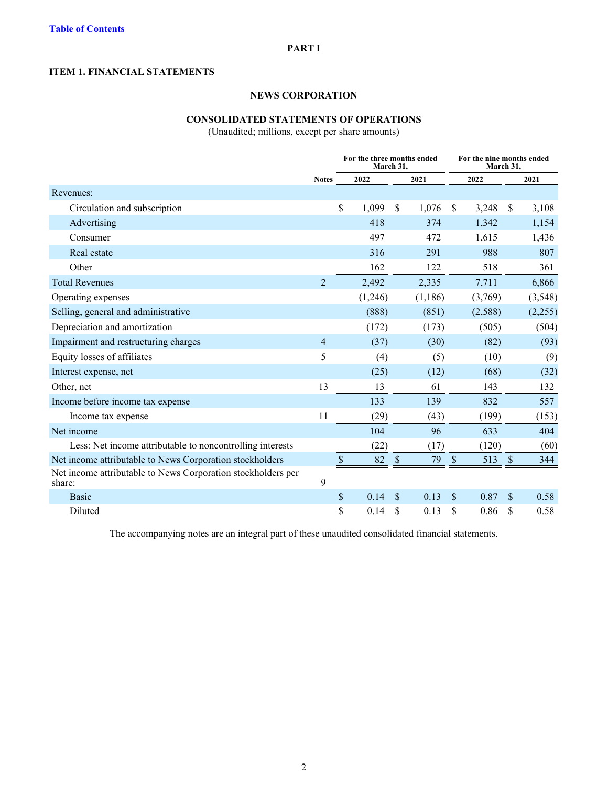## **PART I**

## <span id="page-2-0"></span>**ITEM 1. FINANCIAL STATEMENTS**

## **NEWS CORPORATION**

## **CONSOLIDATED STATEMENTS OF OPERATIONS**

(Unaudited; millions, except per share amounts)

|                                                                        |                |               | For the three months ended<br>March 31. |             |             | For the nine months ended<br>March 31. |         |  |
|------------------------------------------------------------------------|----------------|---------------|-----------------------------------------|-------------|-------------|----------------------------------------|---------|--|
|                                                                        | <b>Notes</b>   |               | 2022                                    | 2021        | 2022        |                                        | 2021    |  |
| Revenues:                                                              |                |               |                                         |             |             |                                        |         |  |
| Circulation and subscription                                           |                | \$            | 1,099                                   | \$<br>1,076 | \$<br>3,248 | $\mathbb{S}$                           | 3,108   |  |
| Advertising                                                            |                |               | 418                                     | 374         | 1,342       |                                        | 1,154   |  |
| Consumer                                                               |                |               | 497                                     | 472         | 1,615       |                                        | 1,436   |  |
| Real estate                                                            |                |               | 316                                     | 291         | 988         |                                        | 807     |  |
| Other                                                                  |                |               | 162                                     | 122         | 518         |                                        | 361     |  |
| <b>Total Revenues</b>                                                  | $\overline{2}$ |               | 2,492                                   | 2,335       | 7,711       |                                        | 6,866   |  |
| Operating expenses                                                     |                |               | (1,246)                                 | (1,186)     | (3,769)     |                                        | (3,548) |  |
| Selling, general and administrative                                    |                |               | (888)                                   | (851)       | (2,588)     |                                        | (2,255) |  |
| Depreciation and amortization                                          |                |               | (172)                                   | (173)       | (505)       |                                        | (504)   |  |
| Impairment and restructuring charges                                   | $\overline{4}$ |               | (37)                                    | (30)        | (82)        |                                        | (93)    |  |
| Equity losses of affiliates                                            | 5              |               | (4)                                     | (5)         | (10)        |                                        | (9)     |  |
| Interest expense, net                                                  |                |               | (25)                                    | (12)        | (68)        |                                        | (32)    |  |
| Other, net                                                             | 13             |               | 13                                      | 61          | 143         |                                        | 132     |  |
| Income before income tax expense                                       |                |               | 133                                     | 139         | 832         |                                        | 557     |  |
| Income tax expense                                                     | 11             |               | (29)                                    | (43)        | (199)       |                                        | (153)   |  |
| Net income                                                             |                |               | 104                                     | 96          | 633         |                                        | 404     |  |
| Less: Net income attributable to noncontrolling interests              |                |               | (22)                                    | (17)        | (120)       |                                        | (60)    |  |
| Net income attributable to News Corporation stockholders               |                | $\mathcal{S}$ | 82                                      | \$<br>79    | \$<br>513   | $\mathcal{S}$                          | 344     |  |
| Net income attributable to News Corporation stockholders per<br>share: | 9              |               |                                         |             |             |                                        |         |  |
| <b>Basic</b>                                                           |                | \$            | 0.14                                    | \$<br>0.13  | \$<br>0.87  | $\mathbb{S}$                           | 0.58    |  |
| Diluted                                                                |                | \$            | 0.14                                    | \$<br>0.13  | \$<br>0.86  | \$                                     | 0.58    |  |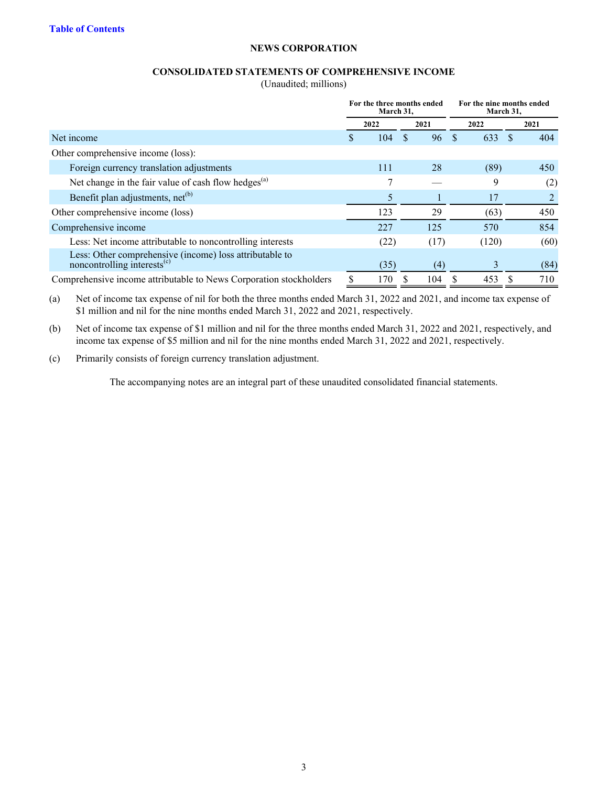## **CONSOLIDATED STATEMENTS OF COMPREHENSIVE INCOME**

(Unaudited; millions)

<span id="page-3-0"></span>

|                                                                                                    |   | For the three months ended<br>March 31, |          |      | For the nine months ended<br>March 31, |       |    |      |  |  |
|----------------------------------------------------------------------------------------------------|---|-----------------------------------------|----------|------|----------------------------------------|-------|----|------|--|--|
|                                                                                                    |   | 2022                                    |          | 2021 |                                        | 2022  |    | 2021 |  |  |
| Net income                                                                                         | S | 104                                     | <b>S</b> | 96   |                                        | 633   | -S | 404  |  |  |
| Other comprehensive income (loss):                                                                 |   |                                         |          |      |                                        |       |    |      |  |  |
| Foreign currency translation adjustments                                                           |   | 111                                     |          | 28   |                                        | (89)  |    | 450  |  |  |
| Net change in the fair value of cash flow hedges <sup>(a)</sup>                                    |   |                                         |          |      |                                        | 9     |    | (2)  |  |  |
| Benefit plan adjustments, net <sup>(b)</sup>                                                       |   | 5                                       |          |      |                                        | 17    |    |      |  |  |
| Other comprehensive income (loss)                                                                  |   | 123                                     |          | 29   |                                        | (63)  |    | 450  |  |  |
| Comprehensive income                                                                               |   | 227                                     |          | 125  |                                        | 570   |    | 854  |  |  |
| Less: Net income attributable to noncontrolling interests                                          |   | (22)                                    |          | (17) |                                        | (120) |    | (60) |  |  |
| Less: Other comprehensive (income) loss attributable to<br>noncontrolling interests <sup>(c)</sup> |   | (35)                                    |          | (4)  |                                        | 3     |    | (84) |  |  |
| Comprehensive income attributable to News Corporation stockholders                                 |   | 170                                     |          | 104  | S.                                     | 453   |    | 710  |  |  |

(a) Net of income tax expense of nil for both the three months ended March 31, 2022 and 2021, and income tax expense of \$1 million and nil for the nine months ended March 31, 2022 and 2021, respectively.

(b) Net of income tax expense of \$1 million and nil for the three months ended March 31, 2022 and 2021, respectively, and income tax expense of \$5 million and nil for the nine months ended March 31, 2022 and 2021, respectively.

(c) Primarily consists of foreign currency translation adjustment.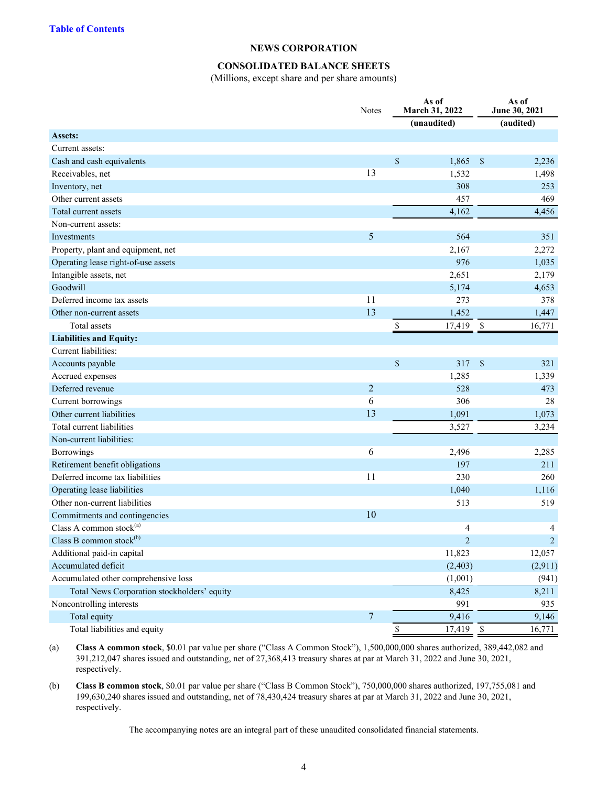#### **CONSOLIDATED BALANCE SHEETS**

(Millions, except share and per share amounts)

<span id="page-4-0"></span>

|                                             | <b>Notes</b>   | As of<br>March 31, 2022 | As of<br>June 30, 2021             |
|---------------------------------------------|----------------|-------------------------|------------------------------------|
|                                             |                | (unaudited)             | (audited)                          |
| Assets:                                     |                |                         |                                    |
| Current assets:                             |                |                         |                                    |
| Cash and cash equivalents                   |                | $\$$<br>1,865           | $\boldsymbol{\mathsf{S}}$<br>2,236 |
| Receivables, net                            | 13             | 1,532                   | 1,498                              |
| Inventory, net                              |                | 308                     | 253                                |
| Other current assets                        |                | 457                     | 469                                |
| Total current assets                        |                | 4,162                   | 4,456                              |
| Non-current assets:                         |                |                         |                                    |
| Investments                                 | 5              | 564                     | 351                                |
| Property, plant and equipment, net          |                | 2,167                   | 2,272                              |
| Operating lease right-of-use assets         |                | 976                     | 1,035                              |
| Intangible assets, net                      |                | 2,651                   | 2,179                              |
| Goodwill                                    |                | 5,174                   | 4,653                              |
| Deferred income tax assets                  | 11             | 273                     | 378                                |
| Other non-current assets                    | 13             | 1,452                   | 1,447                              |
| Total assets                                |                | $\$$<br>17,419          | $\mathbb{S}$<br>16,771             |
| <b>Liabilities and Equity:</b>              |                |                         |                                    |
| Current liabilities:                        |                |                         |                                    |
| Accounts payable                            |                | $\$$<br>317             | $\$$<br>321                        |
| Accrued expenses                            |                | 1,285                   | 1,339                              |
| Deferred revenue                            | $\overline{2}$ | 528                     | 473                                |
| Current borrowings                          | 6              | 306                     | 28                                 |
| Other current liabilities                   | 13             | 1,091                   | 1,073                              |
| Total current liabilities                   |                | 3,527                   | 3,234                              |
| Non-current liabilities:                    |                |                         |                                    |
| Borrowings                                  | 6              | 2,496                   | 2,285                              |
| Retirement benefit obligations              |                | 197                     | 211                                |
| Deferred income tax liabilities             | 11             | 230                     | 260                                |
| Operating lease liabilities                 |                | 1,040                   | 1,116                              |
| Other non-current liabilities               |                | 513                     | 519                                |
| Commitments and contingencies               | 10             |                         |                                    |
| Class A common stock $(a)$                  |                | 4                       | 4                                  |
| Class B common stock $(b)$                  |                | $\overline{2}$          | $\overline{2}$                     |
| Additional paid-in capital                  |                | 11,823                  | 12,057                             |
| Accumulated deficit                         |                | (2, 403)                | (2,911)                            |
| Accumulated other comprehensive loss        |                | (1,001)                 | (941)                              |
| Total News Corporation stockholders' equity |                | 8,425                   | 8,211                              |
| Noncontrolling interests                    |                | 991                     | 935                                |
| Total equity                                | $\overline{7}$ | 9,416                   | 9,146                              |
| Total liabilities and equity                |                | \$<br>17,419            | $\sqrt{3}$<br>16,771               |

(a) **Class A common stock**, \$0.01 par value per share ("Class A Common Stock"), 1,500,000,000 shares authorized, 389,442,082 and 391,212,047 shares issued and outstanding, net of 27,368,413 treasury shares at par at March 31, 2022 and June 30, 2021, respectively.

(b) **Class B common stock**, \$0.01 par value per share ("Class B Common Stock"), 750,000,000 shares authorized, 197,755,081 and 199,630,240 shares issued and outstanding, net of 78,430,424 treasury shares at par at March 31, 2022 and June 30, 2021, respectively.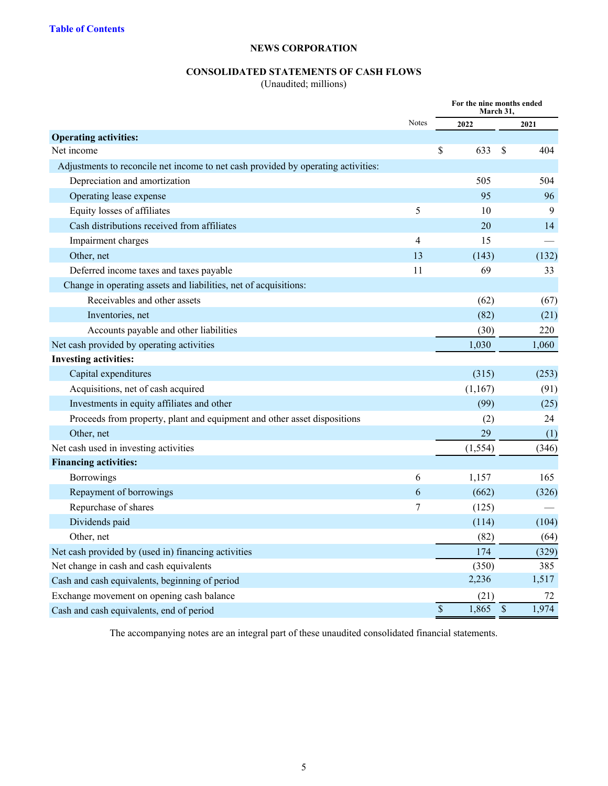## **CONSOLIDATED STATEMENTS OF CASH FLOWS**

(Unaudited; millions)

<span id="page-5-0"></span>

|                                                                                   |                | For the nine months ended<br>March 31, |                                   |
|-----------------------------------------------------------------------------------|----------------|----------------------------------------|-----------------------------------|
|                                                                                   | Notes          | 2022                                   | 2021                              |
| <b>Operating activities:</b>                                                      |                |                                        |                                   |
| Net income                                                                        |                | \$<br>633                              | \$<br>404                         |
| Adjustments to reconcile net income to net cash provided by operating activities: |                |                                        |                                   |
| Depreciation and amortization                                                     |                | 505                                    | 504                               |
| Operating lease expense                                                           |                | 95                                     | 96                                |
| Equity losses of affiliates                                                       | 5              | 10                                     | 9                                 |
| Cash distributions received from affiliates                                       |                | 20                                     | 14                                |
| Impairment charges                                                                | $\overline{4}$ | 15                                     |                                   |
| Other, net                                                                        | 13             | (143)                                  | (132)                             |
| Deferred income taxes and taxes payable                                           | 11             | 69                                     | 33                                |
| Change in operating assets and liabilities, net of acquisitions:                  |                |                                        |                                   |
| Receivables and other assets                                                      |                | (62)                                   | (67)                              |
| Inventories, net                                                                  |                | (82)                                   | (21)                              |
| Accounts payable and other liabilities                                            |                | (30)                                   | 220                               |
| Net cash provided by operating activities                                         |                | 1,030                                  | 1,060                             |
| <b>Investing activities:</b>                                                      |                |                                        |                                   |
| Capital expenditures                                                              |                | (315)                                  | (253)                             |
| Acquisitions, net of cash acquired                                                |                | (1,167)                                | (91)                              |
| Investments in equity affiliates and other                                        |                | (99)                                   | (25)                              |
| Proceeds from property, plant and equipment and other asset dispositions          |                | (2)                                    | 24                                |
| Other, net                                                                        |                | 29                                     | (1)                               |
| Net cash used in investing activities                                             |                | (1, 554)                               | (346)                             |
| <b>Financing activities:</b>                                                      |                |                                        |                                   |
| Borrowings                                                                        | 6              | 1,157                                  | 165                               |
| Repayment of borrowings                                                           | 6              | (662)                                  | (326)                             |
| Repurchase of shares                                                              | 7              | (125)                                  |                                   |
| Dividends paid                                                                    |                | (114)                                  | (104)                             |
| Other, net                                                                        |                | (82)                                   | (64)                              |
| Net cash provided by (used in) financing activities                               |                | 174                                    | (329)                             |
| Net change in cash and cash equivalents                                           |                | (350)                                  | 385                               |
| Cash and cash equivalents, beginning of period                                    |                | 2,236                                  | 1,517                             |
| Exchange movement on opening cash balance                                         |                | (21)                                   | 72                                |
| Cash and cash equivalents, end of period                                          |                | $\overline{\$}$<br>1,865               | $\overline{\mathcal{S}}$<br>1,974 |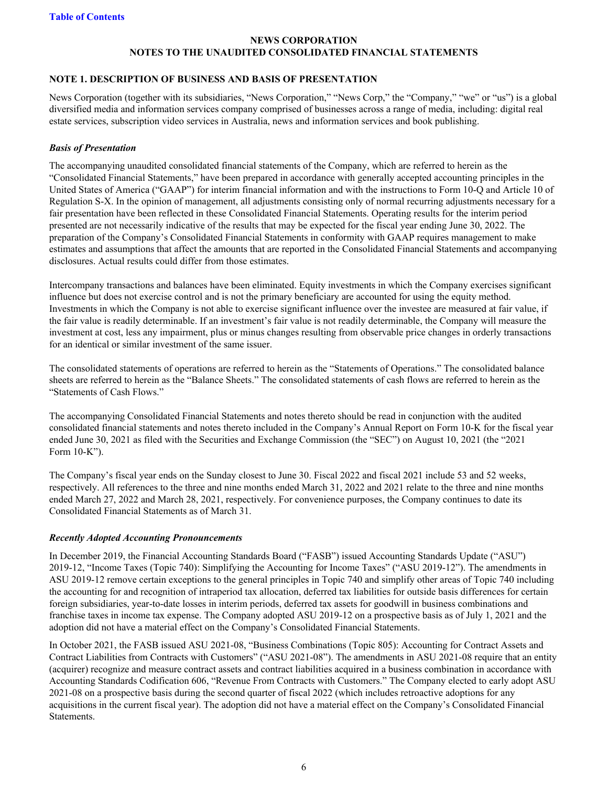#### <span id="page-6-0"></span>**NOTE 1. DESCRIPTION OF BUSINESS AND BASIS OF PRESENTATION**

News Corporation (together with its subsidiaries, "News Corporation," "News Corp," the "Company," "we" or "us") is a global diversified media and information services company comprised of businesses across a range of media, including: digital real estate services, subscription video services in Australia, news and information services and book publishing.

#### *Basis of Presentation*

The accompanying unaudited consolidated financial statements of the Company, which are referred to herein as the "Consolidated Financial Statements," have been prepared in accordance with generally accepted accounting principles in the United States of America ("GAAP") for interim financial information and with the instructions to Form 10-Q and Article 10 of Regulation S-X. In the opinion of management, all adjustments consisting only of normal recurring adjustments necessary for a fair presentation have been reflected in these Consolidated Financial Statements. Operating results for the interim period presented are not necessarily indicative of the results that may be expected for the fiscal year ending June 30, 2022. The preparation of the Company's Consolidated Financial Statements in conformity with GAAP requires management to make estimates and assumptions that affect the amounts that are reported in the Consolidated Financial Statements and accompanying disclosures. Actual results could differ from those estimates.

Intercompany transactions and balances have been eliminated. Equity investments in which the Company exercises significant influence but does not exercise control and is not the primary beneficiary are accounted for using the equity method. Investments in which the Company is not able to exercise significant influence over the investee are measured at fair value, if the fair value is readily determinable. If an investment's fair value is not readily determinable, the Company will measure the investment at cost, less any impairment, plus or minus changes resulting from observable price changes in orderly transactions for an identical or similar investment of the same issuer.

The consolidated statements of operations are referred to herein as the "Statements of Operations." The consolidated balance sheets are referred to herein as the "Balance Sheets." The consolidated statements of cash flows are referred to herein as the "Statements of Cash Flows."

The accompanying Consolidated Financial Statements and notes thereto should be read in conjunction with the audited consolidated financial statements and notes thereto included in the Company's Annual Report on Form 10-K for the fiscal year ended June 30, 2021 as filed with the Securities and Exchange Commission (the "SEC") on August 10, 2021 (the "2021 Form 10-K").

The Company's fiscal year ends on the Sunday closest to June 30. Fiscal 2022 and fiscal 2021 include 53 and 52 weeks, respectively. All references to the three and nine months ended March 31, 2022 and 2021 relate to the three and nine months ended March 27, 2022 and March 28, 2021, respectively. For convenience purposes, the Company continues to date its Consolidated Financial Statements as of March 31.

#### *Recently Adopted Accounting Pronouncements*

In December 2019, the Financial Accounting Standards Board ("FASB") issued Accounting Standards Update ("ASU") 2019-12, "Income Taxes (Topic 740): Simplifying the Accounting for Income Taxes" ("ASU 2019-12"). The amendments in ASU 2019-12 remove certain exceptions to the general principles in Topic 740 and simplify other areas of Topic 740 including the accounting for and recognition of intraperiod tax allocation, deferred tax liabilities for outside basis differences for certain foreign subsidiaries, year-to-date losses in interim periods, deferred tax assets for goodwill in business combinations and franchise taxes in income tax expense. The Company adopted ASU 2019-12 on a prospective basis as of July 1, 2021 and the adoption did not have a material effect on the Company's Consolidated Financial Statements.

In October 2021, the FASB issued ASU 2021-08, "Business Combinations (Topic 805): Accounting for Contract Assets and Contract Liabilities from Contracts with Customers" ("ASU 2021-08"). The amendments in ASU 2021-08 require that an entity (acquirer) recognize and measure contract assets and contract liabilities acquired in a business combination in accordance with Accounting Standards Codification 606, "Revenue From Contracts with Customers." The Company elected to early adopt ASU 2021-08 on a prospective basis during the second quarter of fiscal 2022 (which includes retroactive adoptions for any acquisitions in the current fiscal year). The adoption did not have a material effect on the Company's Consolidated Financial Statements.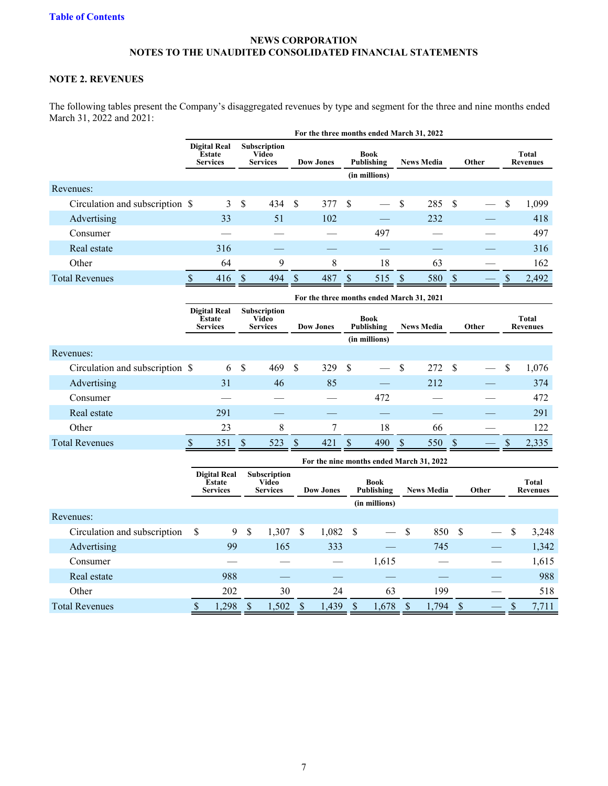## **NOTE 2. REVENUES**

The following tables present the Company's disaggregated revenues by type and segment for the three and nine months ended March 31, 2022 and 2021:

|                                 |                                                         |                                                 |     |                  |     |                           | For the three months ended March 31, 2022 |                   |        |               |       |                                 |
|---------------------------------|---------------------------------------------------------|-------------------------------------------------|-----|------------------|-----|---------------------------|-------------------------------------------|-------------------|--------|---------------|-------|---------------------------------|
|                                 | <b>Digital Real</b><br><b>Estate</b><br><b>Services</b> | <b>Subscription</b><br>Video<br><b>Services</b> |     | <b>Dow Jones</b> |     | <b>Book</b><br>Publishing |                                           | <b>News Media</b> |        |               | Other | <b>Total</b><br><b>Revenues</b> |
|                                 |                                                         |                                                 |     |                  |     |                           | (in millions)                             |                   |        |               |       |                                 |
| Revenues:                       |                                                         |                                                 |     |                  |     |                           |                                           |                   |        |               |       |                                 |
| Circulation and subscription \$ | $\mathfrak{Z}$                                          | -S                                              | 434 | -S               | 377 | - \$                      |                                           | S                 | 285 \$ |               |       | \$<br>1,099                     |
| Advertising                     | 33                                                      |                                                 | 51  |                  | 102 |                           |                                           |                   | 232    |               |       | 418                             |
| Consumer                        |                                                         |                                                 |     |                  |     |                           | 497                                       |                   |        |               |       | 497                             |
| Real estate                     | 316                                                     |                                                 |     |                  |     |                           |                                           |                   |        |               |       | 316                             |
| Other                           | 64                                                      |                                                 | 9   |                  | 8   |                           | 18                                        |                   | 63     |               |       | 162                             |
| <b>Total Revenues</b>           | 416                                                     |                                                 | 494 | <sup>\$</sup>    | 487 |                           | 515                                       |                   | 580    | <sup>\$</sup> |       | 2,492                           |

|                                 |                                                  |                                          |     |                  |     |                           | For the three months ended March 31, 2021 |                   |        |    |       |                                 |
|---------------------------------|--------------------------------------------------|------------------------------------------|-----|------------------|-----|---------------------------|-------------------------------------------|-------------------|--------|----|-------|---------------------------------|
|                                 | <b>Digital Real</b><br>Estate<br><b>Services</b> | Subscription<br>Video<br><b>Services</b> |     | <b>Dow Jones</b> |     | <b>Book</b><br>Publishing |                                           | <b>News Media</b> |        |    | Other | <b>Total</b><br><b>Revenues</b> |
|                                 |                                                  |                                          |     |                  |     |                           | (in millions)                             |                   |        |    |       |                                 |
| Revenues:                       |                                                  |                                          |     |                  |     |                           |                                           |                   |        |    |       |                                 |
| Circulation and subscription \$ | 6                                                | -\$                                      | 469 | -S               | 329 | - \$                      |                                           | \$                | 272 \$ |    |       | \$<br>1,076                     |
| Advertising                     | 31                                               |                                          | 46  |                  | 85  |                           |                                           |                   | 212    |    |       | 374                             |
| Consumer                        |                                                  |                                          |     |                  |     |                           | 472                                       |                   |        |    |       | 472                             |
| Real estate                     | 291                                              |                                          |     |                  |     |                           |                                           |                   |        |    |       | 291                             |
| Other                           | 23                                               |                                          | 8   |                  | 7   |                           | 18                                        |                   | 66     |    |       | 122                             |
| <b>Total Revenues</b>           | 351                                              | \$.                                      | 523 |                  | 421 | S                         | 490                                       | \$.               | 550    | -S |       | 2,335                           |

|                              |              |                                                  |    |                                          |   |                  |     | For the nine months ended March 31, 2022 |                   |              |       |    |                          |
|------------------------------|--------------|--------------------------------------------------|----|------------------------------------------|---|------------------|-----|------------------------------------------|-------------------|--------------|-------|----|--------------------------|
|                              |              | <b>Digital Real</b><br>Estate<br><b>Services</b> |    | Subscription<br>Video<br><b>Services</b> |   | <b>Dow Jones</b> |     | <b>Book</b><br>Publishing                | <b>News Media</b> |              | Other |    | Total<br><b>Revenues</b> |
|                              |              |                                                  |    |                                          |   |                  |     | (in millions)                            |                   |              |       |    |                          |
| Revenues:                    |              |                                                  |    |                                          |   |                  |     |                                          |                   |              |       |    |                          |
| Circulation and subscription | <sup>S</sup> | 9                                                | \$ | 1,307                                    | S | $1,082$ \$       |     |                                          | \$<br>850         | -S           |       | \$ | 3,248                    |
| Advertising                  |              | 99                                               |    | 165                                      |   | 333              |     |                                          | 745               |              |       |    | 1,342                    |
| Consumer                     |              |                                                  |    |                                          |   |                  |     | 1,615                                    |                   |              |       |    | 1,615                    |
| Real estate                  |              | 988                                              |    |                                          |   |                  |     |                                          |                   |              |       |    | 988                      |
| Other                        |              | 202                                              |    | 30                                       |   | 24               |     | 63                                       | 199               |              |       |    | 518                      |
| <b>Total Revenues</b>        |              | 1,298                                            | S. | 1,502                                    |   | 1,439            | \$. | 1,678                                    | 1,794             | <sup>S</sup> |       | S  | 7,711                    |

7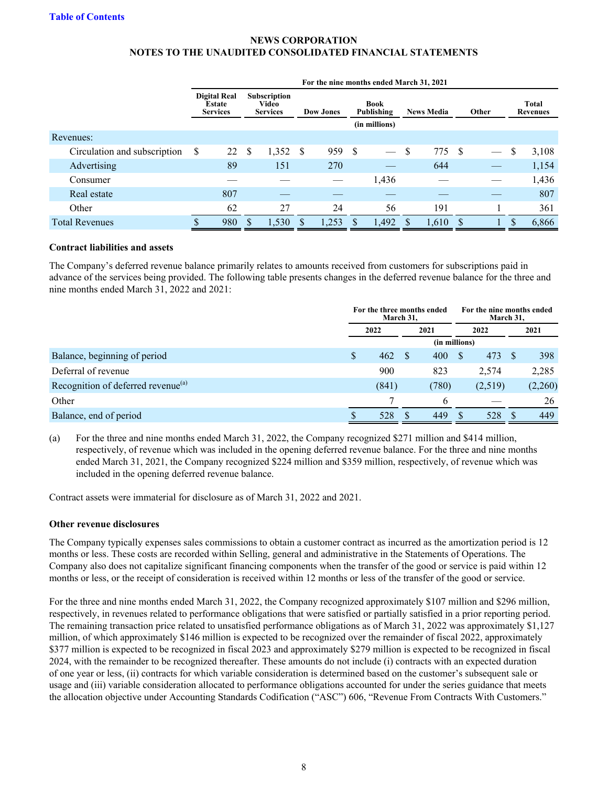|                              |              |                                                                                              |   |       |                  |       |                           | For the nine months ended March 31, 2021 |   |       |              |  |                                 |       |
|------------------------------|--------------|----------------------------------------------------------------------------------------------|---|-------|------------------|-------|---------------------------|------------------------------------------|---|-------|--------------|--|---------------------------------|-------|
|                              |              | <b>Digital Real</b><br>Subscription<br>Video<br>Estate<br><b>Services</b><br><b>Services</b> |   |       | <b>Dow Jones</b> |       | <b>Book</b><br>Publishing | <b>News Media</b>                        |   | Other |              |  | <b>Total</b><br><b>Revenues</b> |       |
|                              |              |                                                                                              |   |       |                  |       |                           | (in millions)                            |   |       |              |  |                                 |       |
| Revenues:                    |              |                                                                                              |   |       |                  |       |                           |                                          |   |       |              |  |                                 |       |
| Circulation and subscription | <sup>S</sup> | 22                                                                                           | S | 1,352 | <sup>S</sup>     | 959   | - \$                      |                                          | S | 775   | - \$         |  | S                               | 3,108 |
| Advertising                  |              | 89                                                                                           |   | 151   |                  | 270   |                           |                                          |   | 644   |              |  |                                 | 1,154 |
| Consumer                     |              |                                                                                              |   |       |                  |       |                           | 1,436                                    |   |       |              |  |                                 | 1,436 |
| Real estate                  |              | 807                                                                                          |   |       |                  |       |                           |                                          |   |       |              |  |                                 | 807   |
| Other                        |              | 62                                                                                           |   | 27    |                  | 24    |                           | 56                                       |   | 191   |              |  |                                 | 361   |
| <b>Total Revenues</b>        |              | 980                                                                                          |   | 1,530 |                  | 1,253 |                           | 1,492                                    |   | 1,610 | <sup>S</sup> |  | S                               | 6,866 |

#### **Contract liabilities and assets**

The Company's deferred revenue balance primarily relates to amounts received from customers for subscriptions paid in advance of the services being provided. The following table presents changes in the deferred revenue balance for the three and nine months ended March 31, 2022 and 2021:

|                                                | For the three months ended<br>March 31. |               |     | For the nine months ended<br>March 31. |  |         |
|------------------------------------------------|-----------------------------------------|---------------|-----|----------------------------------------|--|---------|
|                                                | 2022                                    | 2021          |     | 2022                                   |  | 2021    |
|                                                |                                         | (in millions) |     |                                        |  |         |
| Balance, beginning of period                   | \$<br>462                               | 400           | \$. | 473                                    |  | 398     |
| Deferral of revenue                            | 900                                     | 823           |     | 2,574                                  |  | 2,285   |
| Recognition of deferred revenue <sup>(a)</sup> | (841)                                   | (780)         |     | (2,519)                                |  | (2,260) |
| Other                                          | 7                                       | 6             |     |                                        |  | 26      |
| Balance, end of period                         | 528                                     | 449           |     | 528                                    |  | 449     |

(a) For the three and nine months ended March 31, 2022, the Company recognized \$271 million and \$414 million, respectively, of revenue which was included in the opening deferred revenue balance. For the three and nine months ended March 31, 2021, the Company recognized \$224 million and \$359 million, respectively, of revenue which was included in the opening deferred revenue balance.

Contract assets were immaterial for disclosure as of March 31, 2022 and 2021.

#### **Other revenue disclosures**

The Company typically expenses sales commissions to obtain a customer contract as incurred as the amortization period is 12 months or less. These costs are recorded within Selling, general and administrative in the Statements of Operations. The Company also does not capitalize significant financing components when the transfer of the good or service is paid within 12 months or less, or the receipt of consideration is received within 12 months or less of the transfer of the good or service.

For the three and nine months ended March 31, 2022, the Company recognized approximately \$107 million and \$296 million, respectively, in revenues related to performance obligations that were satisfied or partially satisfied in a prior reporting period. The remaining transaction price related to unsatisfied performance obligations as of March 31, 2022 was approximately \$1,127 million, of which approximately \$146 million is expected to be recognized over the remainder of fiscal 2022, approximately \$377 million is expected to be recognized in fiscal 2023 and approximately \$279 million is expected to be recognized in fiscal 2024, with the remainder to be recognized thereafter. These amounts do not include (i) contracts with an expected duration of one year or less, (ii) contracts for which variable consideration is determined based on the customer's subsequent sale or usage and (iii) variable consideration allocated to performance obligations accounted for under the series guidance that meets the allocation objective under Accounting Standards Codification ("ASC") 606, "Revenue From Contracts With Customers."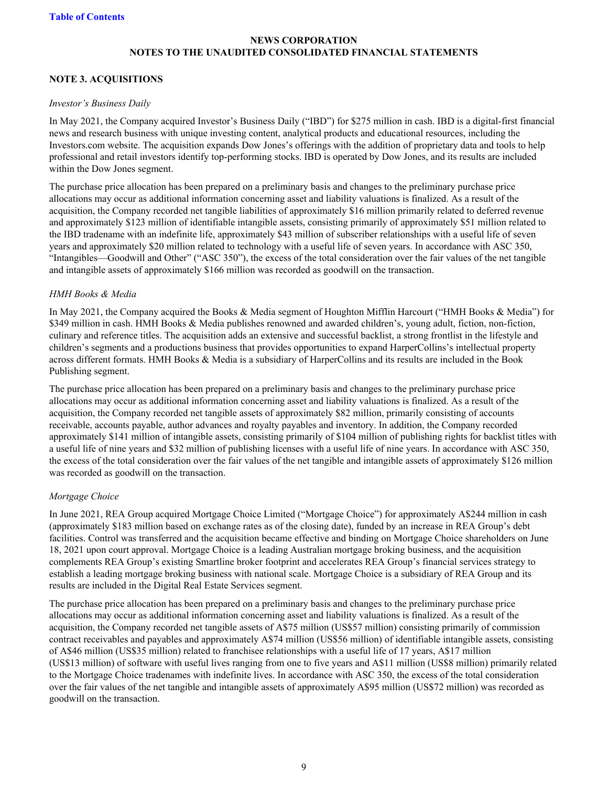## **NOTE 3. ACQUISITIONS**

#### *Investor's Business Daily*

In May 2021, the Company acquired Investor's Business Daily ("IBD") for \$275 million in cash. IBD is a digital-first financial news and research business with unique investing content, analytical products and educational resources, including the Investors.com website. The acquisition expands Dow Jones's offerings with the addition of proprietary data and tools to help professional and retail investors identify top-performing stocks. IBD is operated by Dow Jones, and its results are included within the Dow Jones segment.

The purchase price allocation has been prepared on a preliminary basis and changes to the preliminary purchase price allocations may occur as additional information concerning asset and liability valuations is finalized. As a result of the acquisition, the Company recorded net tangible liabilities of approximately \$16 million primarily related to deferred revenue and approximately \$123 million of identifiable intangible assets, consisting primarily of approximately \$51 million related to the IBD tradename with an indefinite life, approximately \$43 million of subscriber relationships with a useful life of seven years and approximately \$20 million related to technology with a useful life of seven years. In accordance with ASC 350, "Intangibles—Goodwill and Other" ("ASC 350"), the excess of the total consideration over the fair values of the net tangible and intangible assets of approximately \$166 million was recorded as goodwill on the transaction.

#### *HMH Books & Media*

In May 2021, the Company acquired the Books & Media segment of Houghton Mifflin Harcourt ("HMH Books & Media") for \$349 million in cash. HMH Books & Media publishes renowned and awarded children's, young adult, fiction, non-fiction, culinary and reference titles. The acquisition adds an extensive and successful backlist, a strong frontlist in the lifestyle and children's segments and a productions business that provides opportunities to expand HarperCollins's intellectual property across different formats. HMH Books & Media is a subsidiary of HarperCollins and its results are included in the Book Publishing segment.

The purchase price allocation has been prepared on a preliminary basis and changes to the preliminary purchase price allocations may occur as additional information concerning asset and liability valuations is finalized. As a result of the acquisition, the Company recorded net tangible assets of approximately \$82 million, primarily consisting of accounts receivable, accounts payable, author advances and royalty payables and inventory. In addition, the Company recorded approximately \$141 million of intangible assets, consisting primarily of \$104 million of publishing rights for backlist titles with a useful life of nine years and \$32 million of publishing licenses with a useful life of nine years. In accordance with ASC 350, the excess of the total consideration over the fair values of the net tangible and intangible assets of approximately \$126 million was recorded as goodwill on the transaction.

#### *Mortgage Choice*

In June 2021, REA Group acquired Mortgage Choice Limited ("Mortgage Choice") for approximately A\$244 million in cash (approximately \$183 million based on exchange rates as of the closing date), funded by an increase in REA Group's debt facilities. Control was transferred and the acquisition became effective and binding on Mortgage Choice shareholders on June 18, 2021 upon court approval. Mortgage Choice is a leading Australian mortgage broking business, and the acquisition complements REA Group's existing Smartline broker footprint and accelerates REA Group's financial services strategy to establish a leading mortgage broking business with national scale. Mortgage Choice is a subsidiary of REA Group and its results are included in the Digital Real Estate Services segment.

The purchase price allocation has been prepared on a preliminary basis and changes to the preliminary purchase price allocations may occur as additional information concerning asset and liability valuations is finalized. As a result of the acquisition, the Company recorded net tangible assets of A\$75 million (US\$57 million) consisting primarily of commission contract receivables and payables and approximately A\$74 million (US\$56 million) of identifiable intangible assets, consisting of A\$46 million (US\$35 million) related to franchisee relationships with a useful life of 17 years, A\$17 million (US\$13 million) of software with useful lives ranging from one to five years and A\$11 million (US\$8 million) primarily related to the Mortgage Choice tradenames with indefinite lives. In accordance with ASC 350, the excess of the total consideration over the fair values of the net tangible and intangible assets of approximately A\$95 million (US\$72 million) was recorded as goodwill on the transaction.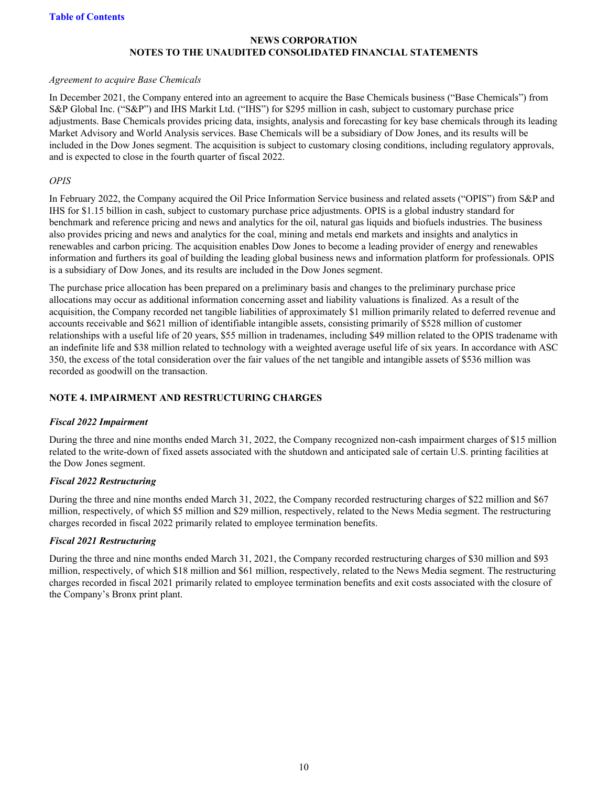#### *Agreement to acquire Base Chemicals*

In December 2021, the Company entered into an agreement to acquire the Base Chemicals business ("Base Chemicals") from S&P Global Inc. ("S&P") and IHS Markit Ltd. ("IHS") for \$295 million in cash, subject to customary purchase price adjustments. Base Chemicals provides pricing data, insights, analysis and forecasting for key base chemicals through its leading Market Advisory and World Analysis services. Base Chemicals will be a subsidiary of Dow Jones, and its results will be included in the Dow Jones segment. The acquisition is subject to customary closing conditions, including regulatory approvals, and is expected to close in the fourth quarter of fiscal 2022.

#### *OPIS*

In February 2022, the Company acquired the Oil Price Information Service business and related assets ("OPIS") from S&P and IHS for \$1.15 billion in cash, subject to customary purchase price adjustments. OPIS is a global industry standard for benchmark and reference pricing and news and analytics for the oil, natural gas liquids and biofuels industries. The business also provides pricing and news and analytics for the coal, mining and metals end markets and insights and analytics in renewables and carbon pricing. The acquisition enables Dow Jones to become a leading provider of energy and renewables information and furthers its goal of building the leading global business news and information platform for professionals. OPIS is a subsidiary of Dow Jones, and its results are included in the Dow Jones segment.

The purchase price allocation has been prepared on a preliminary basis and changes to the preliminary purchase price allocations may occur as additional information concerning asset and liability valuations is finalized. As a result of the acquisition, the Company recorded net tangible liabilities of approximately \$1 million primarily related to deferred revenue and accounts receivable and \$621 million of identifiable intangible assets, consisting primarily of \$528 million of customer relationships with a useful life of 20 years, \$55 million in tradenames, including \$49 million related to the OPIS tradename with an indefinite life and \$38 million related to technology with a weighted average useful life of six years. In accordance with ASC 350, the excess of the total consideration over the fair values of the net tangible and intangible assets of \$536 million was recorded as goodwill on the transaction.

#### **NOTE 4. IMPAIRMENT AND RESTRUCTURING CHARGES**

#### *Fiscal 2022 Impairment*

During the three and nine months ended March 31, 2022, the Company recognized non-cash impairment charges of \$15 million related to the write-down of fixed assets associated with the shutdown and anticipated sale of certain U.S. printing facilities at the Dow Jones segment.

#### *Fiscal 2022 Restructuring*

During the three and nine months ended March 31, 2022, the Company recorded restructuring charges of \$22 million and \$67 million, respectively, of which \$5 million and \$29 million, respectively, related to the News Media segment. The restructuring charges recorded in fiscal 2022 primarily related to employee termination benefits.

#### *Fiscal 2021 Restructuring*

During the three and nine months ended March 31, 2021, the Company recorded restructuring charges of \$30 million and \$93 million, respectively, of which \$18 million and \$61 million, respectively, related to the News Media segment. The restructuring charges recorded in fiscal 2021 primarily related to employee termination benefits and exit costs associated with the closure of the Company's Bronx print plant.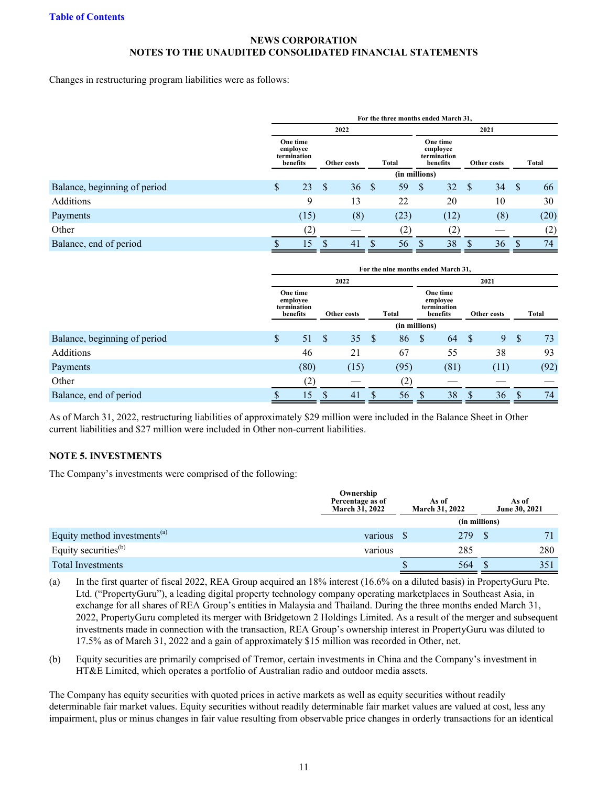Changes in restructuring program liabilities were as follows:

|                              |                                                 |   |             |              | For the three months ended March 31, |                                                 |      |             |      |              |       |
|------------------------------|-------------------------------------------------|---|-------------|--------------|--------------------------------------|-------------------------------------------------|------|-------------|------|--------------|-------|
|                              |                                                 |   | 2022        |              |                                      |                                                 |      |             | 2021 |              |       |
|                              | One time<br>employee<br>termination<br>benefits |   | Other costs | <b>Total</b> |                                      | One time<br>employee<br>termination<br>benefits |      | Other costs |      |              | Total |
|                              |                                                 |   |             |              | (in millions)                        |                                                 |      |             |      |              |       |
| Balance, beginning of period | \$<br>23                                        | S | 36          | -S           | 59                                   | S                                               | 32   | -S          | 34   | <sup>S</sup> | 66    |
| Additions                    | 9                                               |   | 13          |              | 22                                   |                                                 | 20   |             | 10   |              | 30    |
| Payments                     | (15)                                            |   | (8)         |              | (23)                                 |                                                 | (12) |             | (8)  |              | (20)  |
| Other                        | (2)                                             |   |             |              | (2)                                  |                                                 | (2)  |             |      |              | (2)   |
| Balance, end of period       | 15                                              |   | 41          |              | 56                                   |                                                 | 38   |             | 36   |              | 74    |

|                              |                                                                |      |    |              |   | For the nine months ended March 31,             |              |             |    |       |   |      |
|------------------------------|----------------------------------------------------------------|------|----|--------------|---|-------------------------------------------------|--------------|-------------|----|-------|---|------|
|                              |                                                                |      |    | 2022         |   |                                                 |              |             |    | 2021  |   |      |
|                              | One time<br>employee<br>termination<br>benefits<br>Other costs |      |    | <b>Total</b> |   | One time<br>employee<br>termination<br>benefits |              | Other costs |    | Total |   |      |
|                              |                                                                |      |    |              |   | (in millions)                                   |              |             |    |       |   |      |
| Balance, beginning of period | \$                                                             | 51   | \$ | 35           | S | 86                                              | <sup>S</sup> | 64          | -S | 9     | S | 73   |
| <b>Additions</b>             |                                                                | 46   |    | 21           |   | 67                                              |              | 55          |    | 38    |   | 93   |
| Payments                     |                                                                | (80) |    | (15)         |   | (95)                                            |              | (81)        |    | (11)  |   | (92) |
| Other                        |                                                                | (2)  |    |              |   | (2)                                             |              |             |    |       |   |      |
| Balance, end of period       |                                                                | 15   |    | 41           |   | 56                                              |              | 38          |    | 36    |   | 74   |

As of March 31, 2022, restructuring liabilities of approximately \$29 million were included in the Balance Sheet in Other current liabilities and \$27 million were included in Other non-current liabilities.

## **NOTE 5. INVESTMENTS**

The Company's investments were comprised of the following:

|                                          | Ownership<br>Percentage as of<br><b>March 31, 2022</b> | As of<br><b>March 31, 2022</b> |               | As of<br>June 30, 2021 |
|------------------------------------------|--------------------------------------------------------|--------------------------------|---------------|------------------------|
|                                          |                                                        |                                | (in millions) |                        |
| Equity method investments <sup>(a)</sup> | various                                                | 279                            |               |                        |
| Equity securities <sup>(b)</sup>         | various                                                | 285                            |               | 280                    |
| Total Investments                        |                                                        | 564                            |               | 351                    |

- (a) In the first quarter of fiscal 2022, REA Group acquired an 18% interest (16.6% on a diluted basis) in PropertyGuru Pte. Ltd. ("PropertyGuru"), a leading digital property technology company operating marketplaces in Southeast Asia, in exchange for all shares of REA Group's entities in Malaysia and Thailand. During the three months ended March 31, 2022, PropertyGuru completed its merger with Bridgetown 2 Holdings Limited. As a result of the merger and subsequent investments made in connection with the transaction, REA Group's ownership interest in PropertyGuru was diluted to 17.5% as of March 31, 2022 and a gain of approximately \$15 million was recorded in Other, net.
- (b) Equity securities are primarily comprised of Tremor, certain investments in China and the Company's investment in HT&E Limited, which operates a portfolio of Australian radio and outdoor media assets.

The Company has equity securities with quoted prices in active markets as well as equity securities without readily determinable fair market values. Equity securities without readily determinable fair market values are valued at cost, less any impairment, plus or minus changes in fair value resulting from observable price changes in orderly transactions for an identical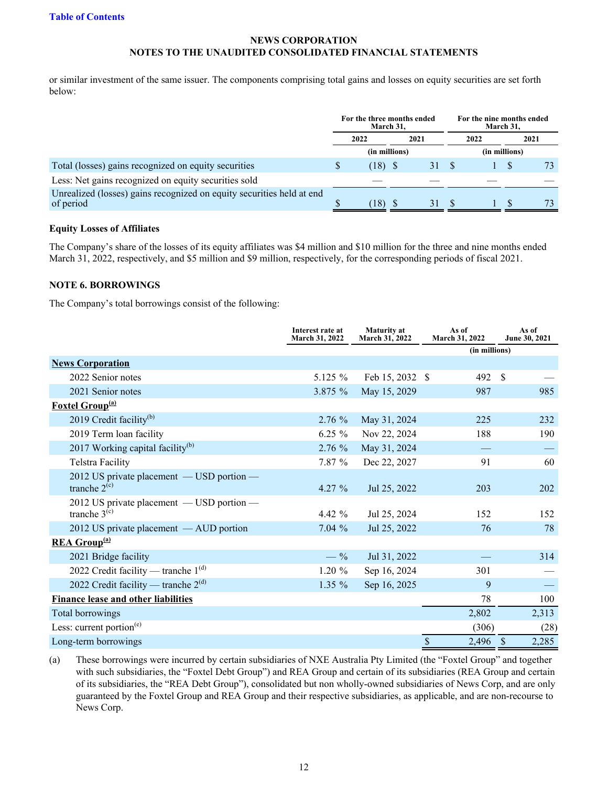or similar investment of the same issuer. The components comprising total gains and losses on equity securities are set forth below:

|                                                                                    | For the three months ended<br>March 31. |               |  |      | March 31.     | For the nine months ended |  |  |
|------------------------------------------------------------------------------------|-----------------------------------------|---------------|--|------|---------------|---------------------------|--|--|
|                                                                                    |                                         | 2022          |  | 2021 | 2022          | 2021                      |  |  |
|                                                                                    |                                         | (in millions) |  |      | (in millions) |                           |  |  |
| Total (losses) gains recognized on equity securities                               |                                         | $(18)$ \$     |  | 31   |               | 73                        |  |  |
| Less: Net gains recognized on equity securities sold                               |                                         |               |  |      |               |                           |  |  |
| Unrealized (losses) gains recognized on equity securities held at end<br>of period |                                         | (18)          |  | 31   |               |                           |  |  |

#### **Equity Losses of Affiliates**

The Company's share of the losses of its equity affiliates was \$4 million and \$10 million for the three and nine months ended March 31, 2022, respectively, and \$5 million and \$9 million, respectively, for the corresponding periods of fiscal 2021.

#### **NOTE 6. BORROWINGS**

The Company's total borrowings consist of the following:

|                                                                  | Interest rate at<br><b>March 31, 2022</b> | Maturity at<br>March 31, 2022 | As of<br>March 31, 2022 | As of<br>June 30, 2021        |
|------------------------------------------------------------------|-------------------------------------------|-------------------------------|-------------------------|-------------------------------|
|                                                                  |                                           |                               | (in millions)           |                               |
| <b>News Corporation</b>                                          |                                           |                               |                         |                               |
| 2022 Senior notes                                                | 5.125 %                                   | Feb 15, 2032 \$               | 492                     | \$                            |
| 2021 Senior notes                                                | 3.875 %                                   | May 15, 2029                  | 987                     | 985                           |
| <b>Foxtel Group</b> <sup>(a)</sup>                               |                                           |                               |                         |                               |
| 2019 Credit facility <sup>(b)</sup>                              | 2.76%                                     | May 31, 2024                  | 225                     | 232                           |
| 2019 Term loan facility                                          | $6.25 \%$                                 | Nov 22, 2024                  | 188                     | 190                           |
| 2017 Working capital facility $^{(b)}$                           | 2.76 %                                    | May 31, 2024                  |                         |                               |
| <b>Telstra Facility</b>                                          | 7.87%                                     | Dec 22, 2027                  | 91                      | 60                            |
| $2012$ US private placement — USD portion —<br>tranche $2^{(c)}$ | 4.27%                                     | Jul 25, 2022                  | 203                     | 202                           |
| 2012 US private placement $-$ USD portion $-$<br>tranche $3(c)$  | 4.42 $\%$                                 | Jul 25, 2024                  | 152                     | 152                           |
| $2012$ US private placement $-$ AUD portion                      | 7.04%                                     | Jul 25, 2022                  | 76                      | 78                            |
| REA Group <sup>(a)</sup>                                         |                                           |                               |                         |                               |
| 2021 Bridge facility                                             | $-$ %                                     | Jul 31, 2022                  |                         | 314                           |
| 2022 Credit facility — tranche $1^{(d)}$                         | 1.20 %                                    | Sep 16, 2024                  | 301                     |                               |
| 2022 Credit facility — tranche $2^{(d)}$                         | $1.35\%$                                  | Sep 16, 2025                  | 9                       |                               |
| <b>Finance lease and other liabilities</b>                       |                                           |                               | 78                      | 100                           |
| Total borrowings                                                 |                                           |                               | 2,802                   | 2,313                         |
| Less: current portion $(e)$                                      |                                           |                               | (306)                   | (28)                          |
| Long-term borrowings                                             |                                           |                               | \$<br>2,496             | 2,285<br>$\sqrt{\frac{2}{5}}$ |

(a) These borrowings were incurred by certain subsidiaries of NXE Australia Pty Limited (the "Foxtel Group" and together with such subsidiaries, the "Foxtel Debt Group") and REA Group and certain of its subsidiaries (REA Group and certain of its subsidiaries, the "REA Debt Group"), consolidated but non wholly-owned subsidiaries of News Corp, and are only guaranteed by the Foxtel Group and REA Group and their respective subsidiaries, as applicable, and are non-recourse to News Corp.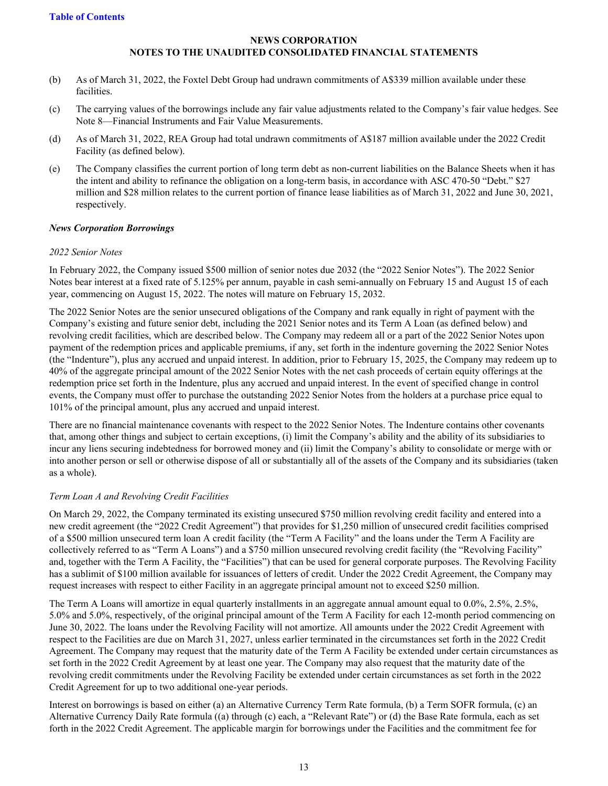- (b) As of March 31, 2022, the Foxtel Debt Group had undrawn commitments of A\$339 million available under these facilities.
- (c) The carrying values of the borrowings include any fair value adjustments related to the Company's fair value hedges. See Note 8—Financial Instruments and Fair Value Measurements.
- (d) As of March 31, 2022, REA Group had total undrawn commitments of A\$187 million available under the 2022 Credit Facility (as defined below).
- (e) The Company classifies the current portion of long term debt as non-current liabilities on the Balance Sheets when it has the intent and ability to refinance the obligation on a long-term basis, in accordance with ASC 470-50 "Debt." \$27 million and \$28 million relates to the current portion of finance lease liabilities as of March 31, 2022 and June 30, 2021, respectively.

#### *News Corporation Borrowings*

#### *2022 Senior Notes*

In February 2022, the Company issued \$500 million of senior notes due 2032 (the "2022 Senior Notes"). The 2022 Senior Notes bear interest at a fixed rate of 5.125% per annum, payable in cash semi-annually on February 15 and August 15 of each year, commencing on August 15, 2022. The notes will mature on February 15, 2032.

The 2022 Senior Notes are the senior unsecured obligations of the Company and rank equally in right of payment with the Company's existing and future senior debt, including the 2021 Senior notes and its Term A Loan (as defined below) and revolving credit facilities, which are described below. The Company may redeem all or a part of the 2022 Senior Notes upon payment of the redemption prices and applicable premiums, if any, set forth in the indenture governing the 2022 Senior Notes (the "Indenture"), plus any accrued and unpaid interest. In addition, prior to February 15, 2025, the Company may redeem up to 40% of the aggregate principal amount of the 2022 Senior Notes with the net cash proceeds of certain equity offerings at the redemption price set forth in the Indenture, plus any accrued and unpaid interest. In the event of specified change in control events, the Company must offer to purchase the outstanding 2022 Senior Notes from the holders at a purchase price equal to 101% of the principal amount, plus any accrued and unpaid interest.

There are no financial maintenance covenants with respect to the 2022 Senior Notes. The Indenture contains other covenants that, among other things and subject to certain exceptions, (i) limit the Company's ability and the ability of its subsidiaries to incur any liens securing indebtedness for borrowed money and (ii) limit the Company's ability to consolidate or merge with or into another person or sell or otherwise dispose of all or substantially all of the assets of the Company and its subsidiaries (taken as a whole).

#### *Term Loan A and Revolving Credit Facilities*

On March 29, 2022, the Company terminated its existing unsecured \$750 million revolving credit facility and entered into a new credit agreement (the "2022 Credit Agreement") that provides for \$1,250 million of unsecured credit facilities comprised of a \$500 million unsecured term loan A credit facility (the "Term A Facility" and the loans under the Term A Facility are collectively referred to as "Term A Loans") and a \$750 million unsecured revolving credit facility (the "Revolving Facility" and, together with the Term A Facility, the "Facilities") that can be used for general corporate purposes. The Revolving Facility has a sublimit of \$100 million available for issuances of letters of credit. Under the 2022 Credit Agreement, the Company may request increases with respect to either Facility in an aggregate principal amount not to exceed \$250 million.

The Term A Loans will amortize in equal quarterly installments in an aggregate annual amount equal to 0.0%, 2.5%, 2.5%, 5.0% and 5.0%, respectively, of the original principal amount of the Term A Facility for each 12-month period commencing on June 30, 2022. The loans under the Revolving Facility will not amortize. All amounts under the 2022 Credit Agreement with respect to the Facilities are due on March 31, 2027, unless earlier terminated in the circumstances set forth in the 2022 Credit Agreement. The Company may request that the maturity date of the Term A Facility be extended under certain circumstances as set forth in the 2022 Credit Agreement by at least one year. The Company may also request that the maturity date of the revolving credit commitments under the Revolving Facility be extended under certain circumstances as set forth in the 2022 Credit Agreement for up to two additional one-year periods.

Interest on borrowings is based on either (a) an Alternative Currency Term Rate formula, (b) a Term SOFR formula, (c) an Alternative Currency Daily Rate formula ((a) through (c) each, a "Relevant Rate") or (d) the Base Rate formula, each as set forth in the 2022 Credit Agreement. The applicable margin for borrowings under the Facilities and the commitment fee for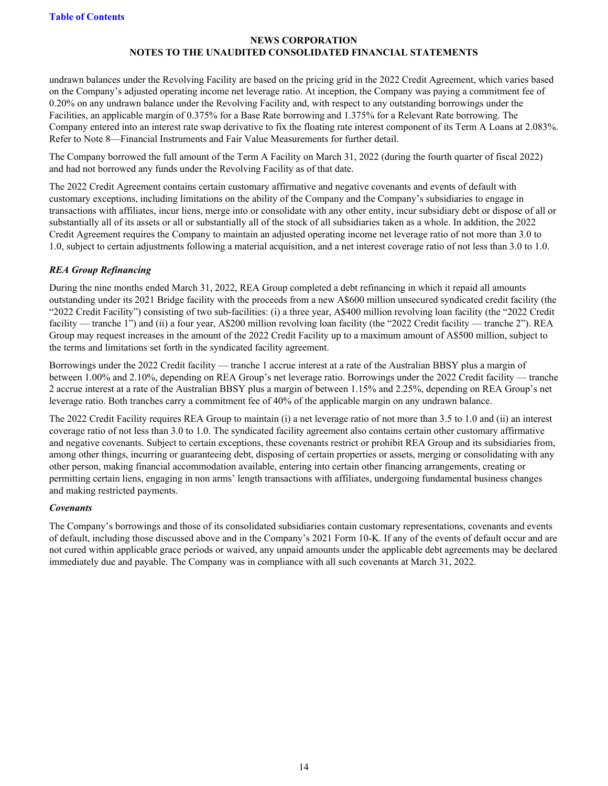undrawn balances under the Revolving Facility are based on the pricing grid in the 2022 Credit Agreement, which varies based on the Company's adjusted operating income net leverage ratio. At inception, the Company was paying a commitment fee of 0.20% on any undrawn balance under the Revolving Facility and, with respect to any outstanding borrowings under the Facilities, an applicable margin of 0.375% for a Base Rate borrowing and 1.375% for a Relevant Rate borrowing. The Company entered into an interest rate swap derivative to fix the floating rate interest component of its Term A Loans at 2.083%. Refer to Note 8—Financial Instruments and Fair Value Measurements for further detail.

The Company borrowed the full amount of the Term A Facility on March 31, 2022 (during the fourth quarter of fiscal 2022) and had not borrowed any funds under the Revolving Facility as of that date.

The 2022 Credit Agreement contains certain customary affirmative and negative covenants and events of default with customary exceptions, including limitations on the ability of the Company and the Company's subsidiaries to engage in transactions with affiliates, incur liens, merge into or consolidate with any other entity, incur subsidiary debt or dispose of all or substantially all of its assets or all or substantially all of the stock of all subsidiaries taken as a whole. In addition, the 2022 Credit Agreement requires the Company to maintain an adjusted operating income net leverage ratio of not more than 3.0 to 1.0, subject to certain adjustments following a material acquisition, and a net interest coverage ratio of not less than 3.0 to 1.0.

## *REA Group Refinancing*

During the nine months ended March 31, 2022, REA Group completed a debt refinancing in which it repaid all amounts outstanding under its 2021 Bridge facility with the proceeds from a new A\$600 million unsecured syndicated credit facility (the "2022 Credit Facility") consisting of two sub-facilities: (i) a three year, A\$400 million revolving loan facility (the "2022 Credit facility — tranche 1") and (ii) a four year, A\$200 million revolving loan facility (the "2022 Credit facility — tranche 2"). REA Group may request increases in the amount of the 2022 Credit Facility up to a maximum amount of A\$500 million, subject to the terms and limitations set forth in the syndicated facility agreement.

Borrowings under the 2022 Credit facility — tranche 1 accrue interest at a rate of the Australian BBSY plus a margin of between 1.00% and 2.10%, depending on REA Group's net leverage ratio. Borrowings under the 2022 Credit facility — tranche 2 accrue interest at a rate of the Australian BBSY plus a margin of between 1.15% and 2.25%, depending on REA Group's net leverage ratio. Both tranches carry a commitment fee of 40% of the applicable margin on any undrawn balance.

The 2022 Credit Facility requires REA Group to maintain (i) a net leverage ratio of not more than 3.5 to 1.0 and (ii) an interest coverage ratio of not less than 3.0 to 1.0. The syndicated facility agreement also contains certain other customary affirmative and negative covenants. Subject to certain exceptions, these covenants restrict or prohibit REA Group and its subsidiaries from, among other things, incurring or guaranteeing debt, disposing of certain properties or assets, merging or consolidating with any other person, making financial accommodation available, entering into certain other financing arrangements, creating or permitting certain liens, engaging in non arms' length transactions with affiliates, undergoing fundamental business changes and making restricted payments.

#### *Covenants*

The Company's borrowings and those of its consolidated subsidiaries contain customary representations, covenants and events of default, including those discussed above and in the Company's 2021 Form 10-K. If any of the events of default occur and are not cured within applicable grace periods or waived, any unpaid amounts under the applicable debt agreements may be declared immediately due and payable. The Company was in compliance with all such covenants at March 31, 2022.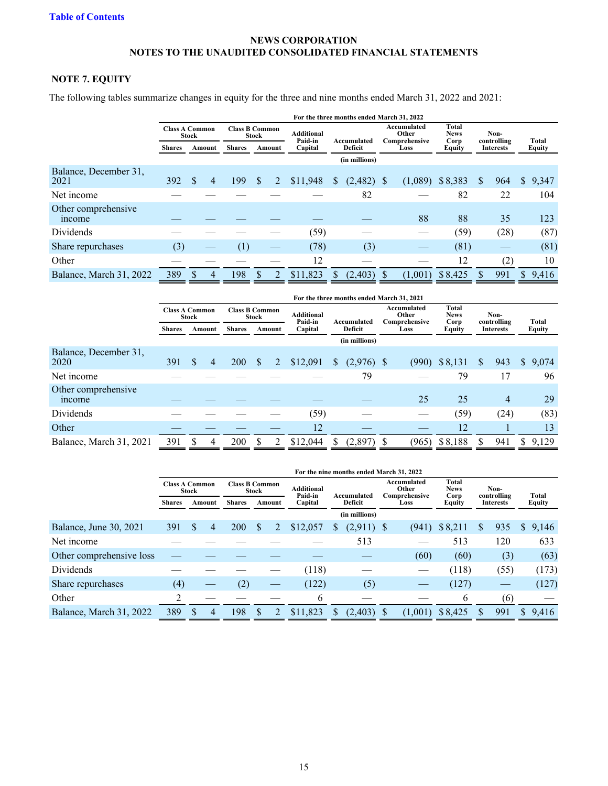## **NOTE 7. EQUITY**

The following tables summarize changes in equity for the three and nine months ended March 31, 2022 and 2021:

|                               | For the three months ended March 31, 2022 |              |                |                                |    |                              |             |    |                                       |  |                              |                   |                     |                  |                |               |
|-------------------------------|-------------------------------------------|--------------|----------------|--------------------------------|----|------------------------------|-------------|----|---------------------------------------|--|------------------------------|-------------------|---------------------|------------------|----------------|---------------|
|                               | <b>Class A Common</b>                     | <b>Stock</b> |                | <b>Class B Common</b><br>Stock |    | <b>Additional</b><br>Paid-in | Accumulated |    | Accumulated<br>Other<br>Comprehensive |  | Total<br><b>News</b><br>Corp |                   | Non-<br>controlling |                  | Total          |               |
|                               | <b>Shares</b>                             |              | Amount         | <b>Shares</b>                  |    | Amount                       | Capital     |    | Deficit                               |  | Loss                         | Equity            |                     | <b>Interests</b> |                | <b>Equity</b> |
|                               |                                           |              |                |                                |    |                              |             |    | (in millions)                         |  |                              |                   |                     |                  |                |               |
| Balance, December 31,<br>2021 | 392                                       | \$.          | $\overline{4}$ | 199                            | S. | 2                            | \$11,948    | S. | $(2,482)$ \$                          |  |                              | $(1,089)$ \$8,383 | S                   | 964              | $\mathbb{S}^-$ | 9,347         |
| Net income                    |                                           |              |                |                                |    |                              |             |    | 82                                    |  |                              | 82                |                     | 22               |                | 104           |
| Other comprehensive<br>mcome  |                                           |              |                |                                |    |                              |             |    |                                       |  | 88                           | 88                |                     | 35               |                | 123           |
| Dividends                     |                                           |              |                |                                |    |                              | (59)        |    |                                       |  |                              | (59)              |                     | (28)             |                | (87)          |
| Share repurchases             | (3)                                       |              |                | (1)                            |    |                              | (78)        |    | (3)                                   |  |                              | (81)              |                     |                  |                | (81)          |
| Other                         |                                           |              |                |                                |    |                              | 12          |    |                                       |  |                              | 12                |                     | (2)              |                | 10            |
| Balance, March 31, 2022       | 389                                       |              |                | 198                            |    |                              | \$11,823    |    | (2,403)                               |  | (1,001)                      | \$8,425           |                     | 991              | <sup>\$</sup>  | 9,416         |

|                               | For the three months ended March 31, 2021 |              |                |               |                                       |                |                              |             |               |  |                                       |                              |                     |               |
|-------------------------------|-------------------------------------------|--------------|----------------|---------------|---------------------------------------|----------------|------------------------------|-------------|---------------|--|---------------------------------------|------------------------------|---------------------|---------------|
|                               | <b>Class A Common</b>                     | <b>Stock</b> |                |               | <b>Class B Common</b><br><b>Stock</b> |                | <b>Additional</b><br>Paid-in | Accumulated |               |  | Accumulated<br>Other<br>Comprehensive | Total<br><b>News</b><br>Corp | Non-<br>controlling | Total         |
|                               | Shares                                    |              | Amount         | <b>Shares</b> |                                       | Amount         | Capital                      |             | Deficit       |  | Loss                                  | <b>Equity</b>                | <b>Interests</b>    | <b>Equity</b> |
|                               |                                           |              |                |               |                                       |                |                              |             | (in millions) |  |                                       |                              |                     |               |
| Balance, December 31,<br>2020 | 391                                       | S            | $\overline{4}$ | <b>200</b>    | S                                     | $\overline{2}$ | \$12,091                     | S           | $(2,976)$ \$  |  | (990)                                 | \$8,131                      | \$<br>943           | \$<br>9,074   |
| Net income                    |                                           |              |                |               |                                       |                |                              |             | 79            |  |                                       | 79                           | 17                  | 96            |
| Other comprehensive<br>mcome  |                                           |              |                |               |                                       |                |                              |             |               |  | 25                                    | 25                           | $\overline{4}$      | 29            |
| Dividends                     |                                           |              |                |               |                                       |                | (59)                         |             |               |  |                                       | (59)                         | (24)                | (83)          |
| Other                         |                                           |              |                |               |                                       |                | 12                           |             |               |  |                                       | 12                           |                     | 13            |
| Balance, March 31, 2021       | 391                                       |              | 4              | 200           |                                       |                | \$12,044                     |             | (2,897)       |  | (965)                                 | \$8,188                      | 941                 | \$<br>9,129   |

|                          | For the nine months ended March 31, 2022 |              |        |               |                                       |        |                       |             |               |                                       |         |                                     |                     |   |        |
|--------------------------|------------------------------------------|--------------|--------|---------------|---------------------------------------|--------|-----------------------|-------------|---------------|---------------------------------------|---------|-------------------------------------|---------------------|---|--------|
|                          | Class A Common                           | <b>Stock</b> |        |               | <b>Class B Common</b><br><b>Stock</b> |        | Additional<br>Paid-in | Accumulated |               | Accumulated<br>Other<br>Comprehensive |         | <b>Total</b><br><b>News</b><br>Corp | Non-<br>controlling |   | Total  |
|                          | <b>Shares</b>                            |              | Amount | <b>Shares</b> |                                       | Amount | Capital               |             | Deficit       |                                       | Loss    | Equity                              | <b>Interests</b>    |   | Equity |
|                          |                                          |              |        |               |                                       |        |                       |             | (in millions) |                                       |         |                                     |                     |   |        |
| Balance, June 30, 2021   | 391                                      | $\mathbb{S}$ | 4      | <b>200</b>    |                                       | 2      | \$12,057              |             | $(2,911)$ \$  |                                       | (941)   | \$8,211                             | \$<br>935           | S | 9,146  |
| Net income               |                                          |              |        |               |                                       |        |                       |             | 513           |                                       |         | 513                                 | 120                 |   | 633    |
| Other comprehensive loss |                                          |              |        |               |                                       |        |                       |             |               |                                       | (60)    | (60)                                | (3)                 |   | (63)   |
| Dividends                |                                          |              |        |               |                                       |        | (118)                 |             |               |                                       |         | (118)                               | (55)                |   | (173)  |
| Share repurchases        | (4)                                      |              |        | (2)           |                                       |        | (122)                 |             | (5)           |                                       |         | (127)                               |                     |   | (127)  |
| Other                    |                                          |              |        |               |                                       |        | 6                     |             |               |                                       |         | $\mathfrak b$                       | (6)                 |   |        |
| Balance, March 31, 2022  | 389                                      |              | 4      | 198           |                                       |        | \$11,823              |             | (2, 403)      |                                       | (1,001) | \$8,425                             | 991                 | S | 9.416  |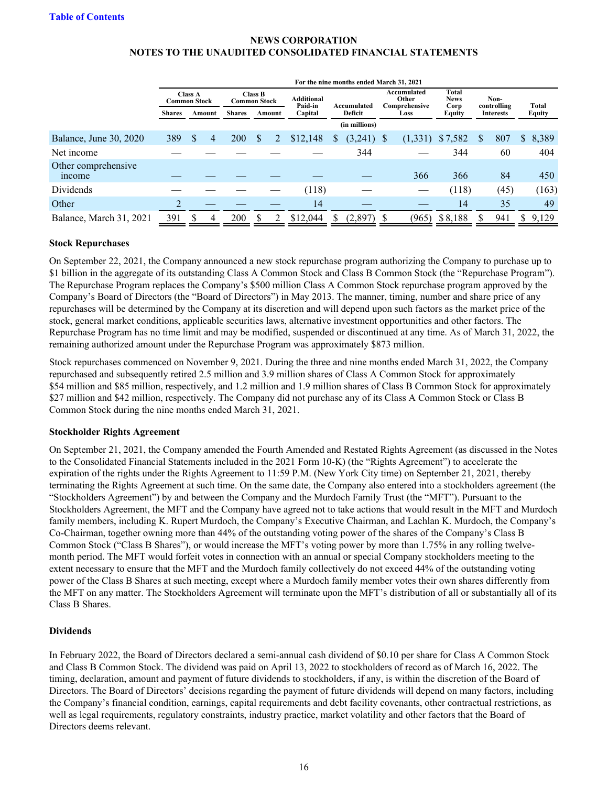|                              | For the nine months ended March 31, 2021 |                |                                |               |  |                       |          |             |               |                                       |                                     |                     |   |           |       |               |
|------------------------------|------------------------------------------|----------------|--------------------------------|---------------|--|-----------------------|----------|-------------|---------------|---------------------------------------|-------------------------------------|---------------------|---|-----------|-------|---------------|
|                              | <b>Common Stock</b>                      | <b>Class A</b> | <b>Class B</b><br>Common Stock |               |  | Additional<br>Paid-in |          | Accumulated |               | Accumulated<br>Other<br>Comprehensive | <b>Total</b><br><b>News</b><br>Corp | Non-<br>controlling |   |           | Total |               |
|                              | <b>Shares</b>                            |                | Amount                         | <b>Shares</b> |  | Amount                | Capital  |             | Deficit       |                                       | Loss                                | Equity              |   | Interests |       | <b>Equity</b> |
|                              |                                          |                |                                |               |  |                       |          |             | (in millions) |                                       |                                     |                     |   |           |       |               |
| Balance, June 30, 2020       | 389                                      | \$             | 4                              | 200           |  | 2                     | \$12,148 | S           | $(3,241)$ \$  |                                       | (1,331)                             | \$7,582             | S | 807       | S     | 8,389         |
| Net income                   |                                          |                |                                |               |  |                       |          |             | 344           |                                       |                                     | 344                 |   | 60        |       | 404           |
| Other comprehensive<br>mcome |                                          |                |                                |               |  |                       |          |             |               |                                       | 366                                 | 366                 |   | 84        |       | 450           |
| Dividends                    |                                          |                |                                |               |  |                       | (118)    |             |               |                                       |                                     | (118)               |   | (45)      |       | (163)         |
| Other                        |                                          |                |                                |               |  |                       | 14       |             |               |                                       |                                     | 14                  |   | 35        |       | 49            |
| Balance, March 31, 2021      | 391                                      | ה.             | 4                              | 200           |  |                       | \$12,044 |             | (2,897)       |                                       | (965)                               | \$8,188             |   | 941       | S     | 9,129         |

#### **Stock Repurchases**

On September 22, 2021, the Company announced a new stock repurchase program authorizing the Company to purchase up to \$1 billion in the aggregate of its outstanding Class A Common Stock and Class B Common Stock (the "Repurchase Program"). The Repurchase Program replaces the Company's \$500 million Class A Common Stock repurchase program approved by the Company's Board of Directors (the "Board of Directors") in May 2013. The manner, timing, number and share price of any repurchases will be determined by the Company at its discretion and will depend upon such factors as the market price of the stock, general market conditions, applicable securities laws, alternative investment opportunities and other factors. The Repurchase Program has no time limit and may be modified, suspended or discontinued at any time. As of March 31, 2022, the remaining authorized amount under the Repurchase Program was approximately \$873 million.

Stock repurchases commenced on November 9, 2021. During the three and nine months ended March 31, 2022, the Company repurchased and subsequently retired 2.5 million and 3.9 million shares of Class A Common Stock for approximately \$54 million and \$85 million, respectively, and 1.2 million and 1.9 million shares of Class B Common Stock for approximately \$27 million and \$42 million, respectively. The Company did not purchase any of its Class A Common Stock or Class B Common Stock during the nine months ended March 31, 2021.

#### **Stockholder Rights Agreement**

On September 21, 2021, the Company amended the Fourth Amended and Restated Rights Agreement (as discussed in the Notes to the Consolidated Financial Statements included in the 2021 Form 10-K) (the "Rights Agreement") to accelerate the expiration of the rights under the Rights Agreement to 11:59 P.M. (New York City time) on September 21, 2021, thereby terminating the Rights Agreement at such time. On the same date, the Company also entered into a stockholders agreement (the "Stockholders Agreement") by and between the Company and the Murdoch Family Trust (the "MFT"). Pursuant to the Stockholders Agreement, the MFT and the Company have agreed not to take actions that would result in the MFT and Murdoch family members, including K. Rupert Murdoch, the Company's Executive Chairman, and Lachlan K. Murdoch, the Company's Co-Chairman, together owning more than 44% of the outstanding voting power of the shares of the Company's Class B Common Stock ("Class B Shares"), or would increase the MFT's voting power by more than 1.75% in any rolling twelvemonth period. The MFT would forfeit votes in connection with an annual or special Company stockholders meeting to the extent necessary to ensure that the MFT and the Murdoch family collectively do not exceed 44% of the outstanding voting power of the Class B Shares at such meeting, except where a Murdoch family member votes their own shares differently from the MFT on any matter. The Stockholders Agreement will terminate upon the MFT's distribution of all or substantially all of its Class B Shares.

#### **Dividends**

In February 2022, the Board of Directors declared a semi-annual cash dividend of \$0.10 per share for Class A Common Stock and Class B Common Stock. The dividend was paid on April 13, 2022 to stockholders of record as of March 16, 2022. The timing, declaration, amount and payment of future dividends to stockholders, if any, is within the discretion of the Board of Directors. The Board of Directors' decisions regarding the payment of future dividends will depend on many factors, including the Company's financial condition, earnings, capital requirements and debt facility covenants, other contractual restrictions, as well as legal requirements, regulatory constraints, industry practice, market volatility and other factors that the Board of Directors deems relevant.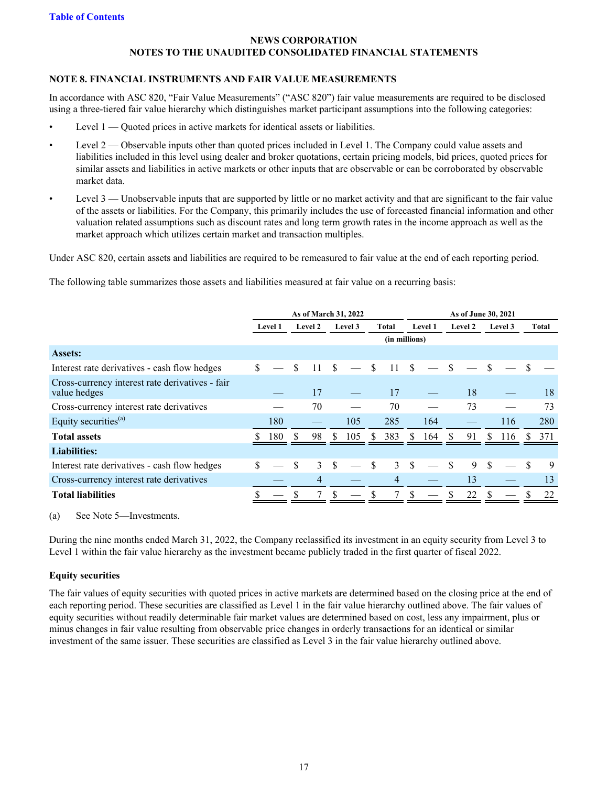#### **NOTE 8. FINANCIAL INSTRUMENTS AND FAIR VALUE MEASUREMENTS**

In accordance with ASC 820, "Fair Value Measurements" ("ASC 820") fair value measurements are required to be disclosed using a three-tiered fair value hierarchy which distinguishes market participant assumptions into the following categories:

- Level  $1 -$ Quoted prices in active markets for identical assets or liabilities.
- Level 2 Observable inputs other than quoted prices included in Level 1. The Company could value assets and liabilities included in this level using dealer and broker quotations, certain pricing models, bid prices, quoted prices for similar assets and liabilities in active markets or other inputs that are observable or can be corroborated by observable market data.
- Level 3 Unobservable inputs that are supported by little or no market activity and that are significant to the fair value of the assets or liabilities. For the Company, this primarily includes the use of forecasted financial information and other valuation related assumptions such as discount rates and long term growth rates in the income approach as well as the market approach which utilizes certain market and transaction multiples.

Under ASC 820, certain assets and liabilities are required to be remeasured to fair value at the end of each reporting period.

The following table summarizes those assets and liabilities measured at fair value on a recurring basis:

|                                                                 | As of March 31, 2022 |         |     |         |               |         |    |               | As of June 30, 2021 |                |               |                |    |         |    |       |
|-----------------------------------------------------------------|----------------------|---------|-----|---------|---------------|---------|----|---------------|---------------------|----------------|---------------|----------------|----|---------|----|-------|
|                                                                 |                      | Level 1 |     | Level 2 |               | Level 3 |    | Total         |                     | <b>Level 1</b> |               | <b>Level 2</b> |    | Level 3 |    | Total |
|                                                                 |                      |         |     |         |               |         |    | (in millions) |                     |                |               |                |    |         |    |       |
| <b>Assets:</b>                                                  |                      |         |     |         |               |         |    |               |                     |                |               |                |    |         |    |       |
| Interest rate derivatives - cash flow hedges                    | \$                   |         | \$  | 11      | -S            |         | \$ | 11            | \$.                 |                |               |                |    |         |    |       |
| Cross-currency interest rate derivatives - fair<br>value hedges |                      |         |     | 17      |               |         |    | 17            |                     |                |               | 18             |    |         |    | 18    |
| Cross-currency interest rate derivatives                        |                      |         |     | 70      |               |         |    | 70            |                     |                |               | 73             |    |         |    | 73    |
| Equity securities <sup>(a)</sup>                                |                      | 180     |     |         |               | 105     |    | 285           |                     | 164            |               |                |    | 116     |    | 280   |
| <b>Total assets</b>                                             |                      | 180     |     | 98      |               | 105     |    | 383           | S.                  | 164            |               | 91             |    | 116     |    | 371   |
| <b>Liabilities:</b>                                             |                      |         |     |         |               |         |    |               |                     |                |               |                |    |         |    |       |
| Interest rate derivatives - cash flow hedges                    | \$                   |         | \$. | 3       | <sup>\$</sup> |         | S  | $\mathcal{E}$ | <sup>\$</sup>       |                | <sup>\$</sup> | 9              | \$ |         | \$ | 9     |
| Cross-currency interest rate derivatives                        |                      |         |     | 4       |               |         |    | 4             |                     |                |               | 13             |    |         |    | 13    |
| <b>Total liabilities</b>                                        |                      |         |     |         |               |         |    |               |                     |                |               | 22             |    |         |    |       |

(a) See Note 5—Investments.

During the nine months ended March 31, 2022, the Company reclassified its investment in an equity security from Level 3 to Level 1 within the fair value hierarchy as the investment became publicly traded in the first quarter of fiscal 2022.

#### **Equity securities**

The fair values of equity securities with quoted prices in active markets are determined based on the closing price at the end of each reporting period. These securities are classified as Level 1 in the fair value hierarchy outlined above. The fair values of equity securities without readily determinable fair market values are determined based on cost, less any impairment, plus or minus changes in fair value resulting from observable price changes in orderly transactions for an identical or similar investment of the same issuer. These securities are classified as Level 3 in the fair value hierarchy outlined above.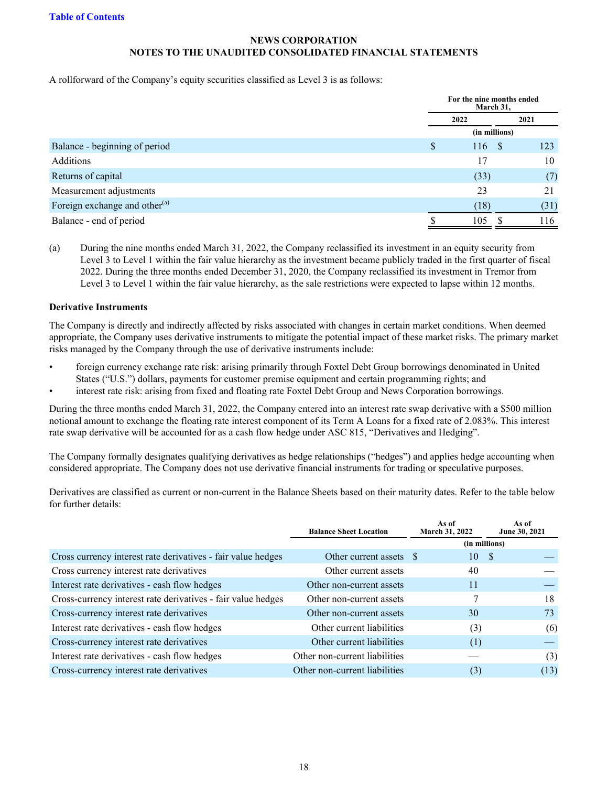## **NEWS CORPORATION NOTES TO THE UNAUDITED CONSOLIDATED FINANCIAL STATEMENTS**

A rollforward of the Company's equity securities classified as Level 3 is as follows:

|                                           | For the nine months ended<br>March 31, |               |      |  |  |  |  |  |
|-------------------------------------------|----------------------------------------|---------------|------|--|--|--|--|--|
|                                           | 2022                                   | 2021          |      |  |  |  |  |  |
|                                           |                                        | (in millions) |      |  |  |  |  |  |
| Balance - beginning of period             | \$<br>116S                             |               | 123  |  |  |  |  |  |
| <b>Additions</b>                          | 17                                     |               | 10   |  |  |  |  |  |
| Returns of capital                        | (33)                                   |               | (7)  |  |  |  |  |  |
| Measurement adjustments                   | 23                                     |               | 21   |  |  |  |  |  |
| Foreign exchange and other <sup>(a)</sup> | (18)                                   |               | (31) |  |  |  |  |  |
| Balance - end of period                   | 105                                    |               | 116  |  |  |  |  |  |

(a) During the nine months ended March 31, 2022, the Company reclassified its investment in an equity security from Level 3 to Level 1 within the fair value hierarchy as the investment became publicly traded in the first quarter of fiscal 2022. During the three months ended December 31, 2020, the Company reclassified its investment in Tremor from Level 3 to Level 1 within the fair value hierarchy, as the sale restrictions were expected to lapse within 12 months.

#### **Derivative Instruments**

The Company is directly and indirectly affected by risks associated with changes in certain market conditions. When deemed appropriate, the Company uses derivative instruments to mitigate the potential impact of these market risks. The primary market risks managed by the Company through the use of derivative instruments include:

- foreign currency exchange rate risk: arising primarily through Foxtel Debt Group borrowings denominated in United States ("U.S.") dollars, payments for customer premise equipment and certain programming rights; and
- interest rate risk: arising from fixed and floating rate Foxtel Debt Group and News Corporation borrowings.

During the three months ended March 31, 2022, the Company entered into an interest rate swap derivative with a \$500 million notional amount to exchange the floating rate interest component of its Term A Loans for a fixed rate of 2.083%. This interest rate swap derivative will be accounted for as a cash flow hedge under ASC 815, "Derivatives and Hedging".

The Company formally designates qualifying derivatives as hedge relationships ("hedges") and applies hedge accounting when considered appropriate. The Company does not use derivative financial instruments for trading or speculative purposes.

Derivatives are classified as current or non-current in the Balance Sheets based on their maturity dates. Refer to the table below for further details:

|                                                              | <b>Balance Sheet Location</b> | As of<br>March 31, 2022 | As of<br>June 30, 2021 |
|--------------------------------------------------------------|-------------------------------|-------------------------|------------------------|
|                                                              |                               |                         | (in millions)          |
| Cross currency interest rate derivatives - fair value hedges | Other current assets \$       | 10                      | - S                    |
| Cross currency interest rate derivatives                     | Other current assets          | 40                      |                        |
| Interest rate derivatives - cash flow hedges                 | Other non-current assets      | 11                      |                        |
| Cross-currency interest rate derivatives - fair value hedges | Other non-current assets      |                         | 18                     |
| Cross-currency interest rate derivatives                     | Other non-current assets      | 30                      | 73                     |
| Interest rate derivatives - cash flow hedges                 | Other current liabilities     | (3)                     | (6)                    |
| Cross-currency interest rate derivatives                     | Other current liabilities     | (1)                     |                        |
| Interest rate derivatives - cash flow hedges                 | Other non-current liabilities |                         | (3)                    |
| Cross-currency interest rate derivatives                     | Other non-current liabilities | (3)                     | (13)                   |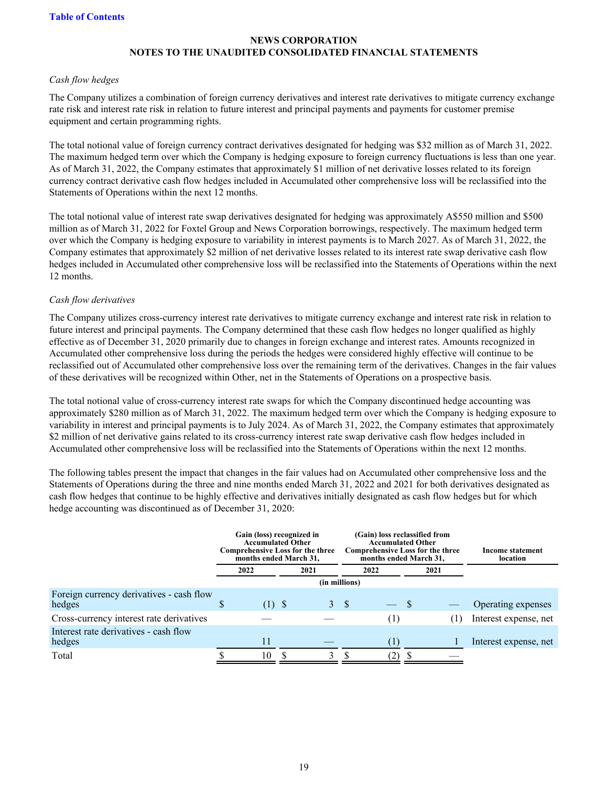#### *Cash flow hedges*

The Company utilizes a combination of foreign currency derivatives and interest rate derivatives to mitigate currency exchange rate risk and interest rate risk in relation to future interest and principal payments and payments for customer premise equipment and certain programming rights.

The total notional value of foreign currency contract derivatives designated for hedging was \$32 million as of March 31, 2022. The maximum hedged term over which the Company is hedging exposure to foreign currency fluctuations is less than one year. As of March 31, 2022, the Company estimates that approximately \$1 million of net derivative losses related to its foreign currency contract derivative cash flow hedges included in Accumulated other comprehensive loss will be reclassified into the Statements of Operations within the next 12 months.

The total notional value of interest rate swap derivatives designated for hedging was approximately A\$550 million and \$500 million as of March 31, 2022 for Foxtel Group and News Corporation borrowings, respectively. The maximum hedged term over which the Company is hedging exposure to variability in interest payments is to March 2027. As of March 31, 2022, the Company estimates that approximately \$2 million of net derivative losses related to its interest rate swap derivative cash flow hedges included in Accumulated other comprehensive loss will be reclassified into the Statements of Operations within the next 12 months.

#### *Cash flow derivatives*

The Company utilizes cross-currency interest rate derivatives to mitigate currency exchange and interest rate risk in relation to future interest and principal payments. The Company determined that these cash flow hedges no longer qualified as highly effective as of December 31, 2020 primarily due to changes in foreign exchange and interest rates. Amounts recognized in Accumulated other comprehensive loss during the periods the hedges were considered highly effective will continue to be reclassified out of Accumulated other comprehensive loss over the remaining term of the derivatives. Changes in the fair values of these derivatives will be recognized within Other, net in the Statements of Operations on a prospective basis.

The total notional value of cross-currency interest rate swaps for which the Company discontinued hedge accounting was approximately \$280 million as of March 31, 2022. The maximum hedged term over which the Company is hedging exposure to variability in interest and principal payments is to July 2024. As of March 31, 2022, the Company estimates that approximately \$2 million of net derivative gains related to its cross-currency interest rate swap derivative cash flow hedges included in Accumulated other comprehensive loss will be reclassified into the Statements of Operations within the next 12 months.

The following tables present the impact that changes in the fair values had on Accumulated other comprehensive loss and the Statements of Operations during the three and nine months ended March 31, 2022 and 2021 for both derivatives designated as cash flow hedges that continue to be highly effective and derivatives initially designated as cash flow hedges but for which hedge accounting was discontinued as of December 31, 2020:

|                                                    | (Gain) loss reclassified from<br>Gain (loss) recognized in<br><b>Accumulated Other</b><br><b>Accumulated Other</b><br><b>Comprehensive Loss for the three</b><br><b>Comprehensive Loss for the three</b><br>months ended March 31.<br>months ended March 31. |      |                      |   |               | Income statement<br>location |  |     |                       |
|----------------------------------------------------|--------------------------------------------------------------------------------------------------------------------------------------------------------------------------------------------------------------------------------------------------------------|------|----------------------|---|---------------|------------------------------|--|-----|-----------------------|
|                                                    |                                                                                                                                                                                                                                                              | 2022 | 2021<br>2022<br>2021 |   |               |                              |  |     |                       |
|                                                    |                                                                                                                                                                                                                                                              |      |                      |   | (in millions) |                              |  |     |                       |
| Foreign currency derivatives - cash flow<br>hedges |                                                                                                                                                                                                                                                              | (1)  | -S                   | 3 | - S           | $\overline{\phantom{0}}$     |  |     | Operating expenses    |
| Cross-currency interest rate derivatives           |                                                                                                                                                                                                                                                              |      |                      |   |               | (1)                          |  | (1) | Interest expense, net |
| Interest rate derivatives - cash flow<br>hedges    |                                                                                                                                                                                                                                                              |      |                      |   |               | <sup>(1)</sup>               |  |     | Interest expense, net |
| Total                                              |                                                                                                                                                                                                                                                              | 10   |                      |   |               | (2)                          |  |     |                       |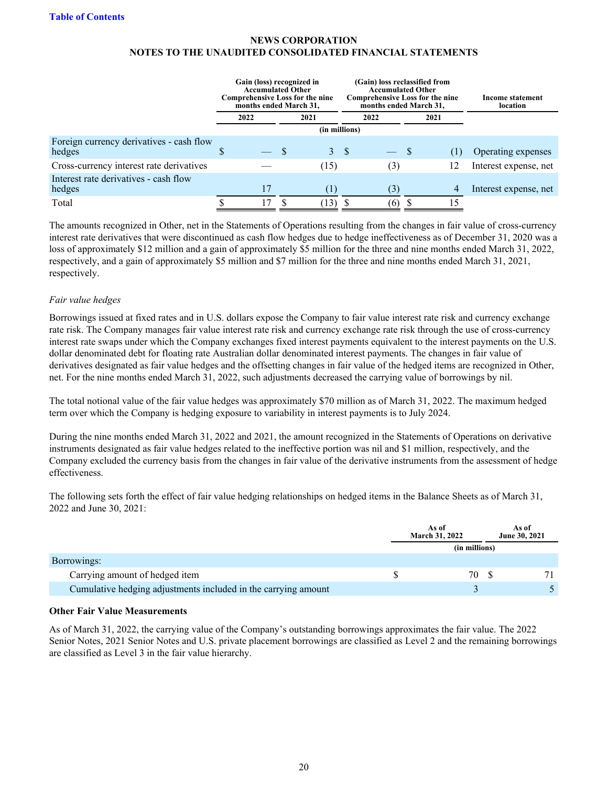|                                                    | (Gain) loss reclassified from<br>Gain (loss) recognized in<br><b>Accumulated Other</b><br><b>Accumulated Other</b><br><b>Comprehensive Loss for the nine</b><br>Comprehensive Loss for the nine<br>months ended March 31,<br>months ended March 31, |      |                      |      | Income statement<br>location |     |                       |
|----------------------------------------------------|-----------------------------------------------------------------------------------------------------------------------------------------------------------------------------------------------------------------------------------------------------|------|----------------------|------|------------------------------|-----|-----------------------|
|                                                    |                                                                                                                                                                                                                                                     | 2022 | 2021<br>2022<br>2021 |      |                              |     |                       |
|                                                    | (in millions)<br>S<br>$\mathfrak{Z}$<br>- \$                                                                                                                                                                                                        |      |                      |      |                              |     |                       |
| Foreign currency derivatives - cash flow<br>hedges |                                                                                                                                                                                                                                                     |      |                      |      | $\frac{1}{2}$                | (1) | Operating expenses    |
| Cross-currency interest rate derivatives           |                                                                                                                                                                                                                                                     |      |                      | (15) | (3)                          | 12  | Interest expense, net |
| Interest rate derivatives - cash flow<br>hedges    |                                                                                                                                                                                                                                                     | 17   |                      |      | (3)                          | 4   | Interest expense, net |
| Total                                              |                                                                                                                                                                                                                                                     |      |                      | 13)  | (6)                          | 15  |                       |

The amounts recognized in Other, net in the Statements of Operations resulting from the changes in fair value of cross-currency interest rate derivatives that were discontinued as cash flow hedges due to hedge ineffectiveness as of December 31, 2020 was a loss of approximately \$12 million and a gain of approximately \$5 million for the three and nine months ended March 31, 2022, respectively, and a gain of approximately \$5 million and \$7 million for the three and nine months ended March 31, 2021, respectively.

#### *Fair value hedges*

Borrowings issued at fixed rates and in U.S. dollars expose the Company to fair value interest rate risk and currency exchange rate risk. The Company manages fair value interest rate risk and currency exchange rate risk through the use of cross-currency interest rate swaps under which the Company exchanges fixed interest payments equivalent to the interest payments on the U.S. dollar denominated debt for floating rate Australian dollar denominated interest payments. The changes in fair value of derivatives designated as fair value hedges and the offsetting changes in fair value of the hedged items are recognized in Other, net. For the nine months ended March 31, 2022, such adjustments decreased the carrying value of borrowings by nil.

The total notional value of the fair value hedges was approximately \$70 million as of March 31, 2022. The maximum hedged term over which the Company is hedging exposure to variability in interest payments is to July 2024.

During the nine months ended March 31, 2022 and 2021, the amount recognized in the Statements of Operations on derivative instruments designated as fair value hedges related to the ineffective portion was nil and \$1 million, respectively, and the Company excluded the currency basis from the changes in fair value of the derivative instruments from the assessment of hedge effectiveness.

The following sets forth the effect of fair value hedging relationships on hedged items in the Balance Sheets as of March 31, 2022 and June 30, 2021:

|                                                                |               | As of<br><b>March 31, 2022</b> | As of<br>June 30, 2021 |  |  |  |  |
|----------------------------------------------------------------|---------------|--------------------------------|------------------------|--|--|--|--|
|                                                                | (in millions) |                                |                        |  |  |  |  |
| Borrowings:                                                    |               |                                |                        |  |  |  |  |
| Carrying amount of hedged item                                 |               | 70                             |                        |  |  |  |  |
| Cumulative hedging adjustments included in the carrying amount |               |                                |                        |  |  |  |  |

#### **Other Fair Value Measurements**

As of March 31, 2022, the carrying value of the Company's outstanding borrowings approximates the fair value. The 2022 Senior Notes, 2021 Senior Notes and U.S. private placement borrowings are classified as Level 2 and the remaining borrowings are classified as Level 3 in the fair value hierarchy.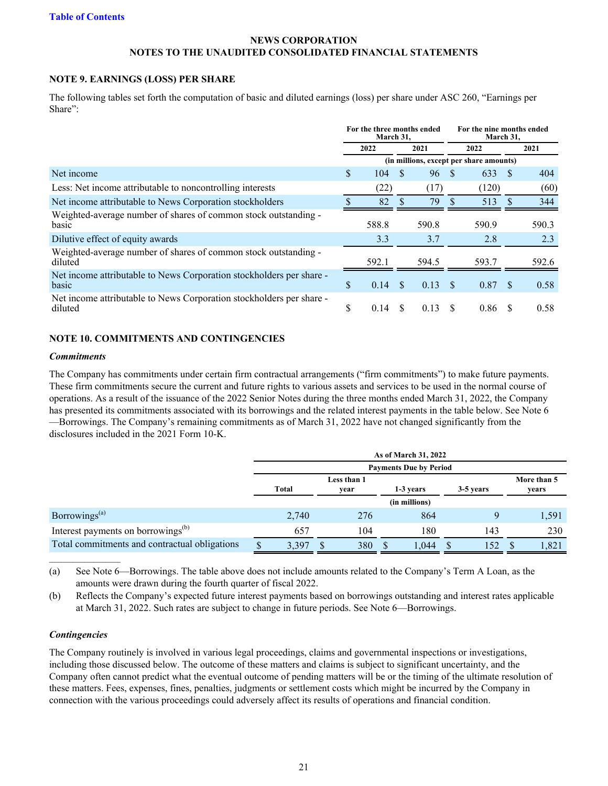## **NOTE 9. EARNINGS (LOSS) PER SHARE**

The following tables set forth the computation of basic and diluted earnings (loss) per share under ASC 260, "Earnings per Share":

|                                                                                 | For the three months ended<br>March 31, |       |          |       | For the nine months ended<br>March 31, |                                         |               |       |
|---------------------------------------------------------------------------------|-----------------------------------------|-------|----------|-------|----------------------------------------|-----------------------------------------|---------------|-------|
|                                                                                 |                                         | 2022  |          | 2021  |                                        | 2022                                    |               | 2021  |
|                                                                                 |                                         |       |          |       |                                        | (in millions, except per share amounts) |               |       |
| Net income                                                                      | \$.                                     | 104   | <b>S</b> | 96    | -8                                     | 633                                     | <b>S</b>      | 404   |
| Less: Net income attributable to noncontrolling interests                       |                                         | (22)  |          | (17)  |                                        | (120)                                   |               | (60)  |
| Net income attributable to News Corporation stockholders                        |                                         | 82    |          | 79    |                                        | 513                                     |               | 344   |
| Weighted-average number of shares of common stock outstanding -<br>basic        |                                         | 588.8 |          | 590.8 |                                        | 590.9                                   |               | 590.3 |
| Dilutive effect of equity awards                                                |                                         | 3.3   |          | 3.7   |                                        | 2.8                                     |               | 2.3   |
| Weighted-average number of shares of common stock outstanding -<br>diluted      |                                         | 592.1 |          | 594.5 |                                        | 593.7                                   |               | 592.6 |
| Net income attributable to News Corporation stockholders per share -<br>basic   | \$                                      | 0.14  | <b>S</b> | 0.13  | <sup>\$</sup>                          | 0.87                                    | <sup>\$</sup> | 0.58  |
| Net income attributable to News Corporation stockholders per share -<br>diluted | \$                                      | 0.14  | S        | 0.13  |                                        | 0.86                                    | S.            | 0.58  |

## **NOTE 10. COMMITMENTS AND CONTINGENCIES**

#### *Commitments*

The Company has commitments under certain firm contractual arrangements ("firm commitments") to make future payments. These firm commitments secure the current and future rights to various assets and services to be used in the normal course of operations. As a result of the issuance of the 2022 Senior Notes during the three months ended March 31, 2022, the Company has presented its commitments associated with its borrowings and the related interest payments in the table below. See Note 6 —Borrowings. The Company's remaining commitments as of March 31, 2022 have not changed significantly from the disclosures included in the 2021 Form 10-K.

|                                                |                               |              |                     |     |  | As of March 31, 2022 |  |           |  |                      |
|------------------------------------------------|-------------------------------|--------------|---------------------|-----|--|----------------------|--|-----------|--|----------------------|
|                                                | <b>Payments Due by Period</b> |              |                     |     |  |                      |  |           |  |                      |
|                                                |                               | <b>Total</b> | Less than 1<br>vear |     |  | 1-3 years            |  | 3-5 years |  | More than 5<br>years |
|                                                |                               |              |                     |     |  | (in millions)        |  |           |  |                      |
| Borrowings <sup>(a)</sup>                      |                               | 2,740        |                     | 276 |  | 864                  |  |           |  | 1,591                |
| Interest payments on borrowings <sup>(b)</sup> |                               | 657          |                     | 104 |  | 180                  |  | 143       |  | 230                  |
| Total commitments and contractual obligations  | S                             | 3.397        |                     | 380 |  | .044                 |  | 152       |  | 1,821                |

(a) See Note 6—Borrowings. The table above does not include amounts related to the Company's Term A Loan, as the amounts were drawn during the fourth quarter of fiscal 2022.

(b) Reflects the Company's expected future interest payments based on borrowings outstanding and interest rates applicable at March 31, 2022. Such rates are subject to change in future periods. See Note 6—Borrowings.

#### *Contingencies*

**\_\_\_\_\_\_\_\_\_\_\_\_\_\_\_\_\_\_\_\_\_\_\_\_**

The Company routinely is involved in various legal proceedings, claims and governmental inspections or investigations, including those discussed below. The outcome of these matters and claims is subject to significant uncertainty, and the Company often cannot predict what the eventual outcome of pending matters will be or the timing of the ultimate resolution of these matters. Fees, expenses, fines, penalties, judgments or settlement costs which might be incurred by the Company in connection with the various proceedings could adversely affect its results of operations and financial condition.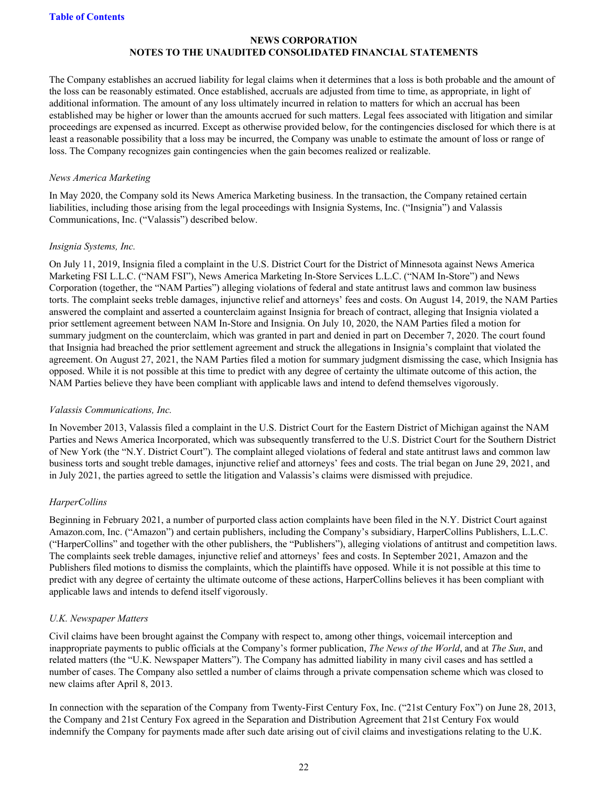The Company establishes an accrued liability for legal claims when it determines that a loss is both probable and the amount of the loss can be reasonably estimated. Once established, accruals are adjusted from time to time, as appropriate, in light of additional information. The amount of any loss ultimately incurred in relation to matters for which an accrual has been established may be higher or lower than the amounts accrued for such matters. Legal fees associated with litigation and similar proceedings are expensed as incurred. Except as otherwise provided below, for the contingencies disclosed for which there is at least a reasonable possibility that a loss may be incurred, the Company was unable to estimate the amount of loss or range of loss. The Company recognizes gain contingencies when the gain becomes realized or realizable.

#### *News America Marketing*

In May 2020, the Company sold its News America Marketing business. In the transaction, the Company retained certain liabilities, including those arising from the legal proceedings with Insignia Systems, Inc. ("Insignia") and Valassis Communications, Inc. ("Valassis") described below.

#### *Insignia Systems, Inc.*

On July 11, 2019, Insignia filed a complaint in the U.S. District Court for the District of Minnesota against News America Marketing FSI L.L.C. ("NAM FSI"), News America Marketing In-Store Services L.L.C. ("NAM In-Store") and News Corporation (together, the "NAM Parties") alleging violations of federal and state antitrust laws and common law business torts. The complaint seeks treble damages, injunctive relief and attorneys' fees and costs. On August 14, 2019, the NAM Parties answered the complaint and asserted a counterclaim against Insignia for breach of contract, alleging that Insignia violated a prior settlement agreement between NAM In-Store and Insignia. On July 10, 2020, the NAM Parties filed a motion for summary judgment on the counterclaim, which was granted in part and denied in part on December 7, 2020. The court found that Insignia had breached the prior settlement agreement and struck the allegations in Insignia's complaint that violated the agreement. On August 27, 2021, the NAM Parties filed a motion for summary judgment dismissing the case, which Insignia has opposed. While it is not possible at this time to predict with any degree of certainty the ultimate outcome of this action, the NAM Parties believe they have been compliant with applicable laws and intend to defend themselves vigorously.

#### *Valassis Communications, Inc.*

In November 2013, Valassis filed a complaint in the U.S. District Court for the Eastern District of Michigan against the NAM Parties and News America Incorporated, which was subsequently transferred to the U.S. District Court for the Southern District of New York (the "N.Y. District Court"). The complaint alleged violations of federal and state antitrust laws and common law business torts and sought treble damages, injunctive relief and attorneys' fees and costs. The trial began on June 29, 2021, and in July 2021, the parties agreed to settle the litigation and Valassis's claims were dismissed with prejudice.

#### *HarperCollins*

Beginning in February 2021, a number of purported class action complaints have been filed in the N.Y. District Court against Amazon.com, Inc. ("Amazon") and certain publishers, including the Company's subsidiary, HarperCollins Publishers, L.L.C. ("HarperCollins" and together with the other publishers, the "Publishers"), alleging violations of antitrust and competition laws. The complaints seek treble damages, injunctive relief and attorneys' fees and costs. In September 2021, Amazon and the Publishers filed motions to dismiss the complaints, which the plaintiffs have opposed. While it is not possible at this time to predict with any degree of certainty the ultimate outcome of these actions, HarperCollins believes it has been compliant with applicable laws and intends to defend itself vigorously.

#### *U.K. Newspaper Matters*

Civil claims have been brought against the Company with respect to, among other things, voicemail interception and inappropriate payments to public officials at the Company's former publication, *The News of the World*, and at *The Sun*, and related matters (the "U.K. Newspaper Matters"). The Company has admitted liability in many civil cases and has settled a number of cases. The Company also settled a number of claims through a private compensation scheme which was closed to new claims after April 8, 2013.

In connection with the separation of the Company from Twenty-First Century Fox, Inc. ("21st Century Fox") on June 28, 2013, the Company and 21st Century Fox agreed in the Separation and Distribution Agreement that 21st Century Fox would indemnify the Company for payments made after such date arising out of civil claims and investigations relating to the U.K.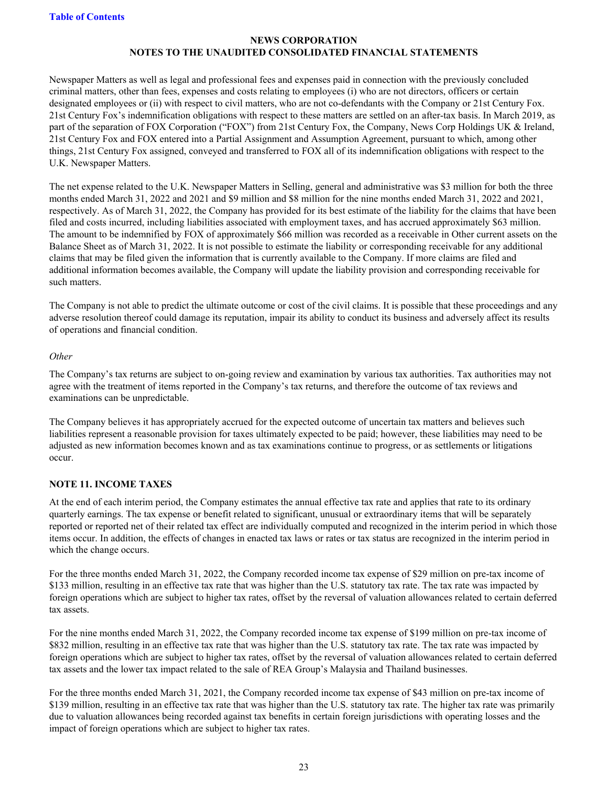Newspaper Matters as well as legal and professional fees and expenses paid in connection with the previously concluded criminal matters, other than fees, expenses and costs relating to employees (i) who are not directors, officers or certain designated employees or (ii) with respect to civil matters, who are not co-defendants with the Company or 21st Century Fox. 21st Century Fox's indemnification obligations with respect to these matters are settled on an after-tax basis. In March 2019, as part of the separation of FOX Corporation ("FOX") from 21st Century Fox, the Company, News Corp Holdings UK & Ireland, 21st Century Fox and FOX entered into a Partial Assignment and Assumption Agreement, pursuant to which, among other things, 21st Century Fox assigned, conveyed and transferred to FOX all of its indemnification obligations with respect to the U.K. Newspaper Matters.

The net expense related to the U.K. Newspaper Matters in Selling, general and administrative was \$3 million for both the three months ended March 31, 2022 and 2021 and \$9 million and \$8 million for the nine months ended March 31, 2022 and 2021, respectively. As of March 31, 2022, the Company has provided for its best estimate of the liability for the claims that have been filed and costs incurred, including liabilities associated with employment taxes, and has accrued approximately \$63 million. The amount to be indemnified by FOX of approximately \$66 million was recorded as a receivable in Other current assets on the Balance Sheet as of March 31, 2022. It is not possible to estimate the liability or corresponding receivable for any additional claims that may be filed given the information that is currently available to the Company. If more claims are filed and additional information becomes available, the Company will update the liability provision and corresponding receivable for such matters.

The Company is not able to predict the ultimate outcome or cost of the civil claims. It is possible that these proceedings and any adverse resolution thereof could damage its reputation, impair its ability to conduct its business and adversely affect its results of operations and financial condition.

#### *Other*

The Company's tax returns are subject to on-going review and examination by various tax authorities. Tax authorities may not agree with the treatment of items reported in the Company's tax returns, and therefore the outcome of tax reviews and examinations can be unpredictable.

The Company believes it has appropriately accrued for the expected outcome of uncertain tax matters and believes such liabilities represent a reasonable provision for taxes ultimately expected to be paid; however, these liabilities may need to be adjusted as new information becomes known and as tax examinations continue to progress, or as settlements or litigations occur.

#### **NOTE 11. INCOME TAXES**

At the end of each interim period, the Company estimates the annual effective tax rate and applies that rate to its ordinary quarterly earnings. The tax expense or benefit related to significant, unusual or extraordinary items that will be separately reported or reported net of their related tax effect are individually computed and recognized in the interim period in which those items occur. In addition, the effects of changes in enacted tax laws or rates or tax status are recognized in the interim period in which the change occurs.

For the three months ended March 31, 2022, the Company recorded income tax expense of \$29 million on pre-tax income of \$133 million, resulting in an effective tax rate that was higher than the U.S. statutory tax rate. The tax rate was impacted by foreign operations which are subject to higher tax rates, offset by the reversal of valuation allowances related to certain deferred tax assets.

For the nine months ended March 31, 2022, the Company recorded income tax expense of \$199 million on pre-tax income of \$832 million, resulting in an effective tax rate that was higher than the U.S. statutory tax rate. The tax rate was impacted by foreign operations which are subject to higher tax rates, offset by the reversal of valuation allowances related to certain deferred tax assets and the lower tax impact related to the sale of REA Group's Malaysia and Thailand businesses.

For the three months ended March 31, 2021, the Company recorded income tax expense of \$43 million on pre-tax income of \$139 million, resulting in an effective tax rate that was higher than the U.S. statutory tax rate. The higher tax rate was primarily due to valuation allowances being recorded against tax benefits in certain foreign jurisdictions with operating losses and the impact of foreign operations which are subject to higher tax rates.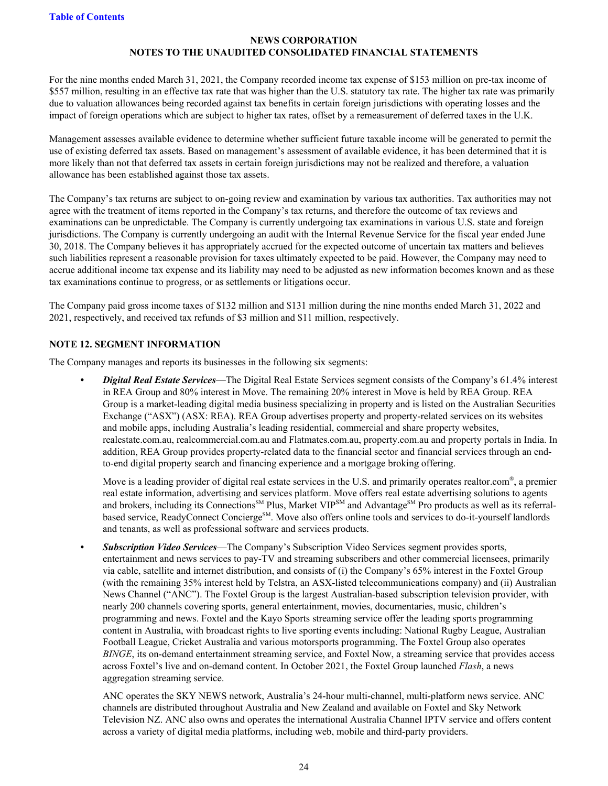For the nine months ended March 31, 2021, the Company recorded income tax expense of \$153 million on pre-tax income of \$557 million, resulting in an effective tax rate that was higher than the U.S. statutory tax rate. The higher tax rate was primarily due to valuation allowances being recorded against tax benefits in certain foreign jurisdictions with operating losses and the impact of foreign operations which are subject to higher tax rates, offset by a remeasurement of deferred taxes in the U.K.

Management assesses available evidence to determine whether sufficient future taxable income will be generated to permit the use of existing deferred tax assets. Based on management's assessment of available evidence, it has been determined that it is more likely than not that deferred tax assets in certain foreign jurisdictions may not be realized and therefore, a valuation allowance has been established against those tax assets.

The Company's tax returns are subject to on-going review and examination by various tax authorities. Tax authorities may not agree with the treatment of items reported in the Company's tax returns, and therefore the outcome of tax reviews and examinations can be unpredictable. The Company is currently undergoing tax examinations in various U.S. state and foreign jurisdictions. The Company is currently undergoing an audit with the Internal Revenue Service for the fiscal year ended June 30, 2018. The Company believes it has appropriately accrued for the expected outcome of uncertain tax matters and believes such liabilities represent a reasonable provision for taxes ultimately expected to be paid. However, the Company may need to accrue additional income tax expense and its liability may need to be adjusted as new information becomes known and as these tax examinations continue to progress, or as settlements or litigations occur.

The Company paid gross income taxes of \$132 million and \$131 million during the nine months ended March 31, 2022 and 2021, respectively, and received tax refunds of \$3 million and \$11 million, respectively.

## **NOTE 12. SEGMENT INFORMATION**

The Company manages and reports its businesses in the following six segments:

*• Digital Real Estate Services*—The Digital Real Estate Services segment consists of the Company's 61.4% interest in REA Group and 80% interest in Move. The remaining 20% interest in Move is held by REA Group. REA Group is a market-leading digital media business specializing in property and is listed on the Australian Securities Exchange ("ASX") (ASX: REA). REA Group advertises property and property-related services on its websites and mobile apps, including Australia's leading residential, commercial and share property websites, realestate.com.au, realcommercial.com.au and Flatmates.com.au, property.com.au and property portals in India. In addition, REA Group provides property-related data to the financial sector and financial services through an endto-end digital property search and financing experience and a mortgage broking offering.

Move is a leading provider of digital real estate services in the U.S. and primarily operates realtor.com<sup>®</sup>, a premier real estate information, advertising and services platform. Move offers real estate advertising solutions to agents and brokers, including its Connections<sup>SM</sup> Plus, Market VIP<sup>SM</sup> and Advantage<sup>SM</sup> Pro products as well as its referralbased service, ReadyConnect Concierge<sup>SM</sup>. Move also offers online tools and services to do-it-yourself landlords and tenants, as well as professional software and services products.

*• Subscription Video Services*—The Company's Subscription Video Services segment provides sports, entertainment and news services to pay-TV and streaming subscribers and other commercial licensees, primarily via cable, satellite and internet distribution, and consists of (i) the Company's 65% interest in the Foxtel Group (with the remaining 35% interest held by Telstra, an ASX-listed telecommunications company) and (ii) Australian News Channel ("ANC"). The Foxtel Group is the largest Australian-based subscription television provider, with nearly 200 channels covering sports, general entertainment, movies, documentaries, music, children's programming and news. Foxtel and the Kayo Sports streaming service offer the leading sports programming content in Australia, with broadcast rights to live sporting events including: National Rugby League, Australian Football League, Cricket Australia and various motorsports programming. The Foxtel Group also operates *BINGE*, its on-demand entertainment streaming service, and Foxtel Now, a streaming service that provides access across Foxtel's live and on-demand content. In October 2021, the Foxtel Group launched *Flash*, a news aggregation streaming service.

ANC operates the SKY NEWS network, Australia's 24-hour multi-channel, multi-platform news service. ANC channels are distributed throughout Australia and New Zealand and available on Foxtel and Sky Network Television NZ. ANC also owns and operates the international Australia Channel IPTV service and offers content across a variety of digital media platforms, including web, mobile and third-party providers.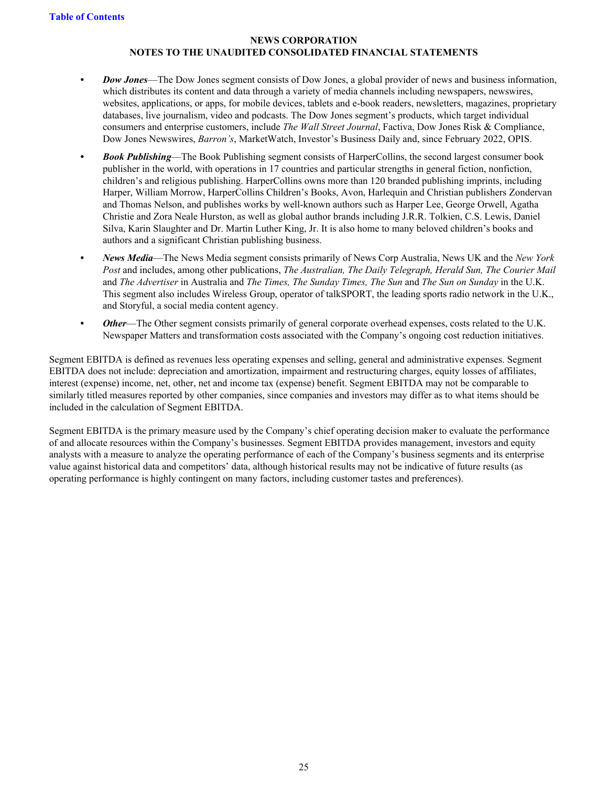- *• Dow Jones*—The Dow Jones segment consists of Dow Jones, a global provider of news and business information, which distributes its content and data through a variety of media channels including newspapers, newswires, websites, applications, or apps, for mobile devices, tablets and e-book readers, newsletters, magazines, proprietary databases, live journalism, video and podcasts. The Dow Jones segment's products, which target individual consumers and enterprise customers, include *The Wall Street Journal*, Factiva, Dow Jones Risk & Compliance, Dow Jones Newswires, *Barron's*, MarketWatch, Investor's Business Daily and, since February 2022, OPIS.
- *• Book Publishing*—The Book Publishing segment consists of HarperCollins, the second largest consumer book publisher in the world, with operations in 17 countries and particular strengths in general fiction, nonfiction, children's and religious publishing. HarperCollins owns more than 120 branded publishing imprints, including Harper, William Morrow, HarperCollins Children's Books, Avon, Harlequin and Christian publishers Zondervan and Thomas Nelson, and publishes works by well-known authors such as Harper Lee, George Orwell, Agatha Christie and Zora Neale Hurston, as well as global author brands including J.R.R. Tolkien, C.S. Lewis, Daniel Silva, Karin Slaughter and Dr. Martin Luther King, Jr. It is also home to many beloved children's books and authors and a significant Christian publishing business.
- *• News Media*—The News Media segment consists primarily of News Corp Australia, News UK and the *New York Post* and includes, among other publications, *The Australian, The Daily Telegraph, Herald Sun, The Courier Mail*  and *The Advertiser* in Australia and *The Times, The Sunday Times, The Sun* and *The Sun on Sunday* in the U.K. This segment also includes Wireless Group, operator of talkSPORT, the leading sports radio network in the U.K., and Storyful, a social media content agency.
- *Other***—The Other segment consists primarily of general corporate overhead expenses, costs related to the U.K.** Newspaper Matters and transformation costs associated with the Company's ongoing cost reduction initiatives.

Segment EBITDA is defined as revenues less operating expenses and selling, general and administrative expenses. Segment EBITDA does not include: depreciation and amortization, impairment and restructuring charges, equity losses of affiliates, interest (expense) income, net, other, net and income tax (expense) benefit. Segment EBITDA may not be comparable to similarly titled measures reported by other companies, since companies and investors may differ as to what items should be included in the calculation of Segment EBITDA.

Segment EBITDA is the primary measure used by the Company's chief operating decision maker to evaluate the performance of and allocate resources within the Company's businesses. Segment EBITDA provides management, investors and equity analysts with a measure to analyze the operating performance of each of the Company's business segments and its enterprise value against historical data and competitors' data, although historical results may not be indicative of future results (as operating performance is highly contingent on many factors, including customer tastes and preferences).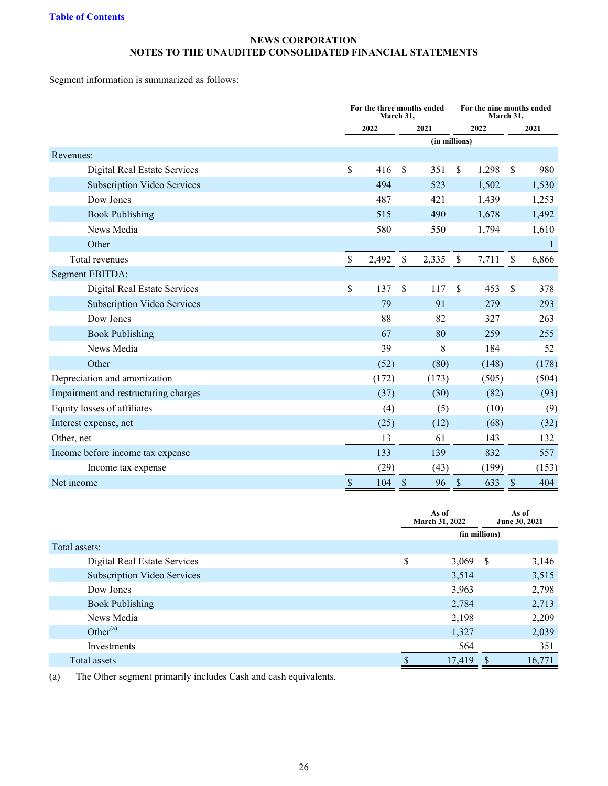Segment information is summarized as follows:

|                                      | For the three months ended<br>March 31. |              |               | For the nine months ended<br>March 31. |       |               |       |
|--------------------------------------|-----------------------------------------|--------------|---------------|----------------------------------------|-------|---------------|-------|
|                                      | 2022                                    |              | 2021          |                                        | 2022  |               | 2021  |
|                                      |                                         |              | (in millions) |                                        |       |               |       |
| Revenues:                            |                                         |              |               |                                        |       |               |       |
| Digital Real Estate Services         | \$<br>416                               | \$           | 351           | \$                                     | 1,298 | <sup>\$</sup> | 980   |
| <b>Subscription Video Services</b>   | 494                                     |              | 523           |                                        | 1,502 |               | 1,530 |
| Dow Jones                            | 487                                     |              | 421           |                                        | 1,439 |               | 1,253 |
| <b>Book Publishing</b>               | 515                                     |              | 490           |                                        | 1,678 |               | 1,492 |
| News Media                           | 580                                     |              | 550           |                                        | 1,794 |               | 1,610 |
| Other                                |                                         |              |               |                                        |       |               |       |
| Total revenues                       | \$<br>2,492                             | $\mathbb{S}$ | 2,335         | $\mathcal{S}$                          | 7,711 | $\mathsf{\$}$ | 6,866 |
| Segment EBITDA:                      |                                         |              |               |                                        |       |               |       |
| Digital Real Estate Services         | \$<br>137                               | \$           | 117           | \$                                     | 453   | \$            | 378   |
| <b>Subscription Video Services</b>   | 79                                      |              | 91            |                                        | 279   |               | 293   |
| Dow Jones                            | 88                                      |              | 82            |                                        | 327   |               | 263   |
| <b>Book Publishing</b>               | 67                                      |              | 80            |                                        | 259   |               | 255   |
| News Media                           | 39                                      |              | 8             |                                        | 184   | 52            |       |
| Other                                | (52)                                    |              | (80)          |                                        | (148) |               | (178) |
| Depreciation and amortization        | (172)                                   |              | (173)         |                                        | (505) |               | (504) |
| Impairment and restructuring charges | (37)                                    |              | (30)          |                                        | (82)  |               | (93)  |
| Equity losses of affiliates          | (4)                                     |              | (5)           |                                        | (10)  |               | (9)   |
| Interest expense, net                | (25)                                    |              | (12)          |                                        | (68)  |               | (32)  |
| Other, net                           | 13                                      |              | 61            |                                        | 143   |               | 132   |
| Income before income tax expense     | 133                                     |              | 139           |                                        | 832   |               | 557   |
| Income tax expense                   | (29)                                    |              | (43)          |                                        | (199) |               | (153) |
| Net income                           | \$<br>104                               | \$           | 96            | $\mathsf{\$}$                          | 633   | $\mathsf{\$}$ | 404   |

|                                    | As of<br>March 31, 2022 |  | As of<br>June 30, 2021 |  |  |  |
|------------------------------------|-------------------------|--|------------------------|--|--|--|
|                                    | (in millions)           |  |                        |  |  |  |
| Total assets:                      |                         |  |                        |  |  |  |
| Digital Real Estate Services       | \$<br>$3,069$ \$        |  | 3,146                  |  |  |  |
| <b>Subscription Video Services</b> | 3,514                   |  | 3,515                  |  |  |  |
| Dow Jones                          | 3,963                   |  | 2,798                  |  |  |  |
| <b>Book Publishing</b>             | 2,784                   |  | 2,713                  |  |  |  |
| News Media                         | 2,198                   |  | 2,209                  |  |  |  |
| Other $(a)$                        | 1,327                   |  | 2,039                  |  |  |  |
| Investments                        | 564                     |  | 351                    |  |  |  |
| Total assets                       | 17,419                  |  | 16,771                 |  |  |  |

(a) The Other segment primarily includes Cash and cash equivalents.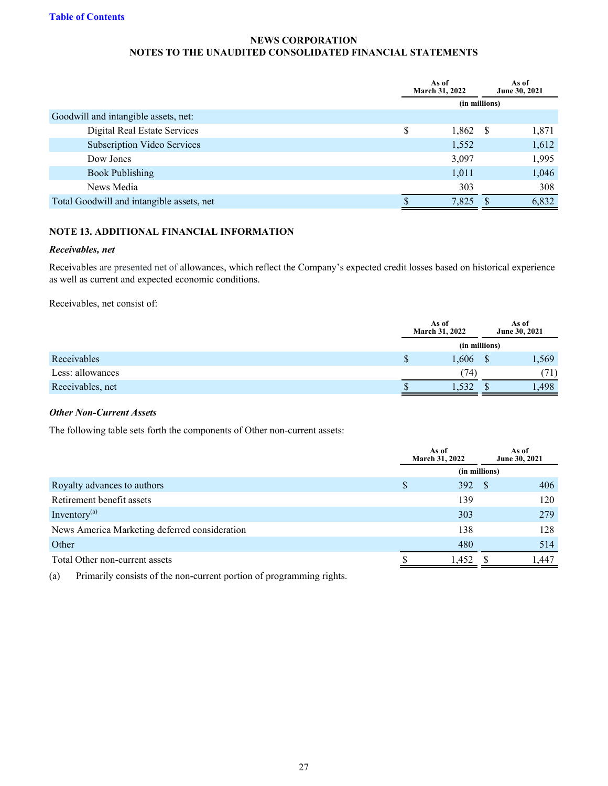|                                           | As of<br><b>March 31, 2022</b> |  | As of<br>June 30, 2021 |  |  |  |
|-------------------------------------------|--------------------------------|--|------------------------|--|--|--|
|                                           | (in millions)                  |  |                        |  |  |  |
| Goodwill and intangible assets, net:      |                                |  |                        |  |  |  |
| Digital Real Estate Services              | \$<br>$1,862$ \$               |  | 1,871                  |  |  |  |
| <b>Subscription Video Services</b>        | 1,552                          |  | 1,612                  |  |  |  |
| Dow Jones                                 | 3,097                          |  | 1,995                  |  |  |  |
| <b>Book Publishing</b>                    | 1,011                          |  | 1,046                  |  |  |  |
| News Media                                | 303                            |  | 308                    |  |  |  |
| Total Goodwill and intangible assets, net | 7,825                          |  | 6,832                  |  |  |  |

## **NOTE 13. ADDITIONAL FINANCIAL INFORMATION**

#### *Receivables, net*

Receivables are presented net of allowances, which reflect the Company's expected credit losses based on historical experience as well as current and expected economic conditions.

Receivables, net consist of:

|                  |    | As of<br><b>March 31, 2022</b> | As of<br>June 30, 2021 |       |  |
|------------------|----|--------------------------------|------------------------|-------|--|
|                  |    |                                | (in millions)          |       |  |
| Receivables      | \$ | 1,606                          |                        | 1,569 |  |
| Less: allowances |    | (74)                           |                        | 71)   |  |
| Receivables, net | S  | 1.532                          |                        | .498  |  |

#### *Other Non-Current Assets*

The following table sets forth the components of Other non-current assets:

|                                               |               | As of<br><b>March 31, 2022</b> |  | As of<br>June 30, 2021 |  |
|-----------------------------------------------|---------------|--------------------------------|--|------------------------|--|
|                                               | (in millions) |                                |  |                        |  |
| Royalty advances to authors                   | S             | 392 \$                         |  | 406                    |  |
| Retirement benefit assets                     |               | 139                            |  | 120                    |  |
| Inventory $(a)$                               |               | 303                            |  | 279                    |  |
| News America Marketing deferred consideration |               | 138                            |  | 128                    |  |
| Other                                         |               | 480                            |  | 514                    |  |
| Total Other non-current assets                |               | 1,452                          |  | 1.447                  |  |

(a) Primarily consists of the non-current portion of programming rights.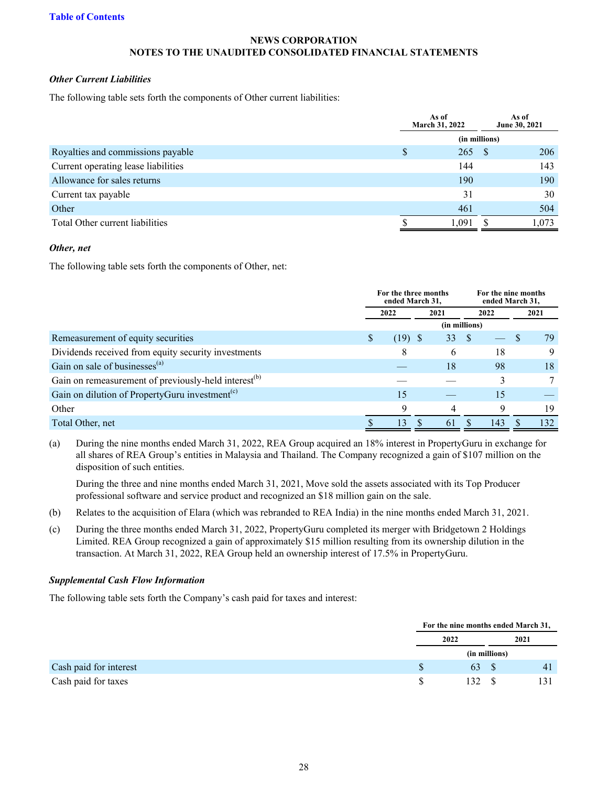## **NEWS CORPORATION NOTES TO THE UNAUDITED CONSOLIDATED FINANCIAL STATEMENTS**

#### *Other Current Liabilities*

The following table sets forth the components of Other current liabilities:

|                                     | As of<br>March 31, 2022 |  | As of<br>June 30, 2021 |
|-------------------------------------|-------------------------|--|------------------------|
|                                     | (in millions)           |  |                        |
| Royalties and commissions payable   | \$<br>265 \$            |  | 206                    |
| Current operating lease liabilities | 144                     |  | 143                    |
| Allowance for sales returns         | 190                     |  | 190                    |
| Current tax payable                 | 31                      |  | 30                     |
| Other                               | 461                     |  | 504                    |
| Total Other current liabilities     | 1,091                   |  | 1.073                  |

#### *Other, net*

The following table sets forth the components of Other, net:

|                                                                  | For the three months<br>ended March 31. |           |      |    |      |     | For the nine months<br>ended March 31, |      |
|------------------------------------------------------------------|-----------------------------------------|-----------|------|----|------|-----|----------------------------------------|------|
|                                                                  |                                         | 2022      | 2021 |    | 2022 |     |                                        | 2021 |
|                                                                  | (in millions)                           |           |      |    |      |     |                                        |      |
| Remeasurement of equity securities                               |                                         | $(19)$ \$ |      | 33 | -S   |     |                                        | 79   |
| Dividends received from equity security investments              |                                         | 8         |      | 6  |      | 18  |                                        | 9    |
| Gain on sale of businesses <sup>(a)</sup>                        |                                         |           |      | 18 |      | 98  |                                        | 18   |
| Gain on remeasurement of previously-held interest <sup>(b)</sup> |                                         |           |      |    |      |     |                                        |      |
| Gain on dilution of PropertyGuru investment <sup>(c)</sup>       |                                         | 15        |      |    |      | 15  |                                        |      |
| Other                                                            |                                         | 9         |      | 4  |      | 9   |                                        | 19   |
| Total Other, net                                                 |                                         | 13        |      | 61 |      | 143 |                                        | 132  |

(a) During the nine months ended March 31, 2022, REA Group acquired an 18% interest in PropertyGuru in exchange for all shares of REA Group's entities in Malaysia and Thailand. The Company recognized a gain of \$107 million on the disposition of such entities.

During the three and nine months ended March 31, 2021, Move sold the assets associated with its Top Producer professional software and service product and recognized an \$18 million gain on the sale.

- (b) Relates to the acquisition of Elara (which was rebranded to REA India) in the nine months ended March 31, 2021.
- (c) During the three months ended March 31, 2022, PropertyGuru completed its merger with Bridgetown 2 Holdings Limited. REA Group recognized a gain of approximately \$15 million resulting from its ownership dilution in the transaction. At March 31, 2022, REA Group held an ownership interest of 17.5% in PropertyGuru.

#### *Supplemental Cash Flow Information*

The following table sets forth the Company's cash paid for taxes and interest:

|                        | For the nine months ended March 31, |               |      |
|------------------------|-------------------------------------|---------------|------|
|                        | 2022                                |               | 2021 |
|                        |                                     | (in millions) |      |
| Cash paid for interest | 63 S                                |               | 41   |
| Cash paid for taxes    | 132                                 |               | 131  |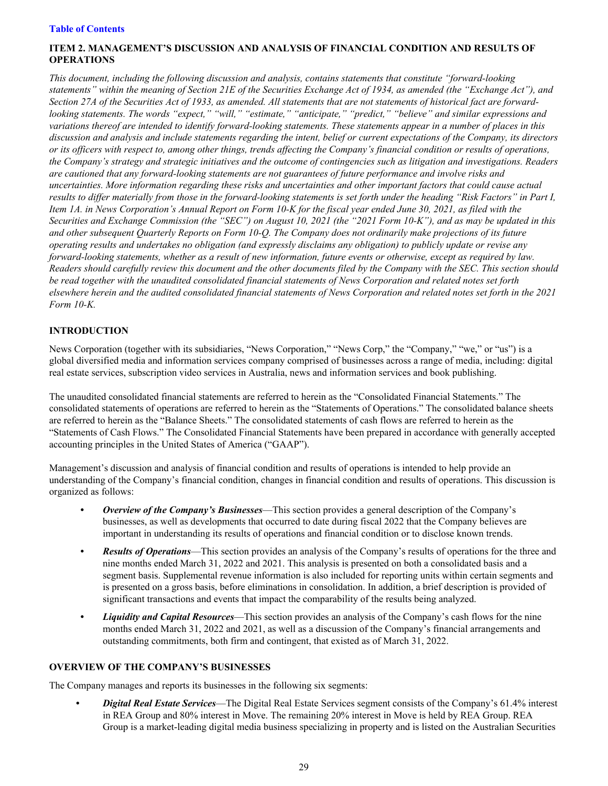#### <span id="page-29-0"></span>**ITEM 2. MANAGEMENT'S DISCUSSION AND ANALYSIS OF FINANCIAL CONDITION AND RESULTS OF OPERATIONS**

*This document, including the following discussion and analysis, contains statements that constitute "forward-looking statements" within the meaning of Section 21E of the Securities Exchange Act of 1934, as amended (the "Exchange Act"), and Section 27A of the Securities Act of 1933, as amended. All statements that are not statements of historical fact are forwardlooking statements. The words "expect," "will," "estimate," "anticipate," "predict," "believe" and similar expressions and variations thereof are intended to identify forward-looking statements. These statements appear in a number of places in this discussion and analysis and include statements regarding the intent, belief or current expectations of the Company, its directors or its officers with respect to, among other things, trends affecting the Company's financial condition or results of operations, the Company's strategy and strategic initiatives and the outcome of contingencies such as litigation and investigations. Readers are cautioned that any forward-looking statements are not guarantees of future performance and involve risks and uncertainties. More information regarding these risks and uncertainties and other important factors that could cause actual results to differ materially from those in the forward-looking statements is set forth under the heading "Risk Factors" in Part I, Item 1A. in News Corporation's Annual Report on Form 10-K for the fiscal year ended June 30, 2021, as filed with the Securities and Exchange Commission (the "SEC") on August 10, 2021 (the "2021 Form 10-K"), and as may be updated in this and other subsequent Quarterly Reports on Form 10-Q. The Company does not ordinarily make projections of its future operating results and undertakes no obligation (and expressly disclaims any obligation) to publicly update or revise any forward-looking statements, whether as a result of new information, future events or otherwise, except as required by law. Readers should carefully review this document and the other documents filed by the Company with the SEC. This section should be read together with the unaudited consolidated financial statements of News Corporation and related notes set forth elsewhere herein and the audited consolidated financial statements of News Corporation and related notes set forth in the 2021 Form 10-K.* 

## **INTRODUCTION**

News Corporation (together with its subsidiaries, "News Corporation," "News Corp," the "Company," "we," or "us") is a global diversified media and information services company comprised of businesses across a range of media, including: digital real estate services, subscription video services in Australia, news and information services and book publishing.

The unaudited consolidated financial statements are referred to herein as the "Consolidated Financial Statements." The consolidated statements of operations are referred to herein as the "Statements of Operations." The consolidated balance sheets are referred to herein as the "Balance Sheets." The consolidated statements of cash flows are referred to herein as the "Statements of Cash Flows." The Consolidated Financial Statements have been prepared in accordance with generally accepted accounting principles in the United States of America ("GAAP").

Management's discussion and analysis of financial condition and results of operations is intended to help provide an understanding of the Company's financial condition, changes in financial condition and results of operations. This discussion is organized as follows:

- *• Overview of the Company's Businesses*—This section provides a general description of the Company's businesses, as well as developments that occurred to date during fiscal 2022 that the Company believes are important in understanding its results of operations and financial condition or to disclose known trends.
- *• Results of Operations*—This section provides an analysis of the Company's results of operations for the three and nine months ended March 31, 2022 and 2021. This analysis is presented on both a consolidated basis and a segment basis. Supplemental revenue information is also included for reporting units within certain segments and is presented on a gross basis, before eliminations in consolidation. In addition, a brief description is provided of significant transactions and events that impact the comparability of the results being analyzed.
- *• Liquidity and Capital Resources*—This section provides an analysis of the Company's cash flows for the nine months ended March 31, 2022 and 2021, as well as a discussion of the Company's financial arrangements and outstanding commitments, both firm and contingent, that existed as of March 31, 2022.

#### **OVERVIEW OF THE COMPANY'S BUSINESSES**

The Company manages and reports its businesses in the following six segments:

*• Digital Real Estate Services*—The Digital Real Estate Services segment consists of the Company's 61.4% interest in REA Group and 80% interest in Move. The remaining 20% interest in Move is held by REA Group. REA Group is a market-leading digital media business specializing in property and is listed on the Australian Securities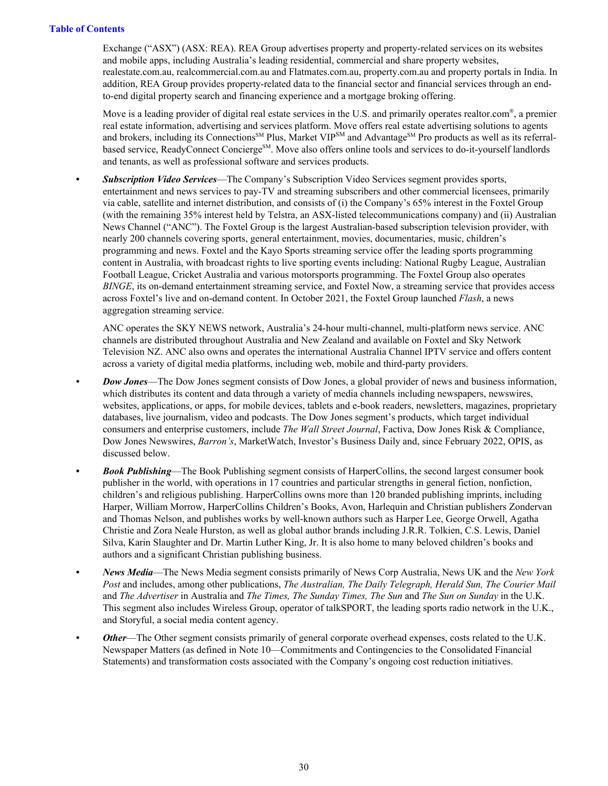Exchange ("ASX") (ASX: REA). REA Group advertises property and property-related services on its websites and mobile apps, including Australia's leading residential, commercial and share property websites, realestate.com.au, realcommercial.com.au and Flatmates.com.au, property.com.au and property portals in India. In addition, REA Group provides property-related data to the financial sector and financial services through an endto-end digital property search and financing experience and a mortgage broking offering.

Move is a leading provider of digital real estate services in the U.S. and primarily operates realtor.com<sup>®</sup>, a premier real estate information, advertising and services platform. Move offers real estate advertising solutions to agents and brokers, including its Connections<sup>SM</sup> Plus, Market VIP<sup>SM</sup> and Advantage<sup>SM</sup> Pro products as well as its referralbased service, ReadyConnect Concierge<sup>SM</sup>. Move also offers online tools and services to do-it-yourself landlords and tenants, as well as professional software and services products.

*• Subscription Video Services*—The Company's Subscription Video Services segment provides sports, entertainment and news services to pay-TV and streaming subscribers and other commercial licensees, primarily via cable, satellite and internet distribution, and consists of (i) the Company's 65% interest in the Foxtel Group (with the remaining 35% interest held by Telstra, an ASX-listed telecommunications company) and (ii) Australian News Channel ("ANC"). The Foxtel Group is the largest Australian-based subscription television provider, with nearly 200 channels covering sports, general entertainment, movies, documentaries, music, children's programming and news. Foxtel and the Kayo Sports streaming service offer the leading sports programming content in Australia, with broadcast rights to live sporting events including: National Rugby League, Australian Football League, Cricket Australia and various motorsports programming. The Foxtel Group also operates *BINGE*, its on-demand entertainment streaming service, and Foxtel Now, a streaming service that provides access across Foxtel's live and on-demand content. In October 2021, the Foxtel Group launched *Flash*, a news aggregation streaming service.

ANC operates the SKY NEWS network, Australia's 24-hour multi-channel, multi-platform news service. ANC channels are distributed throughout Australia and New Zealand and available on Foxtel and Sky Network Television NZ. ANC also owns and operates the international Australia Channel IPTV service and offers content across a variety of digital media platforms, including web, mobile and third-party providers.

- *• Dow Jones*—The Dow Jones segment consists of Dow Jones, a global provider of news and business information, which distributes its content and data through a variety of media channels including newspapers, newswires, websites, applications, or apps, for mobile devices, tablets and e-book readers, newsletters, magazines, proprietary databases, live journalism, video and podcasts. The Dow Jones segment's products, which target individual consumers and enterprise customers, include *The Wall Street Journal*, Factiva, Dow Jones Risk & Compliance, Dow Jones Newswires, *Barron's*, MarketWatch, Investor's Business Daily and, since February 2022, OPIS, as discussed below.
- *• Book Publishing*—The Book Publishing segment consists of HarperCollins, the second largest consumer book publisher in the world, with operations in 17 countries and particular strengths in general fiction, nonfiction, children's and religious publishing. HarperCollins owns more than 120 branded publishing imprints, including Harper, William Morrow, HarperCollins Children's Books, Avon, Harlequin and Christian publishers Zondervan and Thomas Nelson, and publishes works by well-known authors such as Harper Lee, George Orwell, Agatha Christie and Zora Neale Hurston, as well as global author brands including J.R.R. Tolkien, C.S. Lewis, Daniel Silva, Karin Slaughter and Dr. Martin Luther King, Jr. It is also home to many beloved children's books and authors and a significant Christian publishing business.
- *• News Media*—The News Media segment consists primarily of News Corp Australia, News UK and the *New York Post* and includes, among other publications, *The Australian, The Daily Telegraph, Herald Sun, The Courier Mail*  and *The Advertiser* in Australia and *The Times, The Sunday Times, The Sun* and *The Sun on Sunday* in the U.K. This segment also includes Wireless Group, operator of talkSPORT, the leading sports radio network in the U.K., and Storyful, a social media content agency.
- *Other***—The Other segment consists primarily of general corporate overhead expenses, costs related to the U.K.** Newspaper Matters (as defined in Note 10—Commitments and Contingencies to the Consolidated Financial Statements) and transformation costs associated with the Company's ongoing cost reduction initiatives.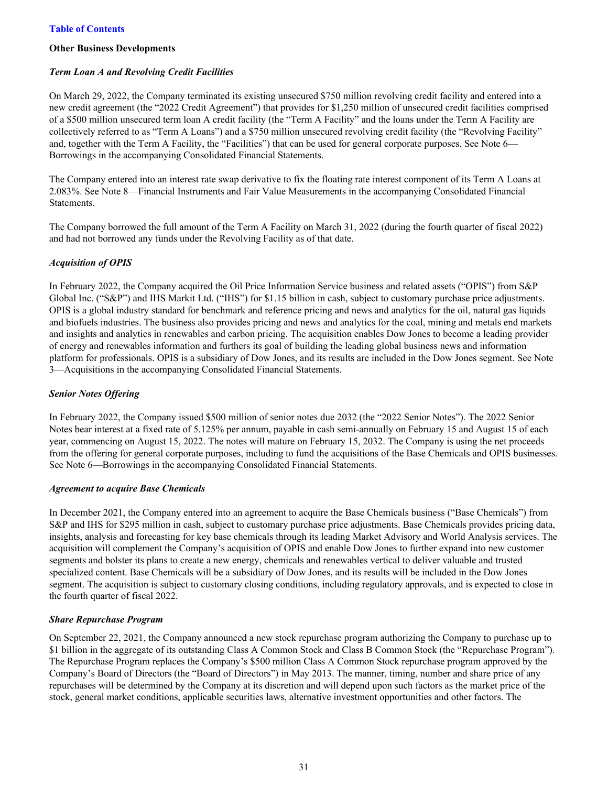#### **Other Business Developments**

#### *Term Loan A and Revolving Credit Facilities*

On March 29, 2022, the Company terminated its existing unsecured \$750 million revolving credit facility and entered into a new credit agreement (the "2022 Credit Agreement") that provides for \$1,250 million of unsecured credit facilities comprised of a \$500 million unsecured term loan A credit facility (the "Term A Facility" and the loans under the Term A Facility are collectively referred to as "Term A Loans") and a \$750 million unsecured revolving credit facility (the "Revolving Facility" and, together with the Term A Facility, the "Facilities") that can be used for general corporate purposes. See Note 6— Borrowings in the accompanying Consolidated Financial Statements.

The Company entered into an interest rate swap derivative to fix the floating rate interest component of its Term A Loans at 2.083%. See Note 8—Financial Instruments and Fair Value Measurements in the accompanying Consolidated Financial Statements.

The Company borrowed the full amount of the Term A Facility on March 31, 2022 (during the fourth quarter of fiscal 2022) and had not borrowed any funds under the Revolving Facility as of that date.

#### *Acquisition of OPIS*

In February 2022, the Company acquired the Oil Price Information Service business and related assets ("OPIS") from S&P Global Inc. ("S&P") and IHS Markit Ltd. ("IHS") for \$1.15 billion in cash, subject to customary purchase price adjustments. OPIS is a global industry standard for benchmark and reference pricing and news and analytics for the oil, natural gas liquids and biofuels industries. The business also provides pricing and news and analytics for the coal, mining and metals end markets and insights and analytics in renewables and carbon pricing. The acquisition enables Dow Jones to become a leading provider of energy and renewables information and furthers its goal of building the leading global business news and information platform for professionals. OPIS is a subsidiary of Dow Jones, and its results are included in the Dow Jones segment. See Note 3—Acquisitions in the accompanying Consolidated Financial Statements.

#### *Senior Notes Offering*

In February 2022, the Company issued \$500 million of senior notes due 2032 (the "2022 Senior Notes"). The 2022 Senior Notes bear interest at a fixed rate of 5.125% per annum, payable in cash semi-annually on February 15 and August 15 of each year, commencing on August 15, 2022. The notes will mature on February 15, 2032. The Company is using the net proceeds from the offering for general corporate purposes, including to fund the acquisitions of the Base Chemicals and OPIS businesses. See Note 6—Borrowings in the accompanying Consolidated Financial Statements.

#### *Agreement to acquire Base Chemicals*

In December 2021, the Company entered into an agreement to acquire the Base Chemicals business ("Base Chemicals") from S&P and IHS for \$295 million in cash, subject to customary purchase price adjustments. Base Chemicals provides pricing data, insights, analysis and forecasting for key base chemicals through its leading Market Advisory and World Analysis services. The acquisition will complement the Company's acquisition of OPIS and enable Dow Jones to further expand into new customer segments and bolster its plans to create a new energy, chemicals and renewables vertical to deliver valuable and trusted specialized content. Base Chemicals will be a subsidiary of Dow Jones, and its results will be included in the Dow Jones segment. The acquisition is subject to customary closing conditions, including regulatory approvals, and is expected to close in the fourth quarter of fiscal 2022.

#### *Share Repurchase Program*

On September 22, 2021, the Company announced a new stock repurchase program authorizing the Company to purchase up to \$1 billion in the aggregate of its outstanding Class A Common Stock and Class B Common Stock (the "Repurchase Program"). The Repurchase Program replaces the Company's \$500 million Class A Common Stock repurchase program approved by the Company's Board of Directors (the "Board of Directors") in May 2013. The manner, timing, number and share price of any repurchases will be determined by the Company at its discretion and will depend upon such factors as the market price of the stock, general market conditions, applicable securities laws, alternative investment opportunities and other factors. The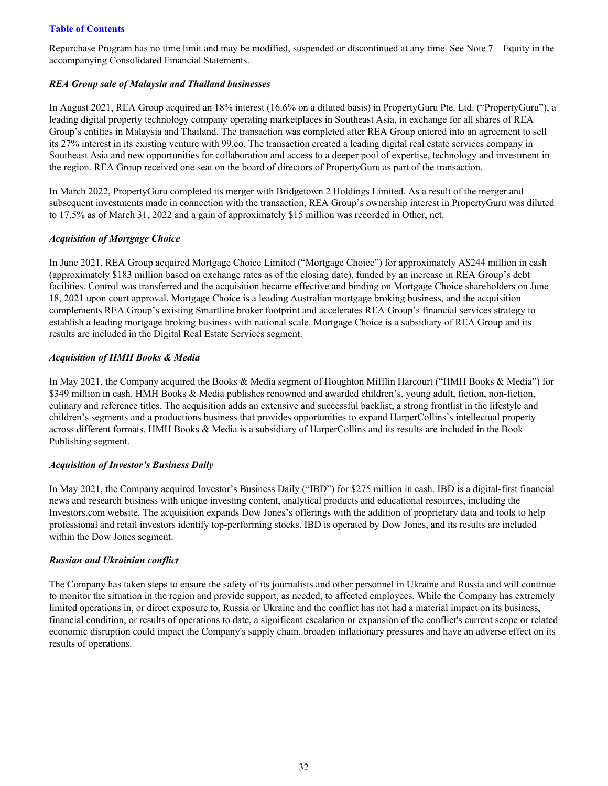Repurchase Program has no time limit and may be modified, suspended or discontinued at any time. See Note 7—Equity in the accompanying Consolidated Financial Statements.

#### *REA Group sale of Malaysia and Thailand businesses*

In August 2021, REA Group acquired an 18% interest (16.6% on a diluted basis) in PropertyGuru Pte. Ltd. ("PropertyGuru"), a leading digital property technology company operating marketplaces in Southeast Asia, in exchange for all shares of REA Group's entities in Malaysia and Thailand. The transaction was completed after REA Group entered into an agreement to sell its 27% interest in its existing venture with 99.co. The transaction created a leading digital real estate services company in Southeast Asia and new opportunities for collaboration and access to a deeper pool of expertise, technology and investment in the region. REA Group received one seat on the board of directors of PropertyGuru as part of the transaction.

In March 2022, PropertyGuru completed its merger with Bridgetown 2 Holdings Limited. As a result of the merger and subsequent investments made in connection with the transaction, REA Group's ownership interest in PropertyGuru was diluted to 17.5% as of March 31, 2022 and a gain of approximately \$15 million was recorded in Other, net.

## *Acquisition of Mortgage Choice*

In June 2021, REA Group acquired Mortgage Choice Limited ("Mortgage Choice") for approximately A\$244 million in cash (approximately \$183 million based on exchange rates as of the closing date), funded by an increase in REA Group's debt facilities. Control was transferred and the acquisition became effective and binding on Mortgage Choice shareholders on June 18, 2021 upon court approval. Mortgage Choice is a leading Australian mortgage broking business, and the acquisition complements REA Group's existing Smartline broker footprint and accelerates REA Group's financial services strategy to establish a leading mortgage broking business with national scale. Mortgage Choice is a subsidiary of REA Group and its results are included in the Digital Real Estate Services segment.

## *Acquisition of HMH Books & Media*

In May 2021, the Company acquired the Books & Media segment of Houghton Mifflin Harcourt ("HMH Books & Media") for \$349 million in cash. HMH Books & Media publishes renowned and awarded children's, young adult, fiction, non-fiction, culinary and reference titles. The acquisition adds an extensive and successful backlist, a strong frontlist in the lifestyle and children's segments and a productions business that provides opportunities to expand HarperCollins's intellectual property across different formats. HMH Books & Media is a subsidiary of HarperCollins and its results are included in the Book Publishing segment.

#### *Acquisition of Investor's Business Daily*

In May 2021, the Company acquired Investor's Business Daily ("IBD") for \$275 million in cash. IBD is a digital-first financial news and research business with unique investing content, analytical products and educational resources, including the Investors.com website. The acquisition expands Dow Jones's offerings with the addition of proprietary data and tools to help professional and retail investors identify top-performing stocks. IBD is operated by Dow Jones, and its results are included within the Dow Jones segment.

#### *Russian and Ukrainian conflict*

The Company has taken steps to ensure the safety of its journalists and other personnel in Ukraine and Russia and will continue to monitor the situation in the region and provide support, as needed, to affected employees. While the Company has extremely limited operations in, or direct exposure to, Russia or Ukraine and the conflict has not had a material impact on its business, financial condition, or results of operations to date, a significant escalation or expansion of the conflict's current scope or related economic disruption could impact the Company's supply chain, broaden inflationary pressures and have an adverse effect on its results of operations.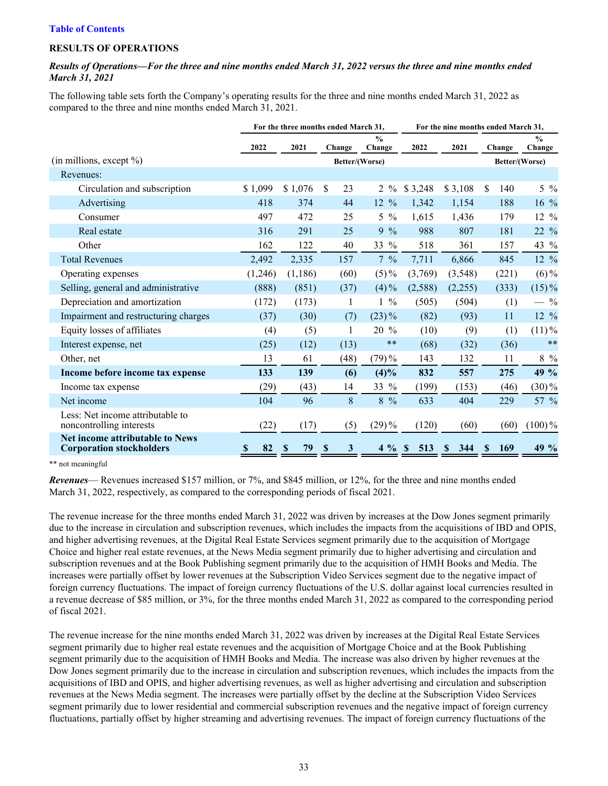#### **RESULTS OF OPERATIONS**

#### *Results of Operations—For the three and nine months ended March 31, 2022 versus the three and nine months ended March 31, 2021*

The following table sets forth the Company's operating results for the three and nine months ended March 31, 2022 as compared to the three and nine months ended March 31, 2021.

|                                                                           |                                 | For the three months ended March 31, |                               |                                 |          |                      |                      | For the nine months ended March 31, |  |  |  |
|---------------------------------------------------------------------------|---------------------------------|--------------------------------------|-------------------------------|---------------------------------|----------|----------------------|----------------------|-------------------------------------|--|--|--|
|                                                                           | 2022                            | 2021                                 | Change                        | $\frac{0}{0}$<br>Change         | 2022     | 2021                 | Change               | $\frac{0}{0}$<br>Change             |  |  |  |
| (in millions, except $\%$ )                                               |                                 |                                      |                               | Better/(Worse)                  |          |                      | Better/(Worse)       |                                     |  |  |  |
| Revenues:                                                                 |                                 |                                      |                               |                                 |          |                      |                      |                                     |  |  |  |
| Circulation and subscription                                              | \$1,099                         | \$1,076                              | $\mathbb{S}$<br>23            | $\frac{0}{0}$<br>$\overline{2}$ | \$3,248  | \$3,108              | \$<br>140            | $5\frac{9}{6}$                      |  |  |  |
| Advertising                                                               | 418                             | 374                                  | 44                            | $12 \frac{9}{6}$                | 1,342    | 1,154                | 188                  | 16 %                                |  |  |  |
| Consumer                                                                  | 497                             | 472                                  | 25                            | $5\frac{9}{6}$                  | 1,615    | 1,436                | 179                  | 12 %                                |  |  |  |
| Real estate                                                               | 316                             | 291                                  | 25                            | $9\%$                           | 988      | 807                  | 181                  | 22 %                                |  |  |  |
| Other                                                                     | 162                             | 122                                  | 40                            | 33 %                            | 518      | 361                  | 157                  | 43 %                                |  |  |  |
| <b>Total Revenues</b>                                                     | 2,492                           | 2,335                                | 157                           | $7\frac{9}{6}$                  | 7,711    | 6,866                | 845                  | 12 %                                |  |  |  |
| Operating expenses                                                        | (1,246)                         | (1,186)                              | (60)                          | $(5)\%$                         | (3,769)  | (3,548)              | (221)                | $(6)\%$                             |  |  |  |
| Selling, general and administrative                                       | (888)                           | (851)                                | (37)                          | $(4) \%$                        | (2, 588) | (2,255)              | (333)                | $(15) \%$                           |  |  |  |
| Depreciation and amortization                                             | (172)                           | (173)                                | 1                             | $1\frac{9}{6}$                  | (505)    | (504)                | (1)                  | $-$ %                               |  |  |  |
| Impairment and restructuring charges                                      | (37)                            | (30)                                 | (7)                           | $(23)\%$                        | (82)     | (93)                 | 11                   | 12 %                                |  |  |  |
| Equity losses of affiliates                                               | (4)                             | (5)                                  | $\mathbf{1}$                  | 20 %                            | (10)     | (9)                  | (1)                  | $(11)\%$                            |  |  |  |
| Interest expense, net                                                     | (25)                            | (12)                                 | (13)                          | $\star\,\star$                  | (68)     | (32)                 | (36)                 | $***$                               |  |  |  |
| Other, net                                                                | 13                              | 61                                   | (48)                          | (79)%                           | 143      | 132                  | 11                   | $8\,9/0$                            |  |  |  |
| Income before income tax expense                                          | 133                             | 139                                  | (6)                           | (4)%                            | 832      | 557                  | 275                  | 49 %                                |  |  |  |
| Income tax expense                                                        | (29)                            | (43)                                 | 14                            | 33 %                            | (199)    | (153)                | (46)                 | $(30)\%$                            |  |  |  |
| Net income                                                                | 104                             | 96                                   | 8                             | $8\,9/0$                        | 633      | 404                  | 229                  | 57 %                                |  |  |  |
| Less: Net income attributable to<br>noncontrolling interests              | (22)                            | (17)                                 | (5)                           | $(29)\%$                        | (120)    | (60)                 | (60)                 | $(100)\%$                           |  |  |  |
| <b>Net income attributable to News</b><br><b>Corporation stockholders</b> | 82<br>$\boldsymbol{\mathsf{S}}$ | 79<br>$\mathbf{\$}$                  | $\mathbf{3}$<br>$\mathbf{\$}$ | $4\%$ \$                        | 513      | $\mathbf{\$}$<br>344 | $\mathbf{\$}$<br>169 | 49 %                                |  |  |  |

\*\* not meaningful

*Revenues*— Revenues increased \$157 million, or 7%, and \$845 million, or 12%, for the three and nine months ended March 31, 2022, respectively, as compared to the corresponding periods of fiscal 2021.

The revenue increase for the three months ended March 31, 2022 was driven by increases at the Dow Jones segment primarily due to the increase in circulation and subscription revenues, which includes the impacts from the acquisitions of IBD and OPIS, and higher advertising revenues, at the Digital Real Estate Services segment primarily due to the acquisition of Mortgage Choice and higher real estate revenues, at the News Media segment primarily due to higher advertising and circulation and subscription revenues and at the Book Publishing segment primarily due to the acquisition of HMH Books and Media. The increases were partially offset by lower revenues at the Subscription Video Services segment due to the negative impact of foreign currency fluctuations. The impact of foreign currency fluctuations of the U.S. dollar against local currencies resulted in a revenue decrease of \$85 million, or 3%, for the three months ended March 31, 2022 as compared to the corresponding period of fiscal 2021.

The revenue increase for the nine months ended March 31, 2022 was driven by increases at the Digital Real Estate Services segment primarily due to higher real estate revenues and the acquisition of Mortgage Choice and at the Book Publishing segment primarily due to the acquisition of HMH Books and Media. The increase was also driven by higher revenues at the Dow Jones segment primarily due to the increase in circulation and subscription revenues, which includes the impacts from the acquisitions of IBD and OPIS, and higher advertising revenues, as well as higher advertising and circulation and subscription revenues at the News Media segment. The increases were partially offset by the decline at the Subscription Video Services segment primarily due to lower residential and commercial subscription revenues and the negative impact of foreign currency fluctuations, partially offset by higher streaming and advertising revenues. The impact of foreign currency fluctuations of the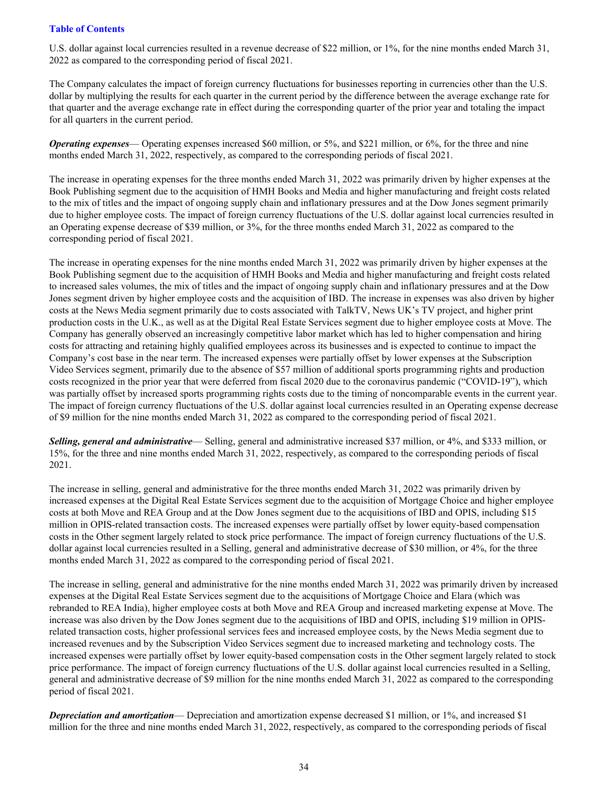U.S. dollar against local currencies resulted in a revenue decrease of \$22 million, or 1%, for the nine months ended March 31, 2022 as compared to the corresponding period of fiscal 2021.

The Company calculates the impact of foreign currency fluctuations for businesses reporting in currencies other than the U.S. dollar by multiplying the results for each quarter in the current period by the difference between the average exchange rate for that quarter and the average exchange rate in effect during the corresponding quarter of the prior year and totaling the impact for all quarters in the current period.

*Operating expenses*— Operating expenses increased \$60 million, or 5%, and \$221 million, or 6%, for the three and nine months ended March 31, 2022, respectively, as compared to the corresponding periods of fiscal 2021.

The increase in operating expenses for the three months ended March 31, 2022 was primarily driven by higher expenses at the Book Publishing segment due to the acquisition of HMH Books and Media and higher manufacturing and freight costs related to the mix of titles and the impact of ongoing supply chain and inflationary pressures and at the Dow Jones segment primarily due to higher employee costs. The impact of foreign currency fluctuations of the U.S. dollar against local currencies resulted in an Operating expense decrease of \$39 million, or 3%, for the three months ended March 31, 2022 as compared to the corresponding period of fiscal 2021.

The increase in operating expenses for the nine months ended March 31, 2022 was primarily driven by higher expenses at the Book Publishing segment due to the acquisition of HMH Books and Media and higher manufacturing and freight costs related to increased sales volumes, the mix of titles and the impact of ongoing supply chain and inflationary pressures and at the Dow Jones segment driven by higher employee costs and the acquisition of IBD. The increase in expenses was also driven by higher costs at the News Media segment primarily due to costs associated with TalkTV, News UK's TV project, and higher print production costs in the U.K., as well as at the Digital Real Estate Services segment due to higher employee costs at Move. The Company has generally observed an increasingly competitive labor market which has led to higher compensation and hiring costs for attracting and retaining highly qualified employees across its businesses and is expected to continue to impact the Company's cost base in the near term. The increased expenses were partially offset by lower expenses at the Subscription Video Services segment, primarily due to the absence of \$57 million of additional sports programming rights and production costs recognized in the prior year that were deferred from fiscal 2020 due to the coronavirus pandemic ("COVID-19"), which was partially offset by increased sports programming rights costs due to the timing of noncomparable events in the current year. The impact of foreign currency fluctuations of the U.S. dollar against local currencies resulted in an Operating expense decrease of \$9 million for the nine months ended March 31, 2022 as compared to the corresponding period of fiscal 2021.

*Selling, general and administrative*— Selling, general and administrative increased \$37 million, or 4%, and \$333 million, or 15%, for the three and nine months ended March 31, 2022, respectively, as compared to the corresponding periods of fiscal 2021.

The increase in selling, general and administrative for the three months ended March 31, 2022 was primarily driven by increased expenses at the Digital Real Estate Services segment due to the acquisition of Mortgage Choice and higher employee costs at both Move and REA Group and at the Dow Jones segment due to the acquisitions of IBD and OPIS, including \$15 million in OPIS-related transaction costs. The increased expenses were partially offset by lower equity-based compensation costs in the Other segment largely related to stock price performance. The impact of foreign currency fluctuations of the U.S. dollar against local currencies resulted in a Selling, general and administrative decrease of \$30 million, or 4%, for the three months ended March 31, 2022 as compared to the corresponding period of fiscal 2021.

The increase in selling, general and administrative for the nine months ended March 31, 2022 was primarily driven by increased expenses at the Digital Real Estate Services segment due to the acquisitions of Mortgage Choice and Elara (which was rebranded to REA India), higher employee costs at both Move and REA Group and increased marketing expense at Move. The increase was also driven by the Dow Jones segment due to the acquisitions of IBD and OPIS, including \$19 million in OPISrelated transaction costs, higher professional services fees and increased employee costs, by the News Media segment due to increased revenues and by the Subscription Video Services segment due to increased marketing and technology costs. The increased expenses were partially offset by lower equity-based compensation costs in the Other segment largely related to stock price performance. The impact of foreign currency fluctuations of the U.S. dollar against local currencies resulted in a Selling, general and administrative decrease of \$9 million for the nine months ended March 31, 2022 as compared to the corresponding period of fiscal 2021.

*Depreciation and amortization*— Depreciation and amortization expense decreased \$1 million, or 1%, and increased \$1 million for the three and nine months ended March 31, 2022, respectively, as compared to the corresponding periods of fiscal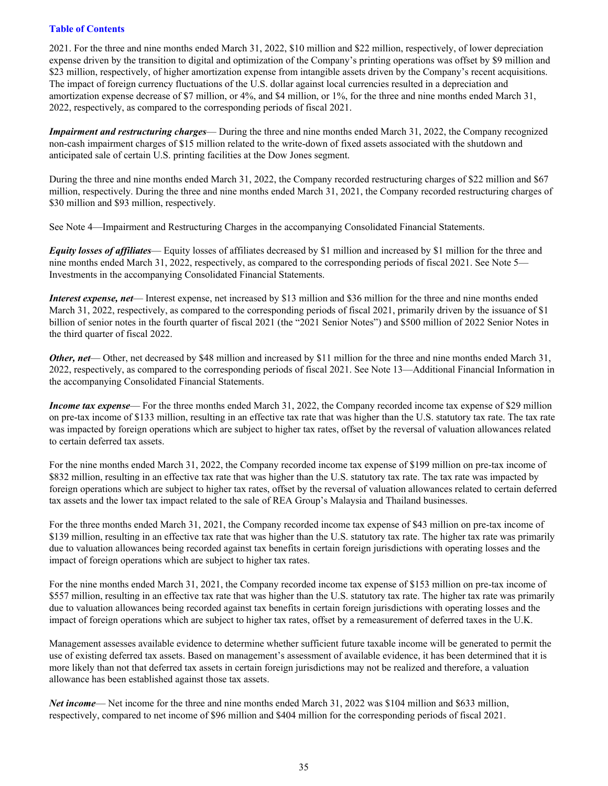2021. For the three and nine months ended March 31, 2022, \$10 million and \$22 million, respectively, of lower depreciation expense driven by the transition to digital and optimization of the Company's printing operations was offset by \$9 million and \$23 million, respectively, of higher amortization expense from intangible assets driven by the Company's recent acquisitions. The impact of foreign currency fluctuations of the U.S. dollar against local currencies resulted in a depreciation and amortization expense decrease of \$7 million, or 4%, and \$4 million, or 1%, for the three and nine months ended March 31, 2022, respectively, as compared to the corresponding periods of fiscal 2021.

*Impairment and restructuring charges*— During the three and nine months ended March 31, 2022, the Company recognized non-cash impairment charges of \$15 million related to the write-down of fixed assets associated with the shutdown and anticipated sale of certain U.S. printing facilities at the Dow Jones segment.

During the three and nine months ended March 31, 2022, the Company recorded restructuring charges of \$22 million and \$67 million, respectively. During the three and nine months ended March 31, 2021, the Company recorded restructuring charges of \$30 million and \$93 million, respectively.

See Note 4—Impairment and Restructuring Charges in the accompanying Consolidated Financial Statements.

*Equity losses of affiliates*— Equity losses of affiliates decreased by \$1 million and increased by \$1 million for the three and nine months ended March 31, 2022, respectively, as compared to the corresponding periods of fiscal 2021. See Note 5— Investments in the accompanying Consolidated Financial Statements.

*Interest expense, net*— Interest expense, net increased by \$13 million and \$36 million for the three and nine months ended March 31, 2022, respectively, as compared to the corresponding periods of fiscal 2021, primarily driven by the issuance of \$1 billion of senior notes in the fourth quarter of fiscal 2021 (the "2021 Senior Notes") and \$500 million of 2022 Senior Notes in the third quarter of fiscal 2022.

*Other, net*— Other, net decreased by \$48 million and increased by \$11 million for the three and nine months ended March 31, 2022, respectively, as compared to the corresponding periods of fiscal 2021. See Note 13—Additional Financial Information in the accompanying Consolidated Financial Statements.

*Income tax expense*— For the three months ended March 31, 2022, the Company recorded income tax expense of \$29 million on pre-tax income of \$133 million, resulting in an effective tax rate that was higher than the U.S. statutory tax rate. The tax rate was impacted by foreign operations which are subject to higher tax rates, offset by the reversal of valuation allowances related to certain deferred tax assets.

For the nine months ended March 31, 2022, the Company recorded income tax expense of \$199 million on pre-tax income of \$832 million, resulting in an effective tax rate that was higher than the U.S. statutory tax rate. The tax rate was impacted by foreign operations which are subject to higher tax rates, offset by the reversal of valuation allowances related to certain deferred tax assets and the lower tax impact related to the sale of REA Group's Malaysia and Thailand businesses.

For the three months ended March 31, 2021, the Company recorded income tax expense of \$43 million on pre-tax income of \$139 million, resulting in an effective tax rate that was higher than the U.S. statutory tax rate. The higher tax rate was primarily due to valuation allowances being recorded against tax benefits in certain foreign jurisdictions with operating losses and the impact of foreign operations which are subject to higher tax rates.

For the nine months ended March 31, 2021, the Company recorded income tax expense of \$153 million on pre-tax income of \$557 million, resulting in an effective tax rate that was higher than the U.S. statutory tax rate. The higher tax rate was primarily due to valuation allowances being recorded against tax benefits in certain foreign jurisdictions with operating losses and the impact of foreign operations which are subject to higher tax rates, offset by a remeasurement of deferred taxes in the U.K.

Management assesses available evidence to determine whether sufficient future taxable income will be generated to permit the use of existing deferred tax assets. Based on management's assessment of available evidence, it has been determined that it is more likely than not that deferred tax assets in certain foreign jurisdictions may not be realized and therefore, a valuation allowance has been established against those tax assets.

*Net income*— Net income for the three and nine months ended March 31, 2022 was \$104 million and \$633 million, respectively, compared to net income of \$96 million and \$404 million for the corresponding periods of fiscal 2021.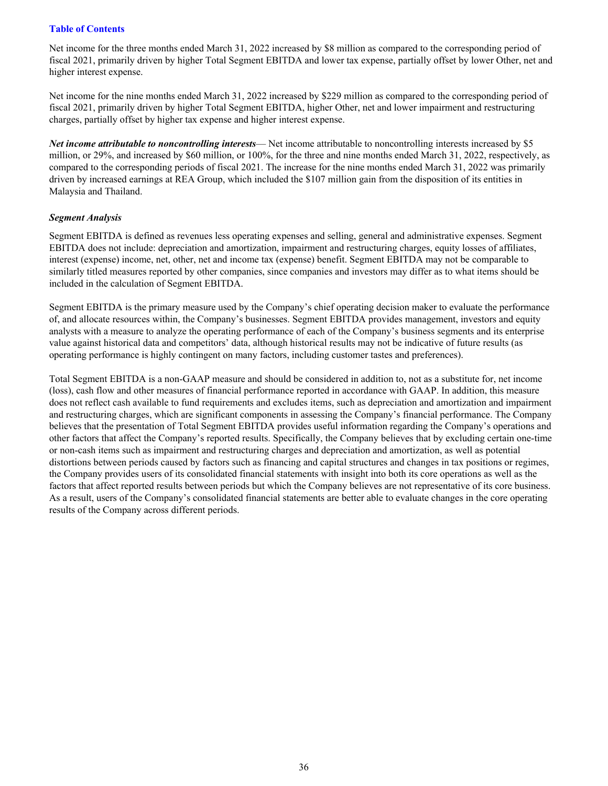Net income for the three months ended March 31, 2022 increased by \$8 million as compared to the corresponding period of fiscal 2021, primarily driven by higher Total Segment EBITDA and lower tax expense, partially offset by lower Other, net and higher interest expense.

Net income for the nine months ended March 31, 2022 increased by \$229 million as compared to the corresponding period of fiscal 2021, primarily driven by higher Total Segment EBITDA, higher Other, net and lower impairment and restructuring charges, partially offset by higher tax expense and higher interest expense.

*Net income attributable to noncontrolling interests*— Net income attributable to noncontrolling interests increased by \$5 million, or 29%, and increased by \$60 million, or 100%, for the three and nine months ended March 31, 2022, respectively, as compared to the corresponding periods of fiscal 2021. The increase for the nine months ended March 31, 2022 was primarily driven by increased earnings at REA Group, which included the \$107 million gain from the disposition of its entities in Malaysia and Thailand.

#### *Segment Analysis*

Segment EBITDA is defined as revenues less operating expenses and selling, general and administrative expenses. Segment EBITDA does not include: depreciation and amortization, impairment and restructuring charges, equity losses of affiliates, interest (expense) income, net, other, net and income tax (expense) benefit. Segment EBITDA may not be comparable to similarly titled measures reported by other companies, since companies and investors may differ as to what items should be included in the calculation of Segment EBITDA.

Segment EBITDA is the primary measure used by the Company's chief operating decision maker to evaluate the performance of, and allocate resources within, the Company's businesses. Segment EBITDA provides management, investors and equity analysts with a measure to analyze the operating performance of each of the Company's business segments and its enterprise value against historical data and competitors' data, although historical results may not be indicative of future results (as operating performance is highly contingent on many factors, including customer tastes and preferences).

Total Segment EBITDA is a non-GAAP measure and should be considered in addition to, not as a substitute for, net income (loss), cash flow and other measures of financial performance reported in accordance with GAAP. In addition, this measure does not reflect cash available to fund requirements and excludes items, such as depreciation and amortization and impairment and restructuring charges, which are significant components in assessing the Company's financial performance. The Company believes that the presentation of Total Segment EBITDA provides useful information regarding the Company's operations and other factors that affect the Company's reported results. Specifically, the Company believes that by excluding certain one-time or non-cash items such as impairment and restructuring charges and depreciation and amortization, as well as potential distortions between periods caused by factors such as financing and capital structures and changes in tax positions or regimes, the Company provides users of its consolidated financial statements with insight into both its core operations as well as the factors that affect reported results between periods but which the Company believes are not representative of its core business. As a result, users of the Company's consolidated financial statements are better able to evaluate changes in the core operating results of the Company across different periods.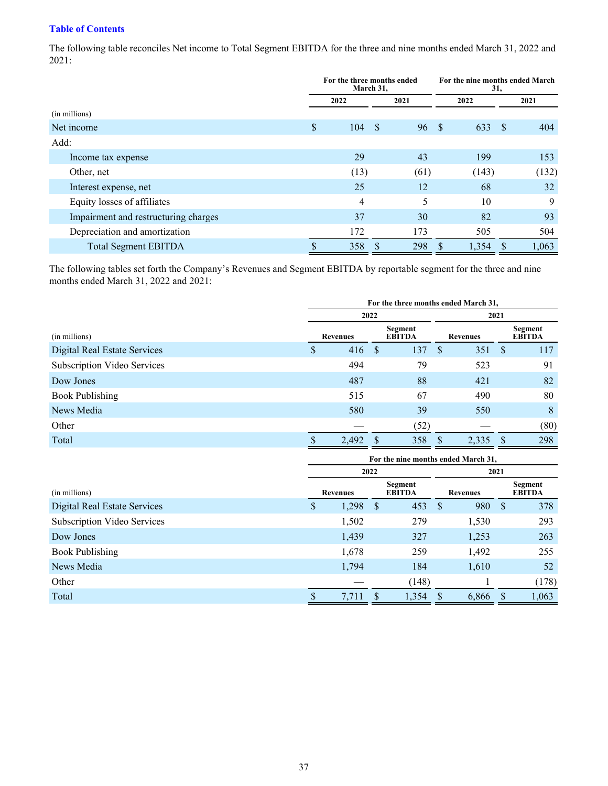The following table reconciles Net income to Total Segment EBITDA for the three and nine months ended March 31, 2022 and 2021:

|                                      |                           | For the three months ended<br>March 31, | For the nine months ended March<br>31, |      |      |       |    |       |
|--------------------------------------|---------------------------|-----------------------------------------|----------------------------------------|------|------|-------|----|-------|
|                                      |                           | 2022                                    |                                        | 2021 |      | 2022  |    | 2021  |
| (in millions)                        |                           |                                         |                                        |      |      |       |    |       |
| Net income                           | $\boldsymbol{\mathsf{S}}$ | $104 \quad$ \$                          |                                        | 96   | - \$ | 633   | -S | 404   |
| Add:                                 |                           |                                         |                                        |      |      |       |    |       |
| Income tax expense                   |                           | 29                                      |                                        | 43   |      | 199   |    | 153   |
| Other, net                           |                           | (13)                                    |                                        | (61) |      | (143) |    | (132) |
| Interest expense, net                |                           | 25                                      |                                        | 12   |      | 68    |    | 32    |
| Equity losses of affiliates          |                           | 4                                       |                                        |      |      | 10    |    | 9     |
| Impairment and restructuring charges |                           | 37                                      |                                        | 30   |      | 82    |    | 93    |
| Depreciation and amortization        |                           | 172                                     |                                        | 173  |      | 505   |    | 504   |
| <b>Total Segment EBITDA</b>          |                           | 358                                     | <sup>S</sup>                           | 298  | -S   | 1,354 |    | 1,063 |

The following tables set forth the Company's Revenues and Segment EBITDA by reportable segment for the three and nine months ended March 31, 2022 and 2021:

|                              |   | For the three months ended March 31, |      |                          |      |                 |              |                          |
|------------------------------|---|--------------------------------------|------|--------------------------|------|-----------------|--------------|--------------------------|
|                              |   |                                      | 2022 |                          | 2021 |                 |              |                          |
| (in millions)                |   | <b>Revenues</b>                      |      | Segment<br><b>EBITDA</b> |      | <b>Revenues</b> |              | Segment<br><b>EBITDA</b> |
| Digital Real Estate Services | S | 416                                  | S    | 137                      | S    | 351             | <sup>S</sup> | 117                      |
| Subscription Video Services  |   | 494                                  |      | 79                       |      | 523             |              | 91                       |
| Dow Jones                    |   | 487                                  |      | 88                       |      | 421             |              | 82                       |
| <b>Book Publishing</b>       |   | 515                                  |      | 67                       |      | 490             |              | 80                       |
| News Media                   |   | 580                                  |      | 39                       |      | 550             |              | 8                        |
| Other                        |   |                                      |      | (52)                     |      |                 |              | (80)                     |
| Total                        |   | 2,492                                |      | 358                      |      | 2,335           |              | 298                      |

|                              | For the nine months ended March 31, |                 |              |                          |      |                 |    |                          |  |  |  |
|------------------------------|-------------------------------------|-----------------|--------------|--------------------------|------|-----------------|----|--------------------------|--|--|--|
|                              |                                     |                 | 2022         |                          | 2021 |                 |    |                          |  |  |  |
| (in millions)                |                                     | <b>Revenues</b> |              | Segment<br><b>EBITDA</b> |      | <b>Revenues</b> |    | Segment<br><b>EBITDA</b> |  |  |  |
| Digital Real Estate Services | S                                   | 1,298           | <sup>S</sup> | 453                      | S    | 980             | S  | 378                      |  |  |  |
| Subscription Video Services  |                                     | 1,502           |              | 279                      |      | 1,530           |    | 293                      |  |  |  |
| Dow Jones                    |                                     | 1,439           |              | 327                      |      | 1,253           |    | 263                      |  |  |  |
| <b>Book Publishing</b>       |                                     | 1,678           |              | 259                      |      | 1,492           |    | 255                      |  |  |  |
| News Media                   |                                     | 1,794           |              | 184                      |      | 1,610           |    | 52                       |  |  |  |
| Other                        |                                     |                 |              | (148)                    |      |                 |    | (178)                    |  |  |  |
| Total                        |                                     | 7,711           | S            | 1,354                    |      | 6,866           | -8 | 1,063                    |  |  |  |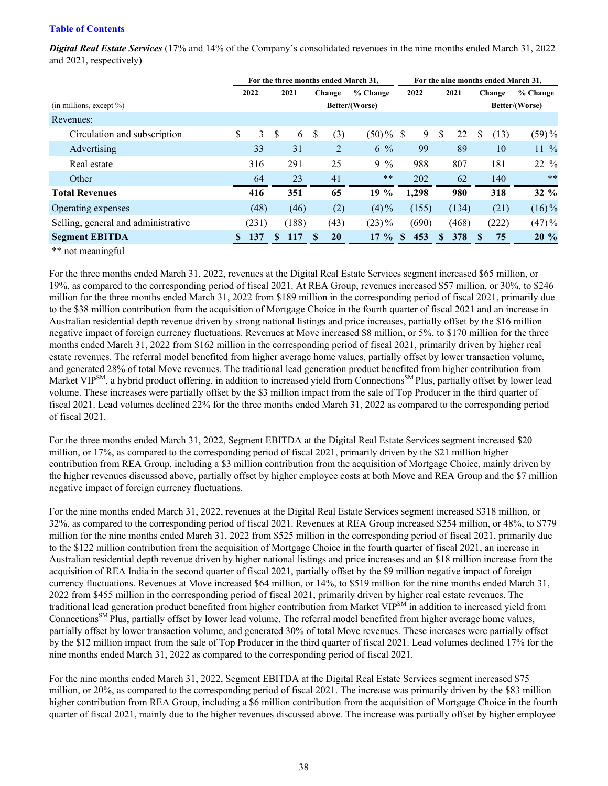*Digital Real Estate Services* (17% and 14% of the Company's consolidated revenues in the nine months ended March 31, 2022 and 2021, respectively)

|                                     |    |       |     |       |    | For the three months ended March 31, | For the nine months ended March 31, |          |          |    |       |   |       |                  |  |          |
|-------------------------------------|----|-------|-----|-------|----|--------------------------------------|-------------------------------------|----------|----------|----|-------|---|-------|------------------|--|----------|
|                                     |    | 2022  |     |       |    | 2021                                 |                                     | Change   | % Change |    | 2022  |   | 2021  | Change           |  | % Change |
| $(in$ millions, except $%$          |    |       |     |       |    |                                      | Better/(Worse)                      |          |          |    |       |   |       | Better/(Worse)   |  |          |
| Revenues:                           |    |       |     |       |    |                                      |                                     |          |          |    |       |   |       |                  |  |          |
| Circulation and subscription        | \$ | 3     | S   | 6     | S  | (3)                                  | $(50)\%$ \$                         |          | 9        | S  | 22    | S | (13)  | $(59) \%$        |  |          |
| Advertising                         |    | 33    |     | 31    |    | $\overline{2}$                       | $6\frac{9}{6}$                      |          | 99       |    | 89    |   | 10    | $11 \frac{9}{6}$ |  |          |
| Real estate                         |    | 316   |     | 291   |    | 25                                   | $9\%$                               |          | 988      |    | 807   |   | 181   | $22\%$           |  |          |
| Other                               |    | 64    |     | 23    |    | 41                                   | $***$                               |          | 202      |    | 62    |   | 140   | $***$            |  |          |
| <b>Total Revenues</b>               |    | 416   |     | 351   |    | 65                                   | $19\%$                              |          | 1,298    |    | 980   |   | 318   | $32 \%$          |  |          |
| Operating expenses                  |    | (48)  |     | (46)  |    | (2)                                  | $(4)\%$                             |          | (155)    |    | (134) |   | (21)  | $(16)\%$         |  |          |
| Selling, general and administrative |    | (231) |     | (188) |    | (43)                                 | $(23)\%$                            |          | (690)    |    | (468) |   | (222) | (47)%            |  |          |
| <b>Segment EBITDA</b>               |    | 137   | \$. | 117   | \$ | <b>20</b>                            | $\frac{0}{0}$<br>17                 | <b>S</b> | 453      | \$ | 378   | S | 75    | 20%              |  |          |

\*\* not meaningful

For the three months ended March 31, 2022, revenues at the Digital Real Estate Services segment increased \$65 million, or 19%, as compared to the corresponding period of fiscal 2021. At REA Group, revenues increased \$57 million, or 30%, to \$246 million for the three months ended March 31, 2022 from \$189 million in the corresponding period of fiscal 2021, primarily due to the \$38 million contribution from the acquisition of Mortgage Choice in the fourth quarter of fiscal 2021 and an increase in Australian residential depth revenue driven by strong national listings and price increases, partially offset by the \$16 million negative impact of foreign currency fluctuations. Revenues at Move increased \$8 million, or 5%, to \$170 million for the three months ended March 31, 2022 from \$162 million in the corresponding period of fiscal 2021, primarily driven by higher real estate revenues. The referral model benefited from higher average home values, partially offset by lower transaction volume, and generated 28% of total Move revenues. The traditional lead generation product benefited from higher contribution from Market VIP<sup>SM</sup>, a hybrid product offering, in addition to increased yield from Connections<sup>SM</sup> Plus, partially offset by lower lead volume. These increases were partially offset by the \$3 million impact from the sale of Top Producer in the third quarter of fiscal 2021. Lead volumes declined 22% for the three months ended March 31, 2022 as compared to the corresponding period of fiscal 2021.

For the three months ended March 31, 2022, Segment EBITDA at the Digital Real Estate Services segment increased \$20 million, or 17%, as compared to the corresponding period of fiscal 2021, primarily driven by the \$21 million higher contribution from REA Group, including a \$3 million contribution from the acquisition of Mortgage Choice, mainly driven by the higher revenues discussed above, partially offset by higher employee costs at both Move and REA Group and the \$7 million negative impact of foreign currency fluctuations.

For the nine months ended March 31, 2022, revenues at the Digital Real Estate Services segment increased \$318 million, or 32%, as compared to the corresponding period of fiscal 2021. Revenues at REA Group increased \$254 million, or 48%, to \$779 million for the nine months ended March 31, 2022 from \$525 million in the corresponding period of fiscal 2021, primarily due to the \$122 million contribution from the acquisition of Mortgage Choice in the fourth quarter of fiscal 2021, an increase in Australian residential depth revenue driven by higher national listings and price increases and an \$18 million increase from the acquisition of REA India in the second quarter of fiscal 2021, partially offset by the \$9 million negative impact of foreign currency fluctuations. Revenues at Move increased \$64 million, or 14%, to \$519 million for the nine months ended March 31, 2022 from \$455 million in the corresponding period of fiscal 2021, primarily driven by higher real estate revenues. The traditional lead generation product benefited from higher contribution from Market VIPSM in addition to increased yield from Connections<sup>SM</sup> Plus, partially offset by lower lead volume. The referral model benefited from higher average home values, partially offset by lower transaction volume, and generated 30% of total Move revenues. These increases were partially offset by the \$12 million impact from the sale of Top Producer in the third quarter of fiscal 2021. Lead volumes declined 17% for the nine months ended March 31, 2022 as compared to the corresponding period of fiscal 2021.

For the nine months ended March 31, 2022, Segment EBITDA at the Digital Real Estate Services segment increased \$75 million, or 20%, as compared to the corresponding period of fiscal 2021. The increase was primarily driven by the \$83 million higher contribution from REA Group, including a \$6 million contribution from the acquisition of Mortgage Choice in the fourth quarter of fiscal 2021, mainly due to the higher revenues discussed above. The increase was partially offset by higher employee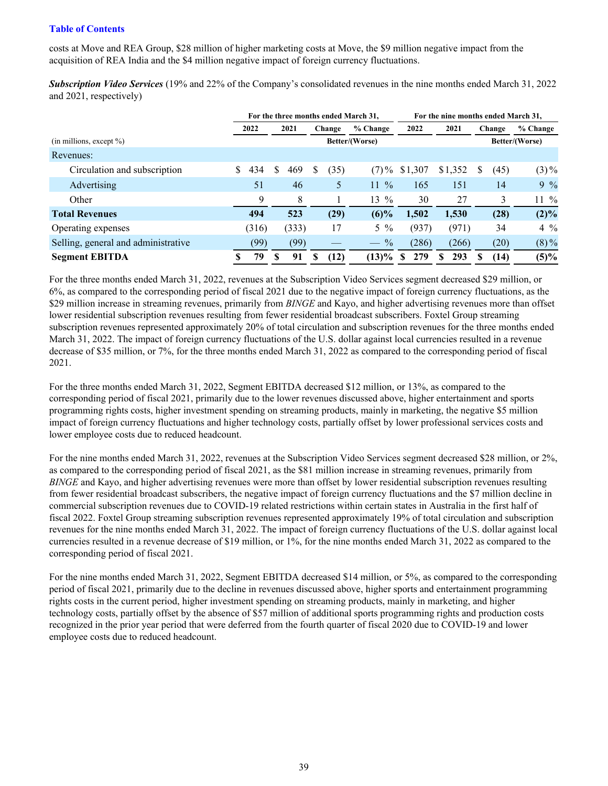costs at Move and REA Group, \$28 million of higher marketing costs at Move, the \$9 million negative impact from the acquisition of REA India and the \$4 million negative impact of foreign currency fluctuations.

*Subscription Video Services* (19% and 22% of the Company's consolidated revenues in the nine months ended March 31, 2022 and 2021, respectively)

|                                     |      |       |      |       |                |        | For the three months ended March 31, | For the nine months ended March 31, |          |        |                |                |  |  |
|-------------------------------------|------|-------|------|-------|----------------|--------|--------------------------------------|-------------------------------------|----------|--------|----------------|----------------|--|--|
|                                     | 2022 |       | 2021 |       |                | Change | % Change                             | 2022                                | 2021     | Change |                | % Change       |  |  |
| $(in$ millions, except $%$          |      |       |      |       | Better/(Worse) |        |                                      |                                     |          |        | Better/(Worse) |                |  |  |
| Revenues:                           |      |       |      |       |                |        |                                      |                                     |          |        |                |                |  |  |
| Circulation and subscription        | S.   | 434   | S    | 469   | S              | (35)   | $(7) \%$                             | \$1,307                             | \$1,352  | S      | (45)           | $(3)\%$        |  |  |
| Advertising                         |      | 51    |      | 46    |                | 5      | $\frac{0}{0}$<br>11                  | 165                                 | 151      |        | 14             | $9\%$          |  |  |
| Other                               |      | 9     |      | 8     |                |        | 13<br>$\frac{0}{0}$                  | 30                                  | 27       |        | 3              | $11\%$         |  |  |
| <b>Total Revenues</b>               |      | 494   |      | 523   |                | (29)   | $(6)\%$                              | 1,502                               | 1,530    |        | (28)           | $(2)\%$        |  |  |
| Operating expenses                  |      | (316) |      | (333) |                | 17     | 5 %                                  | (937)                               | (971)    |        | 34             | $4\frac{9}{6}$ |  |  |
| Selling, general and administrative |      | (99)  |      | (99)  |                |        | $-$ %                                | (286)                               | (266)    |        | (20)           | $(8)\%$        |  |  |
| <b>Segment EBITDA</b>               |      | 79    | -S   | 91    | S              | (12)   | $(13)\%$                             | 279<br>-S                           | 293<br>S | S      | (14)           | $(5)\%$        |  |  |

For the three months ended March 31, 2022, revenues at the Subscription Video Services segment decreased \$29 million, or 6%, as compared to the corresponding period of fiscal 2021 due to the negative impact of foreign currency fluctuations, as the \$29 million increase in streaming revenues, primarily from *BINGE* and Kayo, and higher advertising revenues more than offset lower residential subscription revenues resulting from fewer residential broadcast subscribers. Foxtel Group streaming subscription revenues represented approximately 20% of total circulation and subscription revenues for the three months ended March 31, 2022. The impact of foreign currency fluctuations of the U.S. dollar against local currencies resulted in a revenue decrease of \$35 million, or 7%, for the three months ended March 31, 2022 as compared to the corresponding period of fiscal 2021.

For the three months ended March 31, 2022, Segment EBITDA decreased \$12 million, or 13%, as compared to the corresponding period of fiscal 2021, primarily due to the lower revenues discussed above, higher entertainment and sports programming rights costs, higher investment spending on streaming products, mainly in marketing, the negative \$5 million impact of foreign currency fluctuations and higher technology costs, partially offset by lower professional services costs and lower employee costs due to reduced headcount.

For the nine months ended March 31, 2022, revenues at the Subscription Video Services segment decreased \$28 million, or 2%, as compared to the corresponding period of fiscal 2021, as the \$81 million increase in streaming revenues, primarily from *BINGE* and Kayo, and higher advertising revenues were more than offset by lower residential subscription revenues resulting from fewer residential broadcast subscribers, the negative impact of foreign currency fluctuations and the \$7 million decline in commercial subscription revenues due to COVID-19 related restrictions within certain states in Australia in the first half of fiscal 2022. Foxtel Group streaming subscription revenues represented approximately 19% of total circulation and subscription revenues for the nine months ended March 31, 2022. The impact of foreign currency fluctuations of the U.S. dollar against local currencies resulted in a revenue decrease of \$19 million, or 1%, for the nine months ended March 31, 2022 as compared to the corresponding period of fiscal 2021.

For the nine months ended March 31, 2022, Segment EBITDA decreased \$14 million, or 5%, as compared to the corresponding period of fiscal 2021, primarily due to the decline in revenues discussed above, higher sports and entertainment programming rights costs in the current period, higher investment spending on streaming products, mainly in marketing, and higher technology costs, partially offset by the absence of \$57 million of additional sports programming rights and production costs recognized in the prior year period that were deferred from the fourth quarter of fiscal 2020 due to COVID-19 and lower employee costs due to reduced headcount.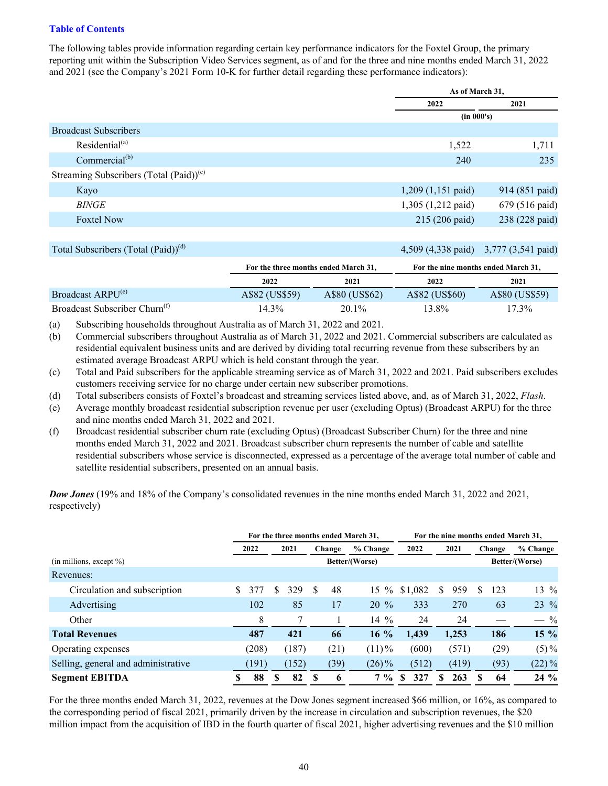The following tables provide information regarding certain key performance indicators for the Foxtel Group, the primary reporting unit within the Subscription Video Services segment, as of and for the three and nine months ended March 31, 2022 and 2021 (see the Company's 2021 Form 10-K for further detail regarding these performance indicators):

|                                                        | As of March 31,        |                |
|--------------------------------------------------------|------------------------|----------------|
|                                                        | 2022                   | 2021           |
|                                                        | (in 000's)             |                |
| <b>Broadcast Subscribers</b>                           |                        |                |
| Residential $^{(a)}$                                   | 1,522                  | 1,711          |
| Commercial <sup>(b)</sup>                              | 240                    | 235            |
| Streaming Subscribers (Total $(Paid)$ ) <sup>(c)</sup> |                        |                |
| Kayo                                                   | $1,209$ $(1,151$ paid) | 914 (851 paid) |
| <b>BINGE</b>                                           | $1,305$ (1,212 paid)   | 679 (516 paid) |
| <b>Foxtel Now</b>                                      | 215 (206 paid)         | 238 (228 paid) |
|                                                        |                        |                |

| Total Subscribers (Total (Paid)) <sup>(d)</sup> |                                      |                |                | 4,509 (4,338 paid) 3,777 (3,541 paid) |
|-------------------------------------------------|--------------------------------------|----------------|----------------|---------------------------------------|
|                                                 | For the three months ended March 31, |                |                | For the nine months ended March 31,   |
|                                                 | 2022                                 | 2021           | 2022           | 2021                                  |
| Broadcast ARPU <sup>(e)</sup>                   | A\$82 (US\$59)                       | A\$80 (US\$62) | A\$82 (US\$60) | A\$80 (US\$59)                        |
| Broadcast Subscriber Churn <sup>(1)</sup>       | $14.3\%$                             | $20.1\%$       | 13.8%          | 17.3%                                 |

(a) Subscribing households throughout Australia as of March 31, 2022 and 2021.

(b) Commercial subscribers throughout Australia as of March 31, 2022 and 2021. Commercial subscribers are calculated as residential equivalent business units and are derived by dividing total recurring revenue from these subscribers by an estimated average Broadcast ARPU which is held constant through the year.

- (c) Total and Paid subscribers for the applicable streaming service as of March 31, 2022 and 2021. Paid subscribers excludes customers receiving service for no charge under certain new subscriber promotions.
- (d) Total subscribers consists of Foxtel's broadcast and streaming services listed above, and, as of March 31, 2022, *Flash*.
- (e) Average monthly broadcast residential subscription revenue per user (excluding Optus) (Broadcast ARPU) for the three and nine months ended March 31, 2022 and 2021.
- (f) Broadcast residential subscriber churn rate (excluding Optus) (Broadcast Subscriber Churn) for the three and nine months ended March 31, 2022 and 2021. Broadcast subscriber churn represents the number of cable and satellite residential subscribers whose service is disconnected, expressed as a percentage of the average total number of cable and satellite residential subscribers, presented on an annual basis.

*Dow Jones* (19% and 18% of the Company's consolidated revenues in the nine months ended March 31, 2022 and 2021, respectively)

|                                     | For the three months ended March 31, |       |   |       |    |        |                     |          | For the nine months ended March 31, |       |   |        |                |  |  |
|-------------------------------------|--------------------------------------|-------|---|-------|----|--------|---------------------|----------|-------------------------------------|-------|---|--------|----------------|--|--|
|                                     |                                      | 2022  |   | 2021  |    | Change | % Change            | 2022     | 2021                                |       |   | Change | % Change       |  |  |
| $(in$ millions, except $%$          |                                      |       |   |       |    |        | Better/(Worse)      |          |                                     |       |   |        | Better/(Worse) |  |  |
| Revenues:                           |                                      |       |   |       |    |        |                     |          |                                     |       |   |        |                |  |  |
| Circulation and subscription        | S.                                   | 377   | S | 329   | S  | 48     | $\frac{0}{0}$<br>15 | \$1,082  | \$                                  | 959   | S | 123    | $13\%$         |  |  |
| Advertising                         |                                      | 102   |   | 85    |    | 17     | $20\%$              | 333      |                                     | 270   |   | 63     | 23 %           |  |  |
| Other                               |                                      | 8     |   |       |    |        | 14 $%$              | 24       |                                     | 24    |   |        | $-$ %          |  |  |
| <b>Total Revenues</b>               |                                      | 487   |   | 421   |    | 66     | $16\%$              | 1,439    |                                     | 1,253 |   | 186    | $15\%$         |  |  |
| Operating expenses                  |                                      | (208) |   | (187) |    | (21)   | $(11)\%$            | (600)    |                                     | (571) |   | (29)   | $(5)\%$        |  |  |
| Selling, general and administrative |                                      | (191) |   | (152) |    | (39)   | $(26)\%$            | (512)    |                                     | (419) |   | (93)   | $(22)\%$       |  |  |
| <b>Segment EBITDA</b>               | S                                    | 88    | S | 82    | -S | 6      | $7\%$               | 327<br>S | \$                                  | 263   |   | 64     | 24 %           |  |  |

For the three months ended March 31, 2022, revenues at the Dow Jones segment increased \$66 million, or 16%, as compared to the corresponding period of fiscal 2021, primarily driven by the increase in circulation and subscription revenues, the \$20 million impact from the acquisition of IBD in the fourth quarter of fiscal 2021, higher advertising revenues and the \$10 million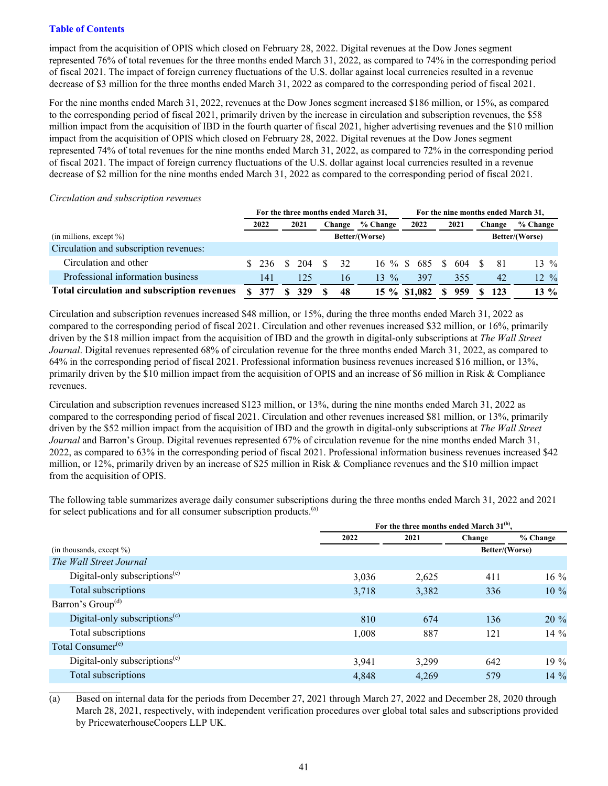impact from the acquisition of OPIS which closed on February 28, 2022. Digital revenues at the Dow Jones segment represented 76% of total revenues for the three months ended March 31, 2022, as compared to 74% in the corresponding period of fiscal 2021. The impact of foreign currency fluctuations of the U.S. dollar against local currencies resulted in a revenue decrease of \$3 million for the three months ended March 31, 2022 as compared to the corresponding period of fiscal 2021.

For the nine months ended March 31, 2022, revenues at the Dow Jones segment increased \$186 million, or 15%, as compared to the corresponding period of fiscal 2021, primarily driven by the increase in circulation and subscription revenues, the \$58 million impact from the acquisition of IBD in the fourth quarter of fiscal 2021, higher advertising revenues and the \$10 million impact from the acquisition of OPIS which closed on February 28, 2022. Digital revenues at the Dow Jones segment represented 74% of total revenues for the nine months ended March 31, 2022, as compared to 72% in the corresponding period of fiscal 2021. The impact of foreign currency fluctuations of the U.S. dollar against local currencies resulted in a revenue decrease of \$2 million for the nine months ended March 31, 2022 as compared to the corresponding period of fiscal 2021.

#### *Circulation and subscription revenues*

|                                             | For the three months ended March 31, |        |    |      |    |        | For the nine months ended March 31, |  |      |  |      |  |        |                  |
|---------------------------------------------|--------------------------------------|--------|----|------|----|--------|-------------------------------------|--|------|--|------|--|--------|------------------|
|                                             |                                      | 2022   |    | 2021 |    | Change | % Change                            |  | 2022 |  | 2021 |  | Change | % Change         |
| $(in$ millions, except $%$                  |                                      |        |    |      |    |        | Better/(Worse)                      |  |      |  |      |  |        | Better/(Worse)   |
| Circulation and subscription revenues:      |                                      |        |    |      |    |        |                                     |  |      |  |      |  |        |                  |
| Circulation and other                       |                                      | \$ 236 | S. | 204  | S. | 32     | $16\%$ \$ 685 \$                    |  |      |  | 604  |  | -81    | $13\%$           |
| Professional information business           |                                      | 141    |    | 125  |    | 16     | $13\%$                              |  | 397  |  | 355  |  | 42     | $12 \frac{9}{6}$ |
| Total circulation and subscription revenues | <sup>\$</sup>                        | 377    |    |      |    | 48     | 15 % \$1,082                        |  |      |  | 959  |  | 123    | $13\%$           |

Circulation and subscription revenues increased \$48 million, or 15%, during the three months ended March 31, 2022 as compared to the corresponding period of fiscal 2021. Circulation and other revenues increased \$32 million, or 16%, primarily driven by the \$18 million impact from the acquisition of IBD and the growth in digital-only subscriptions at *The Wall Street Journal*. Digital revenues represented 68% of circulation revenue for the three months ended March 31, 2022, as compared to 64% in the corresponding period of fiscal 2021. Professional information business revenues increased \$16 million, or 13%, primarily driven by the \$10 million impact from the acquisition of OPIS and an increase of \$6 million in Risk & Compliance revenues.

Circulation and subscription revenues increased \$123 million, or 13%, during the nine months ended March 31, 2022 as compared to the corresponding period of fiscal 2021. Circulation and other revenues increased \$81 million, or 13%, primarily driven by the \$52 million impact from the acquisition of IBD and the growth in digital-only subscriptions at *The Wall Street Journal* and Barron's Group. Digital revenues represented 67% of circulation revenue for the nine months ended March 31, 2022, as compared to 63% in the corresponding period of fiscal 2021. Professional information business revenues increased \$42 million, or 12%, primarily driven by an increase of \$25 million in Risk & Compliance revenues and the \$10 million impact from the acquisition of OPIS.

The following table summarizes average daily consumer subscriptions during the three months ended March 31, 2022 and 2021 for select publications and for all consumer subscription products.<sup>(a)</sup>

|                                           |       | For the three months ended March $31^{(b)}$ , |                |          |  |  |  |  |  |  |
|-------------------------------------------|-------|-----------------------------------------------|----------------|----------|--|--|--|--|--|--|
|                                           | 2022  | 2021                                          | Change         | % Change |  |  |  |  |  |  |
| (in thousands, except $\%$ )              |       |                                               | Better/(Worse) |          |  |  |  |  |  |  |
| The Wall Street Journal                   |       |                                               |                |          |  |  |  |  |  |  |
| Digital-only subscriptions <sup>(c)</sup> | 3,036 | 2,625                                         | 411            | $16\%$   |  |  |  |  |  |  |
| Total subscriptions                       | 3,718 | 3,382                                         | 336            | $10\%$   |  |  |  |  |  |  |
| Barron's Group <sup>(d)</sup>             |       |                                               |                |          |  |  |  |  |  |  |
| Digital-only subscriptions <sup>(c)</sup> | 810   | 674                                           | 136            | $20\%$   |  |  |  |  |  |  |
| Total subscriptions                       | 1,008 | 887                                           | 121            | $14\%$   |  |  |  |  |  |  |
| Total Consumer <sup>(e)</sup>             |       |                                               |                |          |  |  |  |  |  |  |
| Digital-only subscriptions <sup>(c)</sup> | 3,941 | 3.299                                         | 642            | $19\%$   |  |  |  |  |  |  |
| Total subscriptions                       | 4,848 | 4,269                                         | 579            | $14\%$   |  |  |  |  |  |  |

(a) Based on internal data for the periods from December 27, 2021 through March 27, 2022 and December 28, 2020 through March 28, 2021, respectively, with independent verification procedures over global total sales and subscriptions provided by PricewaterhouseCoopers LLP UK.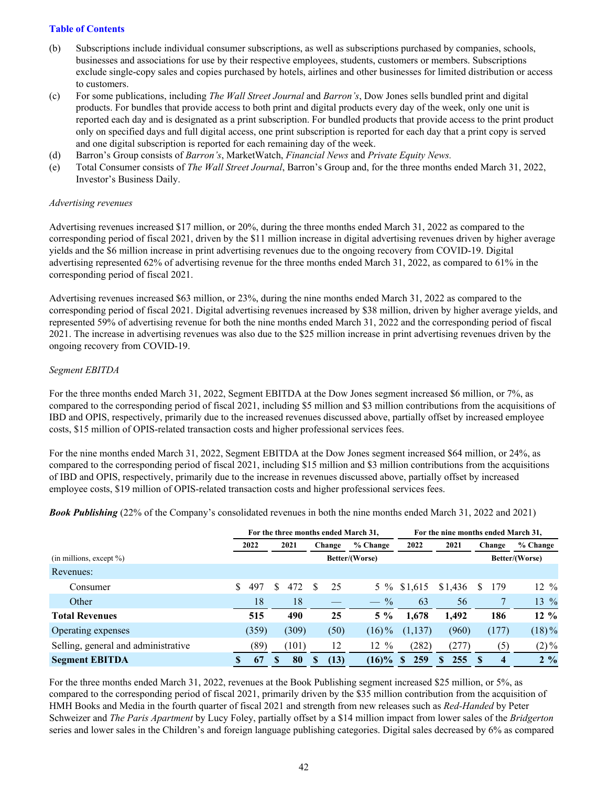- (b) Subscriptions include individual consumer subscriptions, as well as subscriptions purchased by companies, schools, businesses and associations for use by their respective employees, students, customers or members. Subscriptions exclude single-copy sales and copies purchased by hotels, airlines and other businesses for limited distribution or access to customers.
- (c) For some publications, including *The Wall Street Journal* and *Barron's*, Dow Jones sells bundled print and digital products. For bundles that provide access to both print and digital products every day of the week, only one unit is reported each day and is designated as a print subscription. For bundled products that provide access to the print product only on specified days and full digital access, one print subscription is reported for each day that a print copy is served and one digital subscription is reported for each remaining day of the week.
- (d) Barron's Group consists of *Barron's*, MarketWatch, *Financial News* and *Private Equity News.*
- (e) Total Consumer consists of *The Wall Street Journal*, Barron's Group and, for the three months ended March 31, 2022, Investor's Business Daily.

#### *Advertising revenues*

Advertising revenues increased \$17 million, or 20%, during the three months ended March 31, 2022 as compared to the corresponding period of fiscal 2021, driven by the \$11 million increase in digital advertising revenues driven by higher average yields and the \$6 million increase in print advertising revenues due to the ongoing recovery from COVID-19. Digital advertising represented 62% of advertising revenue for the three months ended March 31, 2022, as compared to 61% in the corresponding period of fiscal 2021.

Advertising revenues increased \$63 million, or 23%, during the nine months ended March 31, 2022 as compared to the corresponding period of fiscal 2021. Digital advertising revenues increased by \$38 million, driven by higher average yields, and represented 59% of advertising revenue for both the nine months ended March 31, 2022 and the corresponding period of fiscal 2021. The increase in advertising revenues was also due to the \$25 million increase in print advertising revenues driven by the ongoing recovery from COVID-19.

## *Segment EBITDA*

For the three months ended March 31, 2022, Segment EBITDA at the Dow Jones segment increased \$6 million, or 7%, as compared to the corresponding period of fiscal 2021, including \$5 million and \$3 million contributions from the acquisitions of IBD and OPIS, respectively, primarily due to the increased revenues discussed above, partially offset by increased employee costs, \$15 million of OPIS-related transaction costs and higher professional services fees.

For the nine months ended March 31, 2022, Segment EBITDA at the Dow Jones segment increased \$64 million, or 24%, as compared to the corresponding period of fiscal 2021, including \$15 million and \$3 million contributions from the acquisitions of IBD and OPIS, respectively, primarily due to the increase in revenues discussed above, partially offset by increased employee costs, \$19 million of OPIS-related transaction costs and higher professional services fees.

*Book Publishing* (22% of the Company's consolidated revenues in both the nine months ended March 31, 2022 and 2021)

|                                     | For the three months ended March 31. |       |      |       |   |        |                  | For the nine months ended March 31, |          |        |       |                  |  |
|-------------------------------------|--------------------------------------|-------|------|-------|---|--------|------------------|-------------------------------------|----------|--------|-------|------------------|--|
|                                     | 2022                                 |       | 2021 |       |   | Change | % Change         | 2022                                | 2021     | Change |       | % Change         |  |
| $(in$ millions, except $%$          |                                      |       |      |       |   |        | Better/(Worse)   |                                     |          |        |       | Better/(Worse)   |  |
| Revenues:                           |                                      |       |      |       |   |        |                  |                                     |          |        |       |                  |  |
| Consumer                            | S.                                   | 497   | S.   | 472   | S | 25     |                  | 5 % \$1,615                         | \$1,436  | S      | 179   | $12 \frac{9}{6}$ |  |
| Other                               |                                      | 18    |      | 18    |   |        | $-$ %            | 63                                  | 56       |        |       | 13 %             |  |
| <b>Total Revenues</b>               |                                      | 515   |      | 490   |   | 25     | $5\%$            | 1,678                               | 1,492    |        | 186   | $12 \%$          |  |
| Operating expenses                  |                                      | (359) |      | (309) |   | (50)   | $(16)\%$         | (1,137)                             | (960)    |        | (177) | $(18)\%$         |  |
| Selling, general and administrative |                                      | (89)  |      | (101) |   | 12     | $12 \frac{9}{6}$ | (282)                               | (277)    |        | (5)   | $(2)\%$          |  |
| <b>Segment EBITDA</b>               |                                      | 67    | -S   | 80    | S | (13)   | $(16)\%$         | 259                                 | 255<br>S | -8     | 4     | $2\%$            |  |

For the three months ended March 31, 2022, revenues at the Book Publishing segment increased \$25 million, or 5%, as compared to the corresponding period of fiscal 2021, primarily driven by the \$35 million contribution from the acquisition of HMH Books and Media in the fourth quarter of fiscal 2021 and strength from new releases such as *Red-Handed* by Peter Schweizer and *The Paris Apartment* by Lucy Foley, partially offset by a \$14 million impact from lower sales of the *Bridgerton* series and lower sales in the Children's and foreign language publishing categories. Digital sales decreased by 6% as compared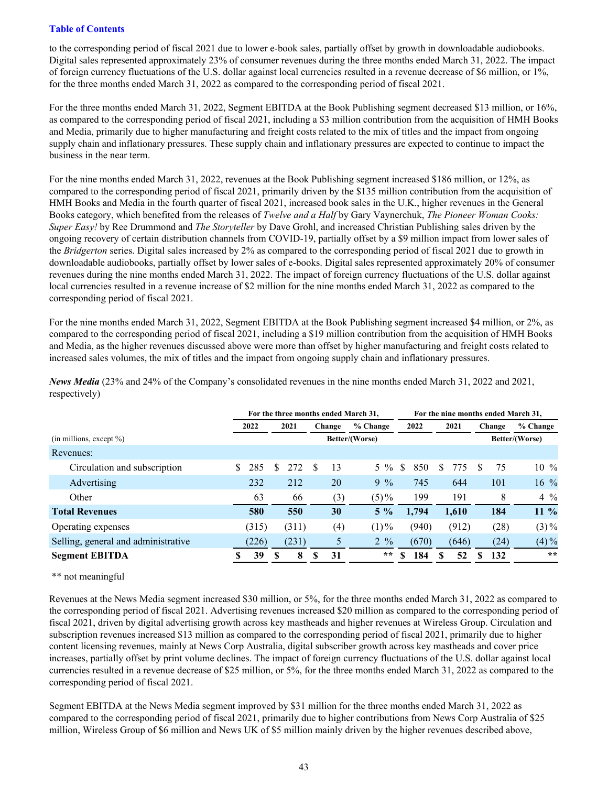to the corresponding period of fiscal 2021 due to lower e-book sales, partially offset by growth in downloadable audiobooks. Digital sales represented approximately 23% of consumer revenues during the three months ended March 31, 2022. The impact of foreign currency fluctuations of the U.S. dollar against local currencies resulted in a revenue decrease of \$6 million, or 1%, for the three months ended March 31, 2022 as compared to the corresponding period of fiscal 2021.

For the three months ended March 31, 2022, Segment EBITDA at the Book Publishing segment decreased \$13 million, or 16%, as compared to the corresponding period of fiscal 2021, including a \$3 million contribution from the acquisition of HMH Books and Media, primarily due to higher manufacturing and freight costs related to the mix of titles and the impact from ongoing supply chain and inflationary pressures. These supply chain and inflationary pressures are expected to continue to impact the business in the near term.

For the nine months ended March 31, 2022, revenues at the Book Publishing segment increased \$186 million, or 12%, as compared to the corresponding period of fiscal 2021, primarily driven by the \$135 million contribution from the acquisition of HMH Books and Media in the fourth quarter of fiscal 2021, increased book sales in the U.K., higher revenues in the General Books category, which benefited from the releases of *Twelve and a Half* by Gary Vaynerchuk, *The Pioneer Woman Cooks: Super Easy!* by Ree Drummond and *The Storyteller* by Dave Grohl, and increased Christian Publishing sales driven by the ongoing recovery of certain distribution channels from COVID-19, partially offset by a \$9 million impact from lower sales of the *Bridgerton* series. Digital sales increased by 2% as compared to the corresponding period of fiscal 2021 due to growth in downloadable audiobooks, partially offset by lower sales of e-books. Digital sales represented approximately 20% of consumer revenues during the nine months ended March 31, 2022. The impact of foreign currency fluctuations of the U.S. dollar against local currencies resulted in a revenue increase of \$2 million for the nine months ended March 31, 2022 as compared to the corresponding period of fiscal 2021.

For the nine months ended March 31, 2022, Segment EBITDA at the Book Publishing segment increased \$4 million, or 2%, as compared to the corresponding period of fiscal 2021, including a \$19 million contribution from the acquisition of HMH Books and Media, as the higher revenues discussed above were more than offset by higher manufacturing and freight costs related to increased sales volumes, the mix of titles and the impact from ongoing supply chain and inflationary pressures.

|                                     | For the three months ended March 31, |       |    |       |    |        |                 | For the nine months ended March 31, |       |   |       |   |        |                |
|-------------------------------------|--------------------------------------|-------|----|-------|----|--------|-----------------|-------------------------------------|-------|---|-------|---|--------|----------------|
|                                     |                                      | 2022  |    | 2021  |    | Change | % Change        |                                     | 2022  |   | 2021  |   | Change | % Change       |
| $(in$ millions, except $%$          |                                      |       |    |       |    |        | Better/(Worse)  |                                     |       |   |       |   |        | Better/(Worse) |
| Revenues:                           |                                      |       |    |       |    |        |                 |                                     |       |   |       |   |        |                |
| Circulation and subscription        | S.                                   | 285   | S  | 272   | S. | 13     | $5\frac{6}{6}$  | S                                   | 850   | S | 775   |   | 75     | $10\%$         |
| Advertising                         |                                      | 232   |    | 212   |    | 20     | $9\%$           |                                     | 745   |   | 644   |   | 101    | $16\%$         |
| Other                               |                                      | 63    |    | 66    |    | (3)    | $(5)\%$         |                                     | 199   |   | 191   |   | 8      | $4\frac{9}{6}$ |
| <b>Total Revenues</b>               |                                      | 580   |    | 550   |    | 30     | $5\%$           |                                     | 1,794 |   | 1,610 |   | 184    | $11\%$         |
| Operating expenses                  |                                      | (315) |    | (311) |    | (4)    | $(1)\%$         |                                     | (940) |   | (912) |   | (28)   | $(3)\%$        |
| Selling, general and administrative |                                      | (226) |    | (231) |    | 5      | $2 \frac{9}{6}$ |                                     | (670) |   | (646) |   | (24)   | $(4) \%$       |
| <b>Segment EBITDA</b>               | S                                    | 39    | -S | 8     | S  | 31     | $**$            | S                                   | 184   | S | 52    | S | 132    | **             |

*News Media* (23% and 24% of the Company's consolidated revenues in the nine months ended March 31, 2022 and 2021, respectively)

#### \*\* not meaningful

Revenues at the News Media segment increased \$30 million, or 5%, for the three months ended March 31, 2022 as compared to the corresponding period of fiscal 2021. Advertising revenues increased \$20 million as compared to the corresponding period of fiscal 2021, driven by digital advertising growth across key mastheads and higher revenues at Wireless Group. Circulation and subscription revenues increased \$13 million as compared to the corresponding period of fiscal 2021, primarily due to higher content licensing revenues, mainly at News Corp Australia, digital subscriber growth across key mastheads and cover price increases, partially offset by print volume declines. The impact of foreign currency fluctuations of the U.S. dollar against local currencies resulted in a revenue decrease of \$25 million, or 5%, for the three months ended March 31, 2022 as compared to the corresponding period of fiscal 2021.

Segment EBITDA at the News Media segment improved by \$31 million for the three months ended March 31, 2022 as compared to the corresponding period of fiscal 2021, primarily due to higher contributions from News Corp Australia of \$25 million, Wireless Group of \$6 million and News UK of \$5 million mainly driven by the higher revenues described above,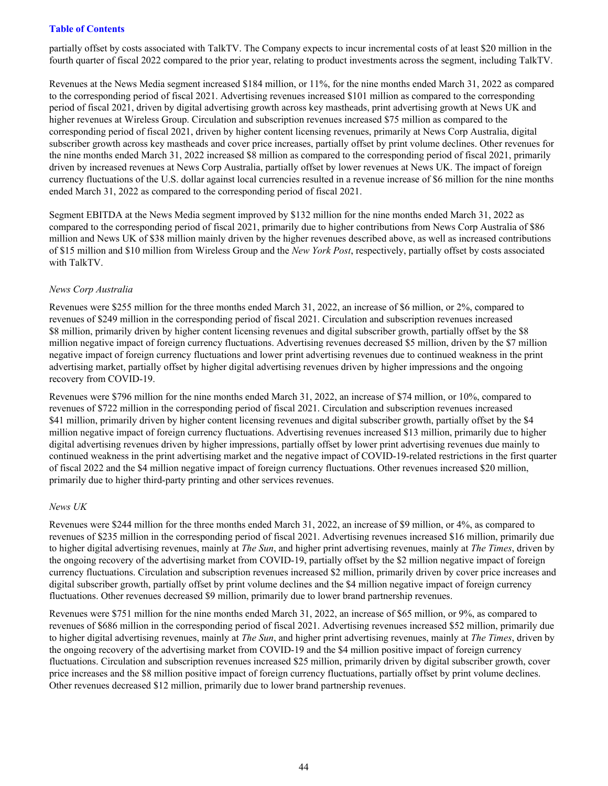partially offset by costs associated with TalkTV. The Company expects to incur incremental costs of at least \$20 million in the fourth quarter of fiscal 2022 compared to the prior year, relating to product investments across the segment, including TalkTV.

Revenues at the News Media segment increased \$184 million, or 11%, for the nine months ended March 31, 2022 as compared to the corresponding period of fiscal 2021. Advertising revenues increased \$101 million as compared to the corresponding period of fiscal 2021, driven by digital advertising growth across key mastheads, print advertising growth at News UK and higher revenues at Wireless Group. Circulation and subscription revenues increased \$75 million as compared to the corresponding period of fiscal 2021, driven by higher content licensing revenues, primarily at News Corp Australia, digital subscriber growth across key mastheads and cover price increases, partially offset by print volume declines. Other revenues for the nine months ended March 31, 2022 increased \$8 million as compared to the corresponding period of fiscal 2021, primarily driven by increased revenues at News Corp Australia, partially offset by lower revenues at News UK. The impact of foreign currency fluctuations of the U.S. dollar against local currencies resulted in a revenue increase of \$6 million for the nine months ended March 31, 2022 as compared to the corresponding period of fiscal 2021.

Segment EBITDA at the News Media segment improved by \$132 million for the nine months ended March 31, 2022 as compared to the corresponding period of fiscal 2021, primarily due to higher contributions from News Corp Australia of \$86 million and News UK of \$38 million mainly driven by the higher revenues described above, as well as increased contributions of \$15 million and \$10 million from Wireless Group and the *New York Post*, respectively, partially offset by costs associated with TalkTV.

## *News Corp Australia*

Revenues were \$255 million for the three months ended March 31, 2022, an increase of \$6 million, or 2%, compared to revenues of \$249 million in the corresponding period of fiscal 2021. Circulation and subscription revenues increased \$8 million, primarily driven by higher content licensing revenues and digital subscriber growth, partially offset by the \$8 million negative impact of foreign currency fluctuations. Advertising revenues decreased \$5 million, driven by the \$7 million negative impact of foreign currency fluctuations and lower print advertising revenues due to continued weakness in the print advertising market, partially offset by higher digital advertising revenues driven by higher impressions and the ongoing recovery from COVID-19.

Revenues were \$796 million for the nine months ended March 31, 2022, an increase of \$74 million, or 10%, compared to revenues of \$722 million in the corresponding period of fiscal 2021. Circulation and subscription revenues increased \$41 million, primarily driven by higher content licensing revenues and digital subscriber growth, partially offset by the \$4 million negative impact of foreign currency fluctuations. Advertising revenues increased \$13 million, primarily due to higher digital advertising revenues driven by higher impressions, partially offset by lower print advertising revenues due mainly to continued weakness in the print advertising market and the negative impact of COVID-19-related restrictions in the first quarter of fiscal 2022 and the \$4 million negative impact of foreign currency fluctuations. Other revenues increased \$20 million, primarily due to higher third-party printing and other services revenues.

#### *News UK*

Revenues were \$244 million for the three months ended March 31, 2022, an increase of \$9 million, or 4%, as compared to revenues of \$235 million in the corresponding period of fiscal 2021. Advertising revenues increased \$16 million, primarily due to higher digital advertising revenues, mainly at *The Sun*, and higher print advertising revenues, mainly at *The Times*, driven by the ongoing recovery of the advertising market from COVID-19, partially offset by the \$2 million negative impact of foreign currency fluctuations. Circulation and subscription revenues increased \$2 million, primarily driven by cover price increases and digital subscriber growth, partially offset by print volume declines and the \$4 million negative impact of foreign currency fluctuations. Other revenues decreased \$9 million, primarily due to lower brand partnership revenues.

Revenues were \$751 million for the nine months ended March 31, 2022, an increase of \$65 million, or 9%, as compared to revenues of \$686 million in the corresponding period of fiscal 2021. Advertising revenues increased \$52 million, primarily due to higher digital advertising revenues, mainly at *The Sun*, and higher print advertising revenues, mainly at *The Times*, driven by the ongoing recovery of the advertising market from COVID-19 and the \$4 million positive impact of foreign currency fluctuations. Circulation and subscription revenues increased \$25 million, primarily driven by digital subscriber growth, cover price increases and the \$8 million positive impact of foreign currency fluctuations, partially offset by print volume declines. Other revenues decreased \$12 million, primarily due to lower brand partnership revenues.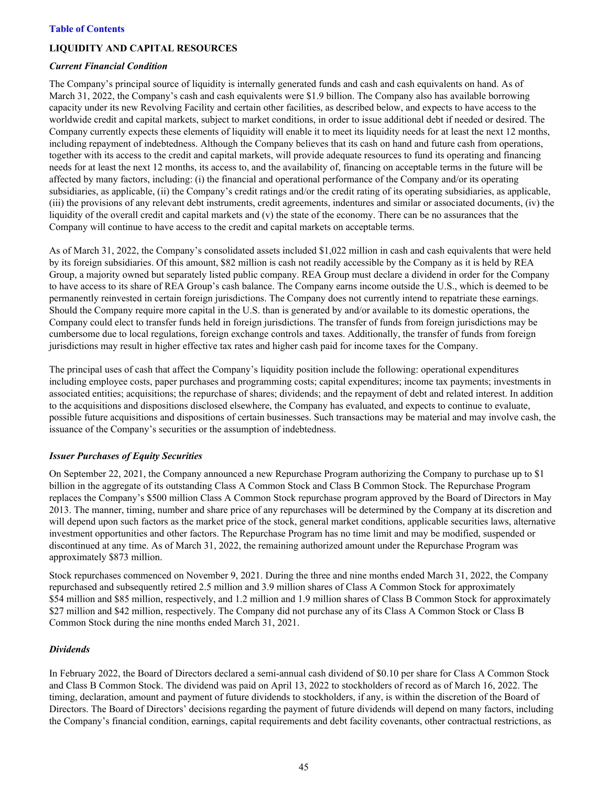#### **LIQUIDITY AND CAPITAL RESOURCES**

#### *Current Financial Condition*

The Company's principal source of liquidity is internally generated funds and cash and cash equivalents on hand. As of March 31, 2022, the Company's cash and cash equivalents were \$1.9 billion. The Company also has available borrowing capacity under its new Revolving Facility and certain other facilities, as described below, and expects to have access to the worldwide credit and capital markets, subject to market conditions, in order to issue additional debt if needed or desired. The Company currently expects these elements of liquidity will enable it to meet its liquidity needs for at least the next 12 months, including repayment of indebtedness. Although the Company believes that its cash on hand and future cash from operations, together with its access to the credit and capital markets, will provide adequate resources to fund its operating and financing needs for at least the next 12 months, its access to, and the availability of, financing on acceptable terms in the future will be affected by many factors, including: (i) the financial and operational performance of the Company and/or its operating subsidiaries, as applicable, (ii) the Company's credit ratings and/or the credit rating of its operating subsidiaries, as applicable, (iii) the provisions of any relevant debt instruments, credit agreements, indentures and similar or associated documents, (iv) the liquidity of the overall credit and capital markets and (v) the state of the economy. There can be no assurances that the Company will continue to have access to the credit and capital markets on acceptable terms.

As of March 31, 2022, the Company's consolidated assets included \$1,022 million in cash and cash equivalents that were held by its foreign subsidiaries. Of this amount, \$82 million is cash not readily accessible by the Company as it is held by REA Group, a majority owned but separately listed public company. REA Group must declare a dividend in order for the Company to have access to its share of REA Group's cash balance. The Company earns income outside the U.S., which is deemed to be permanently reinvested in certain foreign jurisdictions. The Company does not currently intend to repatriate these earnings. Should the Company require more capital in the U.S. than is generated by and/or available to its domestic operations, the Company could elect to transfer funds held in foreign jurisdictions. The transfer of funds from foreign jurisdictions may be cumbersome due to local regulations, foreign exchange controls and taxes. Additionally, the transfer of funds from foreign jurisdictions may result in higher effective tax rates and higher cash paid for income taxes for the Company.

The principal uses of cash that affect the Company's liquidity position include the following: operational expenditures including employee costs, paper purchases and programming costs; capital expenditures; income tax payments; investments in associated entities; acquisitions; the repurchase of shares; dividends; and the repayment of debt and related interest. In addition to the acquisitions and dispositions disclosed elsewhere, the Company has evaluated, and expects to continue to evaluate, possible future acquisitions and dispositions of certain businesses. Such transactions may be material and may involve cash, the issuance of the Company's securities or the assumption of indebtedness.

#### *Issuer Purchases of Equity Securities*

On September 22, 2021, the Company announced a new Repurchase Program authorizing the Company to purchase up to \$1 billion in the aggregate of its outstanding Class A Common Stock and Class B Common Stock. The Repurchase Program replaces the Company's \$500 million Class A Common Stock repurchase program approved by the Board of Directors in May 2013. The manner, timing, number and share price of any repurchases will be determined by the Company at its discretion and will depend upon such factors as the market price of the stock, general market conditions, applicable securities laws, alternative investment opportunities and other factors. The Repurchase Program has no time limit and may be modified, suspended or discontinued at any time. As of March 31, 2022, the remaining authorized amount under the Repurchase Program was approximately \$873 million.

Stock repurchases commenced on November 9, 2021. During the three and nine months ended March 31, 2022, the Company repurchased and subsequently retired 2.5 million and 3.9 million shares of Class A Common Stock for approximately \$54 million and \$85 million, respectively, and 1.2 million and 1.9 million shares of Class B Common Stock for approximately \$27 million and \$42 million, respectively. The Company did not purchase any of its Class A Common Stock or Class B Common Stock during the nine months ended March 31, 2021.

#### *Dividends*

In February 2022, the Board of Directors declared a semi-annual cash dividend of \$0.10 per share for Class A Common Stock and Class B Common Stock. The dividend was paid on April 13, 2022 to stockholders of record as of March 16, 2022. The timing, declaration, amount and payment of future dividends to stockholders, if any, is within the discretion of the Board of Directors. The Board of Directors' decisions regarding the payment of future dividends will depend on many factors, including the Company's financial condition, earnings, capital requirements and debt facility covenants, other contractual restrictions, as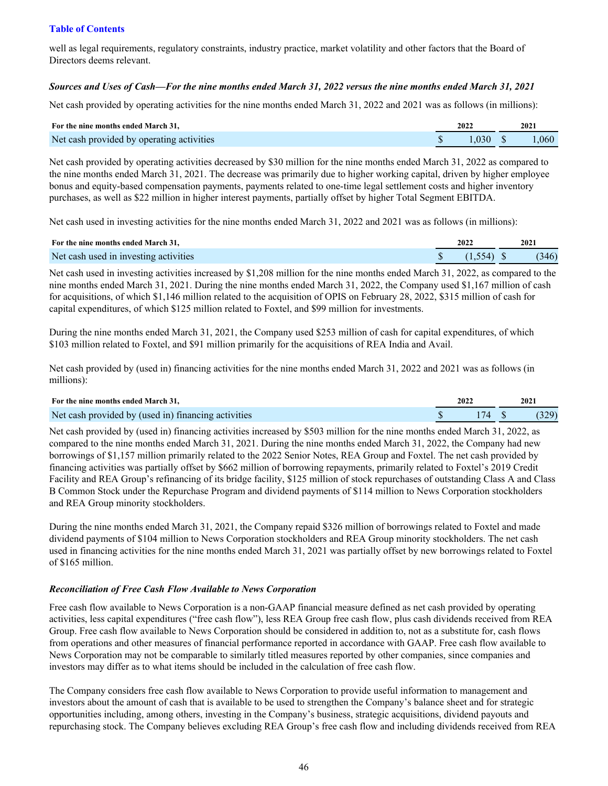well as legal requirements, regulatory constraints, industry practice, market volatility and other factors that the Board of Directors deems relevant.

#### *Sources and Uses of Cash—For the nine months ended March 31, 2022 versus the nine months ended March 31, 2021*

Net cash provided by operating activities for the nine months ended March 31, 2022 and 2021 was as follows (in millions):

| For the nine months ended March 31.       | 2022    | 2021  |
|-------------------------------------------|---------|-------|
| Net cash provided by operating activities | 1.030 S | 1.060 |

Net cash provided by operating activities decreased by \$30 million for the nine months ended March 31, 2022 as compared to the nine months ended March 31, 2021. The decrease was primarily due to higher working capital, driven by higher employee bonus and equity-based compensation payments, payments related to one-time legal settlement costs and higher inventory purchases, as well as \$22 million in higher interest payments, partially offset by higher Total Segment EBITDA.

Net cash used in investing activities for the nine months ended March 31, 2022 and 2021 was as follows (in millions):

| For the nine months ended March 31.   | 2022         | 2021  |
|---------------------------------------|--------------|-------|
| Net cash used in investing activities | $(1.554)$ \$ | (346) |

Net cash used in investing activities increased by \$1,208 million for the nine months ended March 31, 2022, as compared to the nine months ended March 31, 2021. During the nine months ended March 31, 2022, the Company used \$1,167 million of cash for acquisitions, of which \$1,146 million related to the acquisition of OPIS on February 28, 2022, \$315 million of cash for capital expenditures, of which \$125 million related to Foxtel, and \$99 million for investments.

During the nine months ended March 31, 2021, the Company used \$253 million of cash for capital expenditures, of which \$103 million related to Foxtel, and \$91 million primarily for the acquisitions of REA India and Avail.

Net cash provided by (used in) financing activities for the nine months ended March 31, 2022 and 2021 was as follows (in millions):

| For the nine months ended March 31.                 | 2022  | 2021  |
|-----------------------------------------------------|-------|-------|
| Net cash provided by (used in) financing activities | 174 S | (329) |

Net cash provided by (used in) financing activities increased by \$503 million for the nine months ended March 31, 2022, as compared to the nine months ended March 31, 2021. During the nine months ended March 31, 2022, the Company had new borrowings of \$1,157 million primarily related to the 2022 Senior Notes, REA Group and Foxtel. The net cash provided by financing activities was partially offset by \$662 million of borrowing repayments, primarily related to Foxtel's 2019 Credit Facility and REA Group's refinancing of its bridge facility, \$125 million of stock repurchases of outstanding Class A and Class B Common Stock under the Repurchase Program and dividend payments of \$114 million to News Corporation stockholders and REA Group minority stockholders.

During the nine months ended March 31, 2021, the Company repaid \$326 million of borrowings related to Foxtel and made dividend payments of \$104 million to News Corporation stockholders and REA Group minority stockholders. The net cash used in financing activities for the nine months ended March 31, 2021 was partially offset by new borrowings related to Foxtel of \$165 million.

#### *Reconciliation of Free Cash Flow Available to News Corporation*

Free cash flow available to News Corporation is a non-GAAP financial measure defined as net cash provided by operating activities, less capital expenditures ("free cash flow"), less REA Group free cash flow, plus cash dividends received from REA Group. Free cash flow available to News Corporation should be considered in addition to, not as a substitute for, cash flows from operations and other measures of financial performance reported in accordance with GAAP. Free cash flow available to News Corporation may not be comparable to similarly titled measures reported by other companies, since companies and investors may differ as to what items should be included in the calculation of free cash flow.

The Company considers free cash flow available to News Corporation to provide useful information to management and investors about the amount of cash that is available to be used to strengthen the Company's balance sheet and for strategic opportunities including, among others, investing in the Company's business, strategic acquisitions, dividend payouts and repurchasing stock. The Company believes excluding REA Group's free cash flow and including dividends received from REA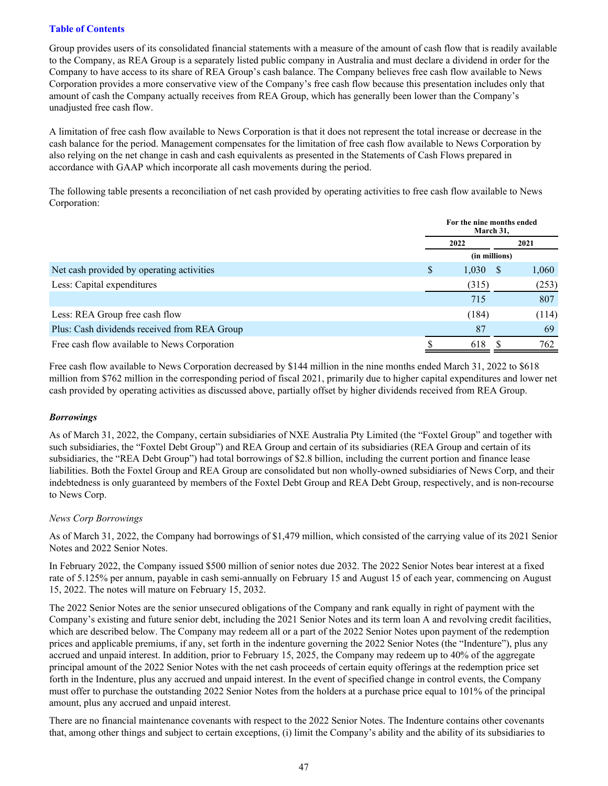Group provides users of its consolidated financial statements with a measure of the amount of cash flow that is readily available to the Company, as REA Group is a separately listed public company in Australia and must declare a dividend in order for the Company to have access to its share of REA Group's cash balance. The Company believes free cash flow available to News Corporation provides a more conservative view of the Company's free cash flow because this presentation includes only that amount of cash the Company actually receives from REA Group, which has generally been lower than the Company's unadjusted free cash flow.

A limitation of free cash flow available to News Corporation is that it does not represent the total increase or decrease in the cash balance for the period. Management compensates for the limitation of free cash flow available to News Corporation by also relying on the net change in cash and cash equivalents as presented in the Statements of Cash Flows prepared in accordance with GAAP which incorporate all cash movements during the period.

The following table presents a reconciliation of net cash provided by operating activities to free cash flow available to News Corporation:

|                                              | For the nine months ended<br>March 31, |              |       |  |  |
|----------------------------------------------|----------------------------------------|--------------|-------|--|--|
|                                              | 2022                                   |              | 2021  |  |  |
|                                              | (in millions)                          |              |       |  |  |
| Net cash provided by operating activities    | \$<br>1,030                            | $\mathbf{S}$ | 1,060 |  |  |
| Less: Capital expenditures                   | (315)                                  |              | (253) |  |  |
|                                              | 715                                    |              | 807   |  |  |
| Less: REA Group free cash flow               | (184)                                  |              | (114) |  |  |
| Plus: Cash dividends received from REA Group | 87                                     |              | 69    |  |  |
| Free cash flow available to News Corporation | 618                                    |              | 762   |  |  |

Free cash flow available to News Corporation decreased by \$144 million in the nine months ended March 31, 2022 to \$618 million from \$762 million in the corresponding period of fiscal 2021, primarily due to higher capital expenditures and lower net cash provided by operating activities as discussed above, partially offset by higher dividends received from REA Group.

## *Borrowings*

As of March 31, 2022, the Company, certain subsidiaries of NXE Australia Pty Limited (the "Foxtel Group" and together with such subsidiaries, the "Foxtel Debt Group") and REA Group and certain of its subsidiaries (REA Group and certain of its subsidiaries, the "REA Debt Group") had total borrowings of \$2.8 billion, including the current portion and finance lease liabilities. Both the Foxtel Group and REA Group are consolidated but non wholly-owned subsidiaries of News Corp, and their indebtedness is only guaranteed by members of the Foxtel Debt Group and REA Debt Group, respectively, and is non-recourse to News Corp.

## *News Corp Borrowings*

As of March 31, 2022, the Company had borrowings of \$1,479 million, which consisted of the carrying value of its 2021 Senior Notes and 2022 Senior Notes.

In February 2022, the Company issued \$500 million of senior notes due 2032. The 2022 Senior Notes bear interest at a fixed rate of 5.125% per annum, payable in cash semi-annually on February 15 and August 15 of each year, commencing on August 15, 2022. The notes will mature on February 15, 2032.

The 2022 Senior Notes are the senior unsecured obligations of the Company and rank equally in right of payment with the Company's existing and future senior debt, including the 2021 Senior Notes and its term loan A and revolving credit facilities, which are described below. The Company may redeem all or a part of the 2022 Senior Notes upon payment of the redemption prices and applicable premiums, if any, set forth in the indenture governing the 2022 Senior Notes (the "Indenture"), plus any accrued and unpaid interest. In addition, prior to February 15, 2025, the Company may redeem up to 40% of the aggregate principal amount of the 2022 Senior Notes with the net cash proceeds of certain equity offerings at the redemption price set forth in the Indenture, plus any accrued and unpaid interest. In the event of specified change in control events, the Company must offer to purchase the outstanding 2022 Senior Notes from the holders at a purchase price equal to 101% of the principal amount, plus any accrued and unpaid interest.

There are no financial maintenance covenants with respect to the 2022 Senior Notes. The Indenture contains other covenants that, among other things and subject to certain exceptions, (i) limit the Company's ability and the ability of its subsidiaries to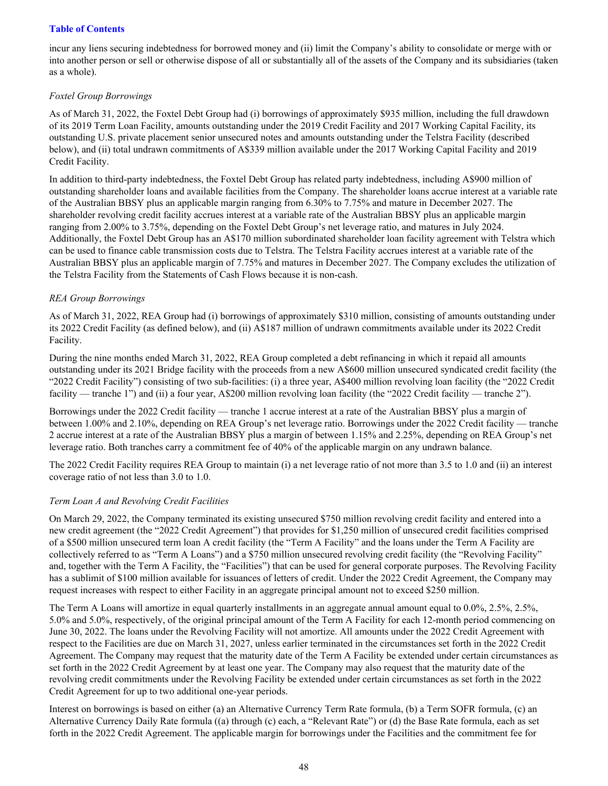incur any liens securing indebtedness for borrowed money and (ii) limit the Company's ability to consolidate or merge with or into another person or sell or otherwise dispose of all or substantially all of the assets of the Company and its subsidiaries (taken as a whole).

#### *Foxtel Group Borrowings*

As of March 31, 2022, the Foxtel Debt Group had (i) borrowings of approximately \$935 million, including the full drawdown of its 2019 Term Loan Facility, amounts outstanding under the 2019 Credit Facility and 2017 Working Capital Facility, its outstanding U.S. private placement senior unsecured notes and amounts outstanding under the Telstra Facility (described below), and (ii) total undrawn commitments of A\$339 million available under the 2017 Working Capital Facility and 2019 Credit Facility.

In addition to third-party indebtedness, the Foxtel Debt Group has related party indebtedness, including A\$900 million of outstanding shareholder loans and available facilities from the Company. The shareholder loans accrue interest at a variable rate of the Australian BBSY plus an applicable margin ranging from 6.30% to 7.75% and mature in December 2027. The shareholder revolving credit facility accrues interest at a variable rate of the Australian BBSY plus an applicable margin ranging from 2.00% to 3.75%, depending on the Foxtel Debt Group's net leverage ratio, and matures in July 2024. Additionally, the Foxtel Debt Group has an A\$170 million subordinated shareholder loan facility agreement with Telstra which can be used to finance cable transmission costs due to Telstra. The Telstra Facility accrues interest at a variable rate of the Australian BBSY plus an applicable margin of 7.75% and matures in December 2027. The Company excludes the utilization of the Telstra Facility from the Statements of Cash Flows because it is non-cash.

## *REA Group Borrowings*

As of March 31, 2022, REA Group had (i) borrowings of approximately \$310 million, consisting of amounts outstanding under its 2022 Credit Facility (as defined below), and (ii) A\$187 million of undrawn commitments available under its 2022 Credit Facility.

During the nine months ended March 31, 2022, REA Group completed a debt refinancing in which it repaid all amounts outstanding under its 2021 Bridge facility with the proceeds from a new A\$600 million unsecured syndicated credit facility (the "2022 Credit Facility") consisting of two sub-facilities: (i) a three year, A\$400 million revolving loan facility (the "2022 Credit facility — tranche 1") and (ii) a four year, A\$200 million revolving loan facility (the "2022 Credit facility — tranche 2").

Borrowings under the 2022 Credit facility — tranche 1 accrue interest at a rate of the Australian BBSY plus a margin of between 1.00% and 2.10%, depending on REA Group's net leverage ratio. Borrowings under the 2022 Credit facility — tranche 2 accrue interest at a rate of the Australian BBSY plus a margin of between 1.15% and 2.25%, depending on REA Group's net leverage ratio. Both tranches carry a commitment fee of 40% of the applicable margin on any undrawn balance.

The 2022 Credit Facility requires REA Group to maintain (i) a net leverage ratio of not more than 3.5 to 1.0 and (ii) an interest coverage ratio of not less than 3.0 to 1.0.

## *Term Loan A and Revolving Credit Facilities*

On March 29, 2022, the Company terminated its existing unsecured \$750 million revolving credit facility and entered into a new credit agreement (the "2022 Credit Agreement") that provides for \$1,250 million of unsecured credit facilities comprised of a \$500 million unsecured term loan A credit facility (the "Term A Facility" and the loans under the Term A Facility are collectively referred to as "Term A Loans") and a \$750 million unsecured revolving credit facility (the "Revolving Facility" and, together with the Term A Facility, the "Facilities") that can be used for general corporate purposes. The Revolving Facility has a sublimit of \$100 million available for issuances of letters of credit. Under the 2022 Credit Agreement, the Company may request increases with respect to either Facility in an aggregate principal amount not to exceed \$250 million.

The Term A Loans will amortize in equal quarterly installments in an aggregate annual amount equal to 0.0%, 2.5%, 2.5%, 5.0% and 5.0%, respectively, of the original principal amount of the Term A Facility for each 12-month period commencing on June 30, 2022. The loans under the Revolving Facility will not amortize. All amounts under the 2022 Credit Agreement with respect to the Facilities are due on March 31, 2027, unless earlier terminated in the circumstances set forth in the 2022 Credit Agreement. The Company may request that the maturity date of the Term A Facility be extended under certain circumstances as set forth in the 2022 Credit Agreement by at least one year. The Company may also request that the maturity date of the revolving credit commitments under the Revolving Facility be extended under certain circumstances as set forth in the 2022 Credit Agreement for up to two additional one-year periods.

Interest on borrowings is based on either (a) an Alternative Currency Term Rate formula, (b) a Term SOFR formula, (c) an Alternative Currency Daily Rate formula ((a) through (c) each, a "Relevant Rate") or (d) the Base Rate formula, each as set forth in the 2022 Credit Agreement. The applicable margin for borrowings under the Facilities and the commitment fee for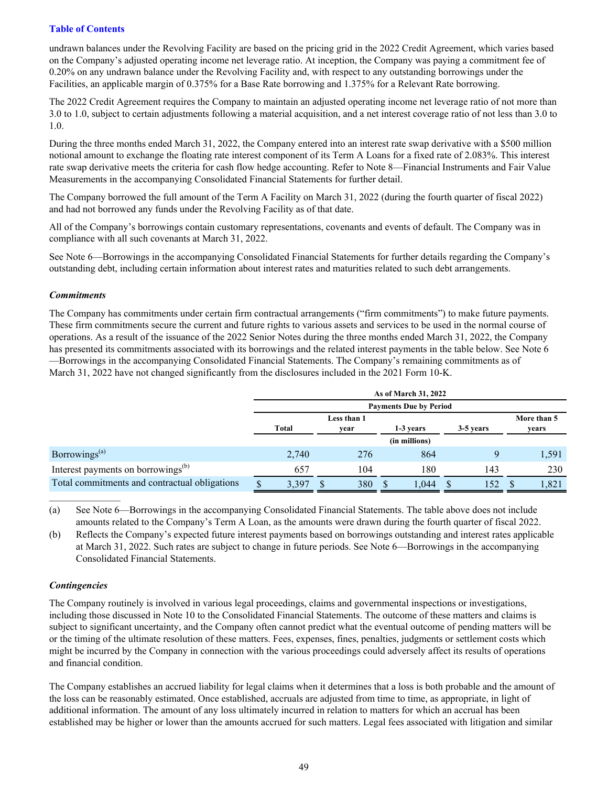undrawn balances under the Revolving Facility are based on the pricing grid in the 2022 Credit Agreement, which varies based on the Company's adjusted operating income net leverage ratio. At inception, the Company was paying a commitment fee of 0.20% on any undrawn balance under the Revolving Facility and, with respect to any outstanding borrowings under the Facilities, an applicable margin of 0.375% for a Base Rate borrowing and 1.375% for a Relevant Rate borrowing.

The 2022 Credit Agreement requires the Company to maintain an adjusted operating income net leverage ratio of not more than 3.0 to 1.0, subject to certain adjustments following a material acquisition, and a net interest coverage ratio of not less than 3.0 to 1.0.

During the three months ended March 31, 2022, the Company entered into an interest rate swap derivative with a \$500 million notional amount to exchange the floating rate interest component of its Term A Loans for a fixed rate of 2.083%. This interest rate swap derivative meets the criteria for cash flow hedge accounting. Refer to Note 8—Financial Instruments and Fair Value Measurements in the accompanying Consolidated Financial Statements for further detail.

The Company borrowed the full amount of the Term A Facility on March 31, 2022 (during the fourth quarter of fiscal 2022) and had not borrowed any funds under the Revolving Facility as of that date.

All of the Company's borrowings contain customary representations, covenants and events of default. The Company was in compliance with all such covenants at March 31, 2022.

See Note 6—Borrowings in the accompanying Consolidated Financial Statements for further details regarding the Company's outstanding debt, including certain information about interest rates and maturities related to such debt arrangements.

## *Commitments*

The Company has commitments under certain firm contractual arrangements ("firm commitments") to make future payments. These firm commitments secure the current and future rights to various assets and services to be used in the normal course of operations. As a result of the issuance of the 2022 Senior Notes during the three months ended March 31, 2022, the Company has presented its commitments associated with its borrowings and the related interest payments in the table below. See Note 6 —Borrowings in the accompanying Consolidated Financial Statements. The Company's remaining commitments as of March 31, 2022 have not changed significantly from the disclosures included in the 2021 Form 10-K.

|                                                | As of March 31, 2022          |             |               |           |       |  |  |  |  |  |
|------------------------------------------------|-------------------------------|-------------|---------------|-----------|-------|--|--|--|--|--|
|                                                | <b>Payments Due by Period</b> |             |               |           |       |  |  |  |  |  |
|                                                |                               | More than 5 |               |           |       |  |  |  |  |  |
|                                                | Total                         | year        | 1-3 years     | 3-5 years | years |  |  |  |  |  |
|                                                |                               |             | (in millions) |           |       |  |  |  |  |  |
| Borrowings <sup>(a)</sup>                      | 2,740                         | 276         | 864           |           | 1,591 |  |  |  |  |  |
| Interest payments on borrowings <sup>(b)</sup> | 657                           | 104         | 180           | 143       | 230   |  |  |  |  |  |
| Total commitments and contractual obligations  | \$<br>3,397                   | 380         | 1.044         | 152       | 1.821 |  |  |  |  |  |

(a) See Note 6—Borrowings in the accompanying Consolidated Financial Statements. The table above does not include amounts related to the Company's Term A Loan, as the amounts were drawn during the fourth quarter of fiscal 2022.

(b) Reflects the Company's expected future interest payments based on borrowings outstanding and interest rates applicable at March 31, 2022. Such rates are subject to change in future periods. See Note 6—Borrowings in the accompanying Consolidated Financial Statements.

#### *Contingencies*

**\_\_\_\_\_\_\_\_\_\_\_\_\_\_\_\_\_\_\_\_\_\_\_\_**

The Company routinely is involved in various legal proceedings, claims and governmental inspections or investigations, including those discussed in Note 10 to the Consolidated Financial Statements. The outcome of these matters and claims is subject to significant uncertainty, and the Company often cannot predict what the eventual outcome of pending matters will be or the timing of the ultimate resolution of these matters. Fees, expenses, fines, penalties, judgments or settlement costs which might be incurred by the Company in connection with the various proceedings could adversely affect its results of operations and financial condition.

The Company establishes an accrued liability for legal claims when it determines that a loss is both probable and the amount of the loss can be reasonably estimated. Once established, accruals are adjusted from time to time, as appropriate, in light of additional information. The amount of any loss ultimately incurred in relation to matters for which an accrual has been established may be higher or lower than the amounts accrued for such matters. Legal fees associated with litigation and similar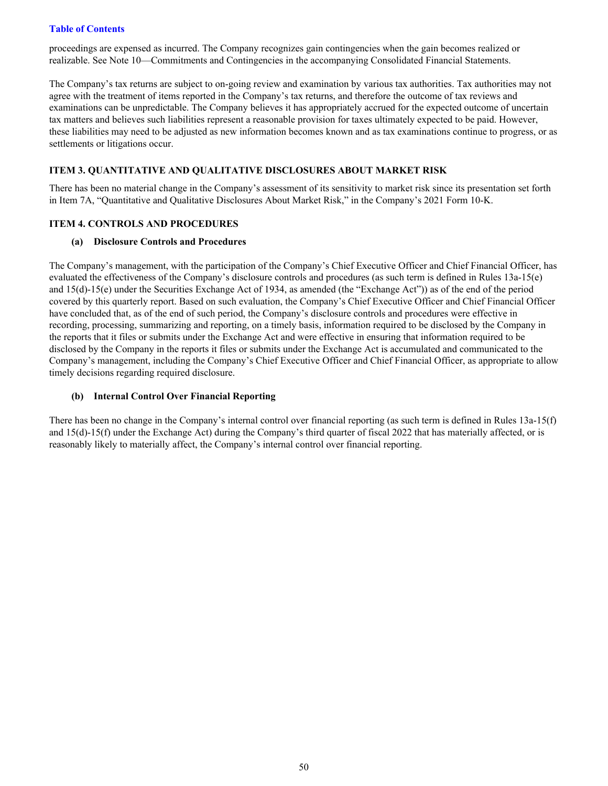<span id="page-50-0"></span>proceedings are expensed as incurred. The Company recognizes gain contingencies when the gain becomes realized or realizable. See Note 10—Commitments and Contingencies in the accompanying Consolidated Financial Statements.

The Company's tax returns are subject to on-going review and examination by various tax authorities. Tax authorities may not agree with the treatment of items reported in the Company's tax returns, and therefore the outcome of tax reviews and examinations can be unpredictable. The Company believes it has appropriately accrued for the expected outcome of uncertain tax matters and believes such liabilities represent a reasonable provision for taxes ultimately expected to be paid. However, these liabilities may need to be adjusted as new information becomes known and as tax examinations continue to progress, or as settlements or litigations occur.

## **ITEM 3. QUANTITATIVE AND QUALITATIVE DISCLOSURES ABOUT MARKET RISK**

There has been no material change in the Company's assessment of its sensitivity to market risk since its presentation set forth in Item 7A, "Quantitative and Qualitative Disclosures About Market Risk," in the Company's 2021 Form 10-K.

## **ITEM 4. CONTROLS AND PROCEDURES**

#### **(a) Disclosure Controls and Procedures**

The Company's management, with the participation of the Company's Chief Executive Officer and Chief Financial Officer, has evaluated the effectiveness of the Company's disclosure controls and procedures (as such term is defined in Rules 13a-15(e) and 15(d)-15(e) under the Securities Exchange Act of 1934, as amended (the "Exchange Act")) as of the end of the period covered by this quarterly report. Based on such evaluation, the Company's Chief Executive Officer and Chief Financial Officer have concluded that, as of the end of such period, the Company's disclosure controls and procedures were effective in recording, processing, summarizing and reporting, on a timely basis, information required to be disclosed by the Company in the reports that it files or submits under the Exchange Act and were effective in ensuring that information required to be disclosed by the Company in the reports it files or submits under the Exchange Act is accumulated and communicated to the Company's management, including the Company's Chief Executive Officer and Chief Financial Officer, as appropriate to allow timely decisions regarding required disclosure.

#### **(b) Internal Control Over Financial Reporting**

There has been no change in the Company's internal control over financial reporting (as such term is defined in Rules 13a-15(f) and 15(d)-15(f) under the Exchange Act) during the Company's third quarter of fiscal 2022 that has materially affected, or is reasonably likely to materially affect, the Company's internal control over financial reporting.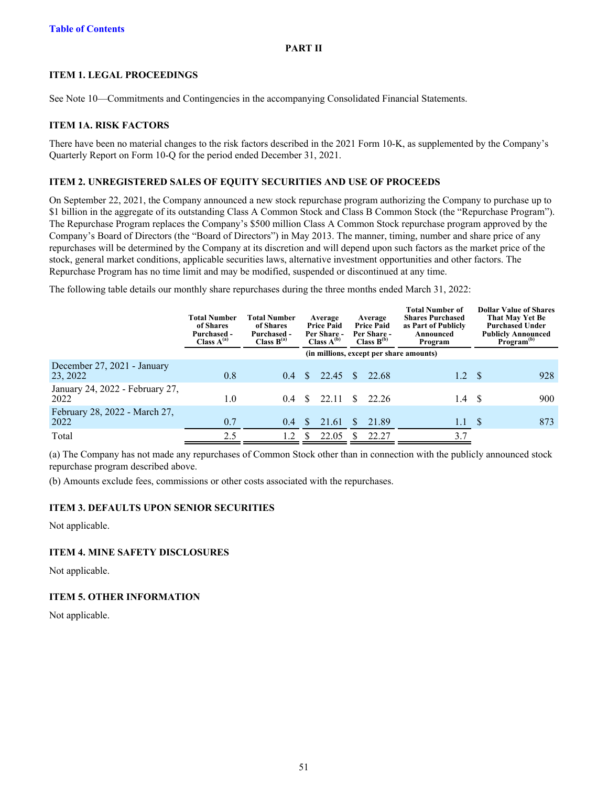## **PART II**

## <span id="page-51-0"></span>**ITEM 1. LEGAL PROCEEDINGS**

See Note 10—Commitments and Contingencies in the accompanying Consolidated Financial Statements.

## **ITEM 1A. RISK FACTORS**

There have been no material changes to the risk factors described in the 2021 Form 10-K, as supplemented by the Company's Quarterly Report on Form 10-Q for the period ended December 31, 2021.

## **ITEM 2. UNREGISTERED SALES OF EQUITY SECURITIES AND USE OF PROCEEDS**

On September 22, 2021, the Company announced a new stock repurchase program authorizing the Company to purchase up to \$1 billion in the aggregate of its outstanding Class A Common Stock and Class B Common Stock (the "Repurchase Program"). The Repurchase Program replaces the Company's \$500 million Class A Common Stock repurchase program approved by the Company's Board of Directors (the "Board of Directors") in May 2013. The manner, timing, number and share price of any repurchases will be determined by the Company at its discretion and will depend upon such factors as the market price of the stock, general market conditions, applicable securities laws, alternative investment opportunities and other factors. The Repurchase Program has no time limit and may be modified, suspended or discontinued at any time.

The following table details our monthly share repurchases during the three months ended March 31, 2022:

|                                         | <b>Total Number</b><br>of Shares<br>Purchased -<br>Class $A^{(a)}$ | <b>Total Number</b><br>of Shares<br>Purchased -<br>Class $B^{(a)}$ | Average<br><b>Price Paid</b><br>Per Share -<br>Class $A^{(b)}$ |                                         |    | Average<br><b>Price Paid</b><br>Per Share -<br>Class $B^{(b)}$ | <b>Total Number of</b><br><b>Shares Purchased</b><br>as Part of Publicly<br>Announced<br>Program | <b>Dollar Value of Shares</b><br><b>That May Yet Be</b><br><b>Purchased Under</b><br><b>Publicly Announced</b><br>Program <sup>(b)</sup> |
|-----------------------------------------|--------------------------------------------------------------------|--------------------------------------------------------------------|----------------------------------------------------------------|-----------------------------------------|----|----------------------------------------------------------------|--------------------------------------------------------------------------------------------------|------------------------------------------------------------------------------------------------------------------------------------------|
|                                         |                                                                    |                                                                    |                                                                | (in millions, except per share amounts) |    |                                                                |                                                                                                  |                                                                                                                                          |
| December 27, 2021 - January<br>23, 2022 | 0.8                                                                | $0.4 \quad$ S                                                      |                                                                | 22.45                                   | S. | 22.68                                                          | $1.2 \quad$                                                                                      | 928                                                                                                                                      |
| January 24, 2022 - February 27,<br>2022 | 1.0                                                                | $0.4^{\circ}$                                                      | <sup>S</sup>                                                   | 22.11                                   | S. | 22.26                                                          | 1.4 S                                                                                            | 900                                                                                                                                      |
| February 28, 2022 - March 27,<br>2022   | 0.7                                                                | $0.4^{\circ}$                                                      | <sup>\$</sup>                                                  | 21.61                                   | S. | 21.89                                                          | $1.1 \quad$ S                                                                                    | 873                                                                                                                                      |
| Total                                   | 2.5                                                                | 1.2                                                                |                                                                | 22.05                                   |    | 22.27                                                          | 3.7                                                                                              |                                                                                                                                          |

(a) The Company has not made any repurchases of Common Stock other than in connection with the publicly announced stock repurchase program described above.

(b) Amounts exclude fees, commissions or other costs associated with the repurchases.

## **ITEM 3. DEFAULTS UPON SENIOR SECURITIES**

Not applicable.

#### **ITEM 4. MINE SAFETY DISCLOSURES**

Not applicable.

## **ITEM 5. OTHER INFORMATION**

Not applicable.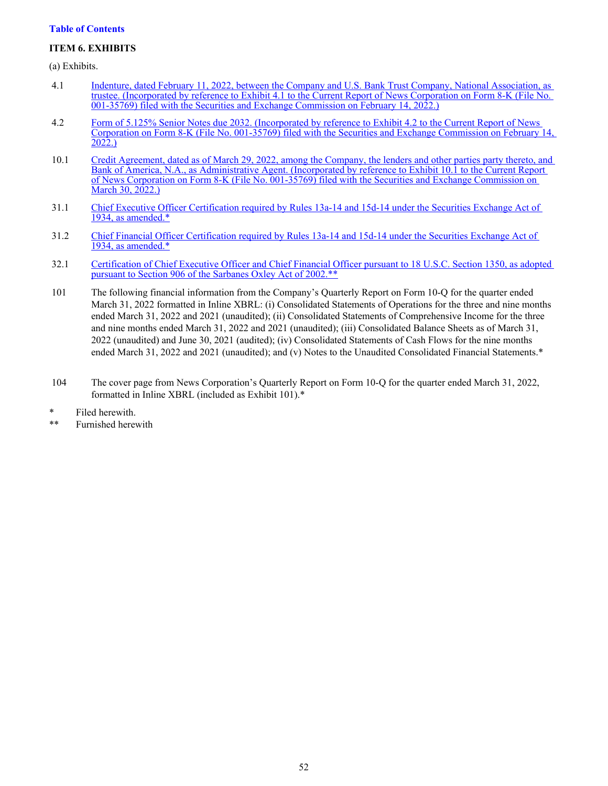## <span id="page-52-0"></span>**ITEM 6. EXHIBITS**

(a) Exhibits.

- 4.1 [Indenture, dated February 11, 2022, between the Company and U.S. Bank Trust Company, National Association, as](http://www.sec.gov/Archives/edgar/data/1564708/000119312522037541/d307858dex41.htm)  [trustee. \(Incorporated by reference to Exhibit 4.1 to the Current Report of News Corporation on Form 8-K \(File No.](http://www.sec.gov/Archives/edgar/data/1564708/000119312522037541/d307858dex41.htm)  [001-35769\) filed with the Securities and Exchange Commission on February 14, 2022.\)](http://www.sec.gov/Archives/edgar/data/1564708/000119312522037541/d307858dex41.htm)
- 4.2 [Form of 5.125% Senior Notes due 2032. \(Incorporated by reference to Exhibit 4.2 to the Current Report of News](http://www.sec.gov/Archives/edgar/data/1564708/000119312522037541/d307858dex41.htm)  [Corporation on Form 8-K \(File No. 001-35769\) filed with the Securities and Exchange Commission on February 14,](http://www.sec.gov/Archives/edgar/data/1564708/000119312522037541/d307858dex41.htm)   $2022.$
- 10.1 [Credit Agreement, dated as of March 29, 2022, among the Company, the lenders and other parties party thereto, and](http://www.sec.gov/Archives/edgar/data/1564708/000119312522089934/d335185dex101.htm)  [Bank of America, N.A., as Administrative Agent. \(Incorporated by reference to Exhibit 10.1 to the Current Report](http://www.sec.gov/Archives/edgar/data/1564708/000119312522089934/d335185dex101.htm)  [of News Corporation on Form 8-K \(File No. 001-35769\) filed with the Securities and Exchange Commission on](http://www.sec.gov/Archives/edgar/data/1564708/000119312522089934/d335185dex101.htm)  [March 30, 2022.\)](http://www.sec.gov/Archives/edgar/data/1564708/000119312522089934/d335185dex101.htm)
- 31.1 Chief Executive Officer Certification required by Rules 13a-14 and 15d-14 under the Securities Exchange Act of 1934, as amended.\*
- 31.2 Chief Financial Officer Certification required by Rules 13a-14 and 15d-14 under the Securities Exchange Act of 1934, as amended.\*
- 32.1 Certification of Chief Executive Officer and Chief Financial Officer pursuant to 18 U.S.C. Section 1350, as adopted pursuant to Section 906 of the Sarbanes Oxley Act of 2002.\*\*
- 101 The following financial information from the Company's Quarterly Report on Form 10-Q for the quarter ended March 31, 2022 formatted in Inline XBRL: (i) Consolidated Statements of Operations for the three and nine months ended March 31, 2022 and 2021 (unaudited); (ii) Consolidated Statements of Comprehensive Income for the three and nine months ended March 31, 2022 and 2021 (unaudited); (iii) Consolidated Balance Sheets as of March 31, 2022 (unaudited) and June 30, 2021 (audited); (iv) Consolidated Statements of Cash Flows for the nine months ended March 31, 2022 and 2021 (unaudited); and (v) Notes to the Unaudited Consolidated Financial Statements.\*
- 104 The cover page from News Corporation's Quarterly Report on Form 10-Q for the quarter ended March 31, 2022, formatted in Inline XBRL (included as Exhibit 101).\*
- Filed herewith.
- \*\* Furnished herewith